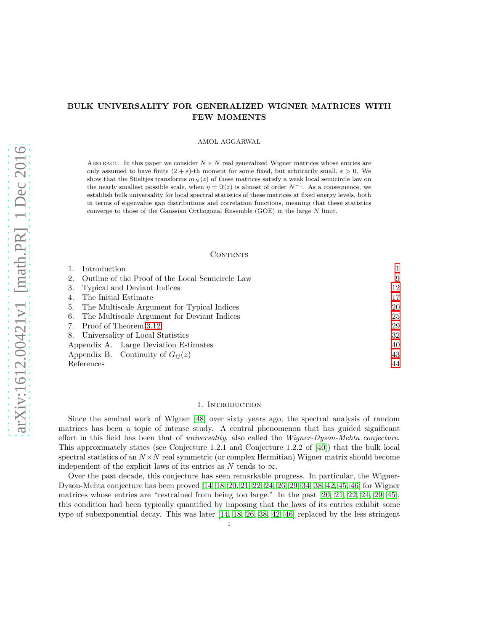# BULK UNIVERSALITY FOR GENERALIZED WIGNER MATRICES WITH FEW MOMENTS

AMOL AGGARWAL

ABSTRACT. In this paper we consider  $N \times N$  real generalized Wigner matrices whose entries are only assumed to have finite  $(2 + \varepsilon)$ -th moment for some fixed, but arbitrarily small,  $\varepsilon > 0$ . We show that the Stieltjes transforms  $m_N(z)$  of these matrices satisfy a weak local semicircle law on the nearly smallest possible scale, when  $\eta = \Im(z)$  is almost of order  $N^{-1}$ . As a consequence, we establish bulk universality for local spectral statistics of these matrices at fixed energy levels, both in terms of eigenvalue gap distributions and correlation functions, meaning that these statistics converge to those of the Gaussian Orthogonal Ensemble (GOE) in the large N limit.

# **CONTENTS**

|            | Introduction                                        |    |
|------------|-----------------------------------------------------|----|
|            | 2. Outline of the Proof of the Local Semicircle Law | 9  |
|            | 3. Typical and Deviant Indices                      | 12 |
|            | 4. The Initial Estimate                             | 17 |
|            | 5. The Multiscale Argument for Typical Indices      | 20 |
|            | 6. The Multiscale Argument for Deviant Indices      | 25 |
|            | 7. Proof of Theorem 3.12                            | 29 |
|            | 8. Universality of Local Statistics                 | 32 |
|            | Appendix A. Large Deviation Estimates               | 40 |
|            | Appendix B. Continuity of $G_{ii}(z)$               | 43 |
| References |                                                     | 44 |

# 1. Introduction

<span id="page-0-0"></span>Since the seminal work of Wigner [\[48\]](#page-44-0) over sixty years ago, the spectral analysis of random matrices has been a topic of intense study. A central phenomenon that has guided significant effort in this field has been that of universality, also called the Wigner-Dyson-Mehta conjecture. This approximately states (see Conjecture 1.2.1 and Conjecture 1.2.2 of [\[40\]](#page-44-1)) that the bulk local spectral statistics of an  $N \times N$  real symmetric (or complex Hermitian) Wigner matrix should become independent of the explicit laws of its entries as N tends to  $\infty$ .

Over the past decade, this conjecture has seen remarkable progress. In particular, the Wigner-Dyson-Mehta conjecture has been proved [\[14,](#page-43-1) [18,](#page-43-2) [20,](#page-43-3) [21,](#page-43-4) [22,](#page-44-2) [24,](#page-44-3) [26,](#page-44-4) [29,](#page-44-5) [34,](#page-44-6) [38,](#page-44-7) [42,](#page-44-8) [45,](#page-44-9) [46\]](#page-44-10) for Wigner matrices whose entries are "restrained from being too large." In the past [\[20,](#page-43-3) [21,](#page-43-4) [22,](#page-44-2) [24,](#page-44-3) [29,](#page-44-5) [45\]](#page-44-9), this condition had been typically quantified by imposing that the laws of its entries exhibit some type of subexponential decay. This was later [\[14,](#page-43-1) [18,](#page-43-2) [26,](#page-44-4) [38,](#page-44-7) [42,](#page-44-8) [46\]](#page-44-10) replaced by the less stringent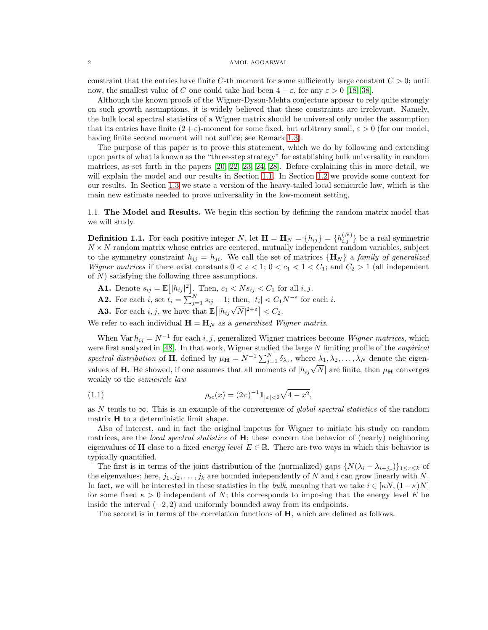constraint that the entries have finite C-th moment for some sufficiently large constant  $C > 0$ ; until now, the smallest value of C one could take had been  $4 + \varepsilon$ , for any  $\varepsilon > 0$  [\[18,](#page-43-2) [38\]](#page-44-7).

Although the known proofs of the Wigner-Dyson-Mehta conjecture appear to rely quite strongly on such growth assumptions, it is widely believed that these constraints are irrelevant. Namely, the bulk local spectral statistics of a Wigner matrix should be universal only under the assumption that its entries have finite  $(2+\varepsilon)$ -moment for some fixed, but arbitrary small,  $\varepsilon > 0$  (for our model, having finite second moment will not suffice; see Remark [1.3\)](#page-2-0).

The purpose of this paper is to prove this statement, which we do by following and extending upon parts of what is known as the "three-step strategy" for establishing bulk universality in random matrices, as set forth in the papers [\[20,](#page-43-3) [22,](#page-44-2) [23,](#page-44-11) [24,](#page-44-3) [28\]](#page-44-12). Before explaining this in more detail, we will explain the model and our results in Section [1.1.](#page-1-0) In Section [1.2](#page-3-0) we provide some context for our results. In Section [1.3](#page-5-0) we state a version of the heavy-tailed local semicircle law, which is the main new estimate needed to prove universality in the low-moment setting.

<span id="page-1-0"></span>1.1. The Model and Results. We begin this section by defining the random matrix model that we will study.

<span id="page-1-2"></span>**Definition 1.1.** For each positive integer N, let  $\mathbf{H} = \mathbf{H}_N = \{h_{ij}\} = \{h_{i,j}^{(N)}\}$  be a real symmetric  $N \times N$  random matrix whose entries are centered, mutually independent random variables, subject to the symmetry constraint  $h_{ij} = h_{ji}$ . We call the set of matrices  ${H_N}$  a family of generalized Wigner matrices if there exist constants  $0 < \varepsilon < 1$ ;  $0 < c_1 < 1 < C_1$ ; and  $C_2 > 1$  (all independent of  $N$ ) satisfying the following three assumptions.

- <span id="page-1-4"></span>**A1.** Denote  $s_{ij} = \mathbb{E}[|h_{ij}|^2]$ . Then,  $c_1 < N s_{ij} < C_1$  for all  $i, j$ .
- <span id="page-1-5"></span>**A2.** For each *i*, set  $t_i = \sum_{j=1}^{N} s_{ij} - 1$ ; then,  $|t_i| < C_1 N^{-\varepsilon}$  for each *i*.
- <span id="page-1-1"></span>**A3.** For each i, j, we have that  $\mathbb{E}[|h_{ij}\sqrt{N}|^{2+\epsilon}] < C_2$ .

We refer to each individual  $\mathbf{H} = \mathbf{H}_N$  as a generalized Wigner matrix.

When Var  $h_{ij} = N^{-1}$  for each i, j, generalized Wigner matrices become Wigner matrices, which were first analyzed in [\[48\]](#page-44-0). In that work, Wigner studied the large N limiting profile of the empirical spectral distribution of **H**, defined by  $\mu_{\mathbf{H}} = N^{-1} \sum_{j=1}^{N} \delta_{\lambda_j}$ , where  $\lambda_1, \lambda_2, \ldots, \lambda_N$  denote the eigenvalues of **H**. He showed, if one assumes that all moments of  $|h_{ij}\sqrt{N}|$  are finite, then  $\mu_{\mathbf{H}}$  converges weakly to the semicircle law

<span id="page-1-3"></span>(1.1) 
$$
\rho_{sc}(x) = (2\pi)^{-1} \mathbf{1}_{|x| < 2} \sqrt{4 - x^2},
$$

as N tends to  $\infty$ . This is an example of the convergence of global spectral statistics of the random matrix  $H$  to a deterministic limit shape.

Also of interest, and in fact the original impetus for Wigner to initiate his study on random matrices, are the *local spectral statistics* of  $H$ ; these concern the behavior of (nearly) neighboring eigenvalues of **H** close to a fixed *energy level*  $E \in \mathbb{R}$ . There are two ways in which this behavior is typically quantified.

The first is in terms of the joint distribution of the (normalized) gaps  $\{N(\lambda_i - \lambda_{i+j_r})\}_{1 \leq r \leq k}$  of the eigenvalues; here,  $j_1, j_2, \ldots, j_k$  are bounded independently of N and i can grow linearly with N. In fact, we will be interested in these statistics in the bulk, meaning that we take  $i \in [\kappa N, (1-\kappa)N]$ for some fixed  $\kappa > 0$  independent of N; this corresponds to imposing that the energy level E be inside the interval  $(-2, 2)$  and uniformly bounded away from its endpoints.

The second is in terms of the correlation functions of H, which are defined as follows.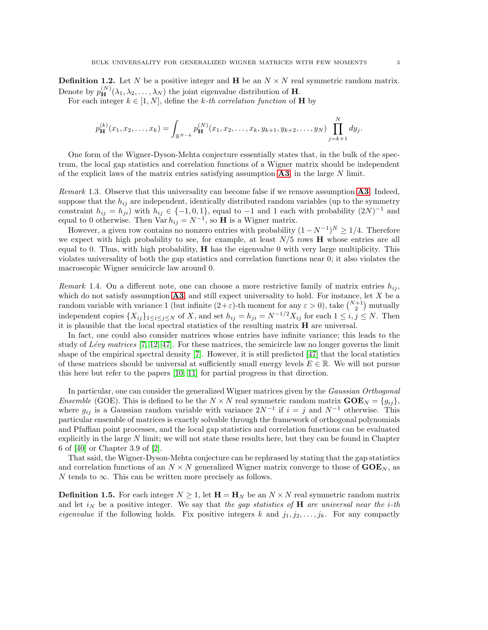**Definition 1.2.** Let N be a positive integer and **H** be an  $N \times N$  real symmetric random matrix. Denote by  $p_{\mathbf{H}}^{(N)}(\lambda_1, \lambda_2, \ldots, \lambda_N)$  the joint eigenvalue distribution of **H**.

For each integer  $k \in [1, N]$ , define the k-th correlation function of **H** by

$$
p_{\mathbf{H}}^{(k)}(x_1, x_2, \dots, x_k) = \int_{\mathbb{R}^{N-k}} p_{\mathbf{H}}^{(N)}(x_1, x_2, \dots, x_k, y_{k+1}, y_{k+2}, \dots, y_N) \prod_{j=k+1}^{N} dy_j.
$$

One form of the Wigner-Dyson-Mehta conjecture essentially states that, in the bulk of the spectrum, the local gap statistics and correlation functions of a Wigner matrix should be independent of the explicit laws of the matrix entries satisfying assumption  $\mathbf{A3}$  $\mathbf{A3}$  $\mathbf{A3}$ , in the large N limit.

<span id="page-2-0"></span>*Remark* 1.3. Observe that this universality can become false if we remove assumption  $\mathbf{A3}$  $\mathbf{A3}$  $\mathbf{A3}$ . Indeed, suppose that the  $h_{ij}$  are independent, identically distributed random variables (up to the symmetry constraint  $h_{ij} = h_{ji}$ ) with  $h_{ij} \in \{-1, 0, 1\}$ , equal to  $-1$  and 1 each with probability  $(2N)^{-1}$  and equal to 0 otherwise. Then  $\text{Var } h_{ij} = N^{-1}$ , so **H** is a Wigner matrix.

However, a given row contains no nonzero entries with probability  $(1 - N^{-1})^N \ge 1/4$ . Therefore we expect with high probability to see, for example, at least  $N/5$  rows  $\bf{H}$  whose entries are all equal to 0. Thus, with high probability,  $H$  has the eigenvalue 0 with very large multiplicity. This violates universality of both the gap statistics and correlation functions near 0; it also violates the macroscopic Wigner semicircle law around 0.

Remark 1.4. On a different note, one can choose a more restrictive family of matrix entries  $h_{ij}$ , which do not satisfy assumption  $\mathbf{A3}$  $\mathbf{A3}$  $\mathbf{A3}$ , and still expect universality to hold. For instance, let X be a random variable with variance 1 (but infinite  $(2+\varepsilon)$ -th moment for any  $\varepsilon > 0$ ), take  $\binom{N+1}{2}$  mutually independent copies  $\{X_{ij}\}_{1\leq i\leq j\leq N}$  of X, and set  $h_{ij}=h_{ji}=N^{-1/2}X_{ij}$  for each  $1\leq i,j\leq N$ . Then it is plausible that the local spectral statistics of the resulting matrix H are universal.

In fact, one could also consider matrices whose entries have infinite variance; this leads to the study of Lévy matrices  $[7, 12, 47]$  $[7, 12, 47]$  $[7, 12, 47]$ . For these matrices, the semicircle law no longer governs the limit shape of the empirical spectral density [\[7\]](#page-43-5). However, it is still predicted [\[47\]](#page-44-13) that the local statistics of these matrices should be universal at sufficiently small energy levels  $E \in \mathbb{R}$ . We will not pursue this here but refer to the papers [\[10,](#page-43-7) [11\]](#page-43-8) for partial progress in that direction.

In particular, one can consider the generalized Wigner matrices given by the Gaussian Orthogonal Ensemble (GOE). This is defined to be the  $N \times N$  real symmetric random matrix  $\mathbf{GOE}_N = \{g_{ij}\},$ where  $g_{ij}$  is a Gaussian random variable with variance  $2N^{-1}$  if  $i = j$  and  $N^{-1}$  otherwise. This particular ensemble of matrices is exactly solvable through the framework of orthogonal polynomials and Pfaffian point processes, and the local gap statistics and correlation functions can be evaluated explicitly in the large  $N$  limit; we will not state these results here, but they can be found in Chapter 6 of [\[40\]](#page-44-1) or Chapter 3.9 of [\[2\]](#page-43-9).

That said, the Wigner-Dyson-Mehta conjecture can be rephrased by stating that the gap statistics and correlation functions of an  $N \times N$  generalized Wigner matrix converge to those of  $\text{GOE}_N$ , as N tends to  $\infty$ . This can be written more precisely as follows.

<span id="page-2-1"></span>**Definition 1.5.** For each integer  $N \geq 1$ , let  $\mathbf{H} = \mathbf{H}_N$  be an  $N \times N$  real symmetric random matrix and let  $i_N$  be a positive integer. We say that the gap statistics of H are universal near the i-th *eigenvalue* if the following holds. Fix positive integers k and  $j_1, j_2, \ldots, j_k$ . For any compactly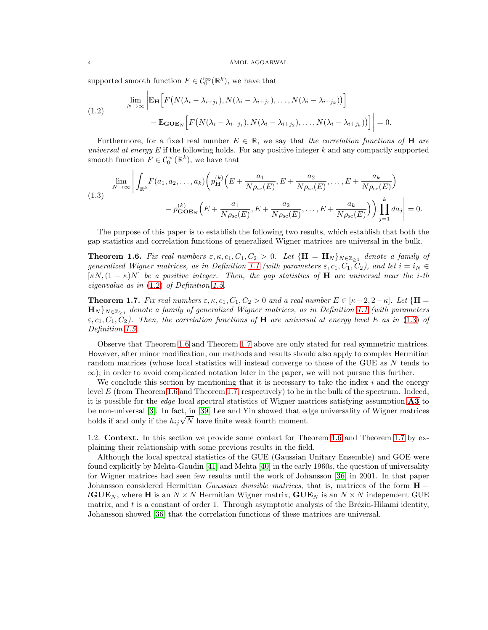supported smooth function  $F \in C_0^{\infty}(\mathbb{R}^k)$ , we have that

<span id="page-3-1"></span>(1.2) 
$$
\lim_{N \to \infty} \left| \mathbb{E}_{\mathbf{H}} \left[ F\left(N(\lambda_i - \lambda_{i+j_1}), N(\lambda_i - \lambda_{i+j_2}), \dots, N(\lambda_i - \lambda_{i+j_k})\right) \right] - \mathbb{E}_{\mathbf{GOE}_N} \left[ F\left(N(\lambda_i - \lambda_{i+j_1}), N(\lambda_i - \lambda_{i+j_2}), \dots, N(\lambda_i - \lambda_{i+j_k})\right) \right] \right| = 0.
$$

Furthermore, for a fixed real number  $E \in \mathbb{R}$ , we say that the correlation functions of **H** are universal at energy  $E$  if the following holds. For any positive integer  $k$  and any compactly supported smooth function  $F \in C_0^{\infty}(\mathbb{R}^k)$ , we have that

<span id="page-3-2"></span>(1.3)  

$$
\lim_{N \to \infty} \left| \int_{\mathbb{R}^k} F(a_1, a_2, \dots, a_k) \left( p_{\mathbf{H}}^{(k)} \left( E + \frac{a_1}{N \rho_{\rm sc}(E)}, E + \frac{a_2}{N \rho_{\rm sc}(E)}, \dots, E + \frac{a_k}{N \rho_{\rm sc}(E)} \right) \right) dE \right|
$$

$$
- p_{\mathbf{GOE}_N}^{(k)} \left( E + \frac{a_1}{N \rho_{\rm sc}(E)}, E + \frac{a_2}{N \rho_{\rm sc}(E)}, \dots, E + \frac{a_k}{N \rho_{\rm sc}(E)} \right) \left| \prod_{j=1}^k da_j \right| = 0.
$$

The purpose of this paper is to establish the following two results, which establish that both the gap statistics and correlation functions of generalized Wigner matrices are universal in the bulk.

<span id="page-3-3"></span>**Theorem 1.6.** Fix real numbers  $\varepsilon, \kappa, c_1, C_1, C_2 > 0$ . Let  $\{H = H_N\}_{N \in \mathbb{Z}_{\geq 1}}$  denote a family of generalized Wigner matrices, as in Definition [1.1](#page-1-2) (with parameters  $\varepsilon$ ,  $c_1$ ,  $C_1$ ,  $C_2$ ), and let  $i = i_N \in$  $[\kappa N,(1-\kappa)N]$  be a positive integer. Then, the gap statistics of **H** are universal near the *i*-th eigenvalue as in [\(1.2\)](#page-3-1) of Definition [1.5.](#page-2-1)

<span id="page-3-4"></span>**Theorem 1.7.** Fix real numbers  $\varepsilon$ ,  $\kappa$ ,  $c_1$ ,  $C_1$ ,  $C_2 > 0$  and a real number  $E \in [\kappa - 2, 2 - \kappa]$ . Let  $\{H =$  $\mathbf{H}_N$ } $_{N\in\mathbb{Z}_{\geq 1}}$  denote a family of generalized Wigner matrices, as in Definition [1.1](#page-1-2) (with parameters  $\varepsilon$ ,  $c_1$ ,  $C_2$ ). Then, the correlation functions of **H** are universal at energy level E as in [\(1.3\)](#page-3-2) of Definition [1.5.](#page-2-1)

Observe that Theorem [1.6](#page-3-3) and Theorem [1.7](#page-3-4) above are only stated for real symmetric matrices. However, after minor modification, our methods and results should also apply to complex Hermitian random matrices (whose local statistics will instead converge to those of the GUE as N tends to  $\infty$ ; in order to avoid complicated notation later in the paper, we will not pursue this further.

We conclude this section by mentioning that it is necessary to take the index  $i$  and the energy level  $E$  (from Theorem [1.6](#page-3-3) and Theorem [1.7,](#page-3-4) respectively) to be in the bulk of the spectrum. Indeed, it is possible for the *edge* local spectral statistics of Wigner matrices satisfying assumption **[A3](#page-1-1)** to be non-universal [\[3\]](#page-43-10). In fact, in [\[39\]](#page-44-14) Lee and Yin showed that edge universality of Wigner matrices holds if and only if the  $h_{ij}\sqrt{N}$  have finite weak fourth moment.

<span id="page-3-0"></span>1.2. Context. In this section we provide some context for Theorem [1.6](#page-3-3) and Theorem [1.7](#page-3-4) by explaining their relationship with some previous results in the field.

Although the local spectral statistics of the GUE (Gaussian Unitary Ensemble) and GOE were found explicitly by Mehta-Gaudin [\[41\]](#page-44-15) and Mehta [\[40\]](#page-44-1) in the early 1960s, the question of universality for Wigner matrices had seen few results until the work of Johansson [\[36\]](#page-44-16) in 2001. In that paper Johansson considered Hermitian Gaussian divisible matrices, that is, matrices of the form  $H +$  $tGUE_N$ , where H is an  $N \times N$  Hermitian Wigner matrix,  $GUE_N$  is an  $N \times N$  independent GUE matrix, and  $t$  is a constant of order 1. Through asymptotic analysis of the Brézin-Hikami identity, Johansson showed [\[36\]](#page-44-16) that the correlation functions of these matrices are universal.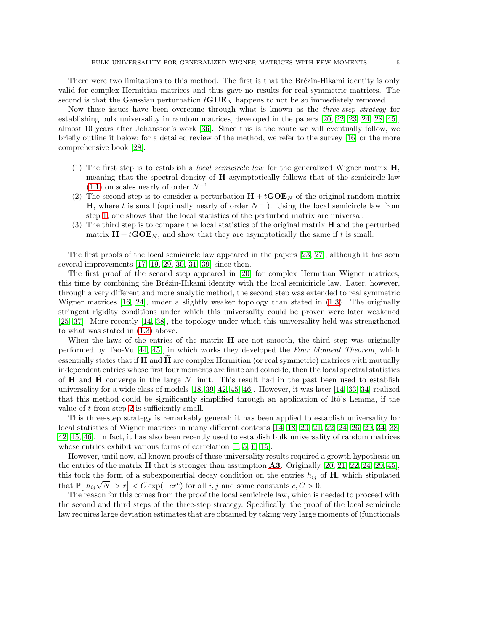There were two limitations to this method. The first is that the Brézin-Hikami identity is only valid for complex Hermitian matrices and thus gave no results for real symmetric matrices. The second is that the Gaussian perturbation  $tGUE_N$  happens to not be so immediately removed.

Now these issues have been overcome through what is known as the *three-step strategy* for establishing bulk universality in random matrices, developed in the papers [\[20,](#page-43-3) [22,](#page-44-2) [23,](#page-44-11) [24,](#page-44-3) [28,](#page-44-12) [45\]](#page-44-9), almost 10 years after Johansson's work [\[36\]](#page-44-16). Since this is the route we will eventually follow, we briefly outline it below; for a detailed review of the method, we refer to the survey [\[16\]](#page-43-11) or the more comprehensive book [\[28\]](#page-44-12).

- <span id="page-4-0"></span>(1) The first step is to establish a *local semicircle law* for the generalized Wigner matrix  $H$ , meaning that the spectral density of  $H$  asymptotically follows that of the semicircle law  $(1.1)$  on scales nearly of order  $N^{-1}$ .
- <span id="page-4-1"></span>(2) The second step is to consider a perturbation  $H + tGOE<sub>N</sub>$  of the original random matrix **H**, where t is small (optimally nearly of order  $N^{-1}$ ). Using the local semicircle law from step [1,](#page-4-0) one shows that the local statistics of the perturbed matrix are universal.
- (3) The third step is to compare the local statistics of the original matrix  $\bf{H}$  and the perturbed matrix  $H + tGOE<sub>N</sub>$ , and show that they are asymptotically the same if t is small.

The first proofs of the local semicircle law appeared in the papers [\[23,](#page-44-11) [27\]](#page-44-17), although it has seen several improvements [\[17,](#page-43-12) [19,](#page-43-13) [29,](#page-44-5) [30,](#page-44-18) [31,](#page-44-19) [39\]](#page-44-14) since then.

The first proof of the second step appeared in [\[20\]](#page-43-3) for complex Hermitian Wigner matrices, this time by combining the Brézin-Hikami identity with the local semiciricle law. Later, however, through a very different and more analytic method, the second step was extended to real symmetric Wigner matrices [\[16,](#page-43-11) [24\]](#page-44-3), under a slightly weaker topology than stated in [\(1.3\)](#page-3-2). The originally stringent rigidity conditions under which this universality could be proven were later weakened [\[25,](#page-44-20) [37\]](#page-44-21). More recently [\[14,](#page-43-1) [38\]](#page-44-7), the topology under which this universality held was strengthened to what was stated in [\(1.3\)](#page-3-2) above.

When the laws of the entries of the matrix  $H$  are not smooth, the third step was originally performed by Tao-Vu [\[44,](#page-44-22) [45\]](#page-44-9), in which works they developed the Four Moment Theorem, which essentially states that if  $H$  and  $H$  are complex Hermitian (or real symmetric) matrices with mutually independent entries whose first four moments are finite and coincide, then the local spectral statistics of  $H$  and  $H$  converge in the large N limit. This result had in the past been used to establish universality for a wide class of models [\[18,](#page-43-2) [39,](#page-44-14) [42,](#page-44-8) [45,](#page-44-9) [46\]](#page-44-10). However, it was later [\[14,](#page-43-1) [33,](#page-44-23) [34\]](#page-44-6) realized that this method could be significantly simplified through an application of Itô's Lemma, if the value of t from step [2](#page-4-1) is sufficiently small.

This three-step strategy is remarkably general; it has been applied to establish universality for local statistics of Wigner matrices in many different contexts [\[14,](#page-43-1) [18,](#page-43-2) [20,](#page-43-3) [21,](#page-43-4) [22,](#page-44-2) [24,](#page-44-3) [26,](#page-44-4) [29,](#page-44-5) [34,](#page-44-6) [38,](#page-44-7) [42,](#page-44-8) [45,](#page-44-9) [46\]](#page-44-10). In fact, it has also been recently used to establish bulk universality of random matrices whose entries exhibit various forms of correlation [\[1,](#page-43-14) [5,](#page-43-15) [6,](#page-43-16) [15\]](#page-43-17).

However, until now, all known proofs of these universality results required a growth hypothesis on the entries of the matrix **H** that is stronger than assumption **[A3](#page-1-1)**. Originally  $[20, 21, 22, 24, 29, 45]$  $[20, 21, 22, 24, 29, 45]$  $[20, 21, 22, 24, 29, 45]$  $[20, 21, 22, 24, 29, 45]$  $[20, 21, 22, 24, 29, 45]$  $[20, 21, 22, 24, 29, 45]$ , this took the form of a subexponential decay condition on the entries  $h_{ij}$  of  $H$ , which stipulated that  $\mathbb{P}[|h_{ij}\sqrt{N}] > r] < C \exp(-cr^c)$  for all  $i, j$  and some constants  $c, C > 0$ .

The reason for this comes from the proof the local semicircle law, which is needed to proceed with the second and third steps of the three-step strategy. Specifically, the proof of the local semicircle law requires large deviation estimates that are obtained by taking very large moments of (functionals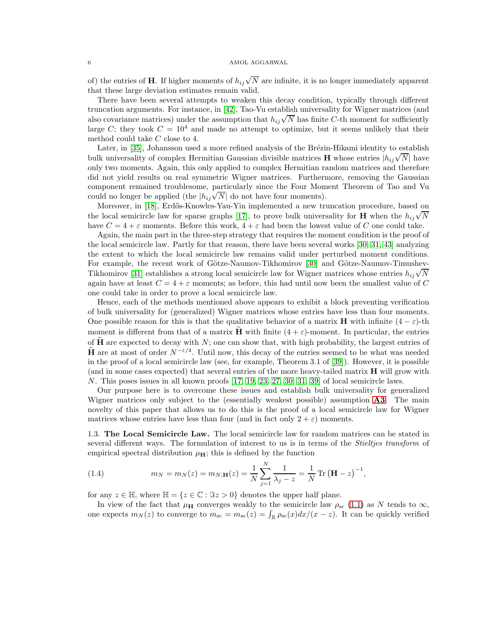of) the entries of **H**. If higher moments of  $h_{ij}\sqrt{N}$  are infinite, it is no longer immediately apparent that these large deviation estimates remain valid.

There have been several attempts to weaken this decay condition, typically through different truncation arguments. For instance, in [\[42\]](#page-44-8), Tao-Vu establish universality for Wigner matrices (and also covariance matrices) under the assumption that  $h_{ij}\sqrt{N}$  has finite C-th moment for sufficiently large C; they took  $C = 10<sup>4</sup>$  and made no attempt to optimize, but it seems unlikely that their method could take C close to 4.

Later, in [\[35\]](#page-44-24), Johansson used a more refined analysis of the Brézin-Hikami identity to establish bulk universality of complex Hermitian Gaussian divisible matrices **H** whose entries  $|h_{ij}\sqrt{N}$  have only two moments. Again, this only applied to complex Hermitian random matrices and therefore did not yield results on real symmetric Wigner matrices. Furthermore, removing the Gaussian component remained troublesome, particularly since the Four Moment Theorem of Tao and Vu compensate communication conditions, particularly since the root intentional could no longer be applied (the  $|h_{ij}\sqrt{N}|$  do not have four moments).

Moreover, in [\[18\]](#page-43-2), Erdős-Knowles-Yau-Yin implemented a new truncation procedure, based on the local semicircle law for sparse graphs [\[17\]](#page-43-12), to prove bulk universality for **H** when the  $h_{ij}\sqrt{N}$ have  $C = 4 + \varepsilon$  moments. Before this work,  $4 + \varepsilon$  had been the lowest value of C one could take.

Again, the main part in the three-step strategy that requires the moment condition is the proof of the local semicircle law. Partly for that reason, there have been several works [\[30,](#page-44-18) [31,](#page-44-19) [43\]](#page-44-25) analyzing the extent to which the local semicircle law remains valid under perturbed moment conditions. For example, the recent work of Götze-Naumov-Tikhomirov [\[30\]](#page-44-18) and Götze-Naumov-Timushev-Tikhomirov [\[31\]](#page-44-19) establishes a strong local semicircle law for Wigner matrices whose entries  $h_{ij}\sqrt{N}$ again have at least  $C = 4 + \varepsilon$  moments; as before, this had until now been the smallest value of C one could take in order to prove a local semicircle law.

Hence, each of the methods mentioned above appears to exhibit a block preventing verification of bulk universality for (generalized) Wigner matrices whose entries have less than four moments. One possible reason for this is that the qualitative behavior of a matrix **H** with infinite  $(4 - \varepsilon)$ -th moment is different from that of a matrix **H** with finite  $(4 + \varepsilon)$ -moment. In particular, the entries of  $\hat{H}$  are expected to decay with N; one can show that, with high probability, the largest entries of **H** are at most of order  $N^{-\epsilon/4}$ . Until now, this decay of the entries seemed to be what was needed in the proof of a local semicircle law (see, for example, Theorem 3.1 of [\[39\]](#page-44-14)). However, it is possible (and in some cases expected) that several entries of the more heavy-tailed matrix H will grow with N. This poses issues in all known proofs [\[17,](#page-43-12) [19,](#page-43-13) [23,](#page-44-11) [27,](#page-44-17) [30,](#page-44-18) [31,](#page-44-19) [39\]](#page-44-14) of local semicircle laws.

Our purpose here is to overcome these issues and establish bulk universality for generalized Wigner matrices only subject to the (essentially weakest possible) assumption **[A3](#page-1-1)**. The main novelty of this paper that allows us to do this is the proof of a local semicircle law for Wigner matrices whose entries have less than four (and in fact only  $2 + \varepsilon$ ) moments.

<span id="page-5-0"></span>1.3. The Local Semicircle Law. The local semicircle law for random matrices can be stated in several different ways. The formulation of interest to us is in terms of the *Stieltjes transform* of empirical spectral distribution  $\mu_{\mathbf{H}}$ ; this is defined by the function

<span id="page-5-1"></span>(1.4) 
$$
m_N = m_N(z) = m_{N;\mathbf{H}}(z) = \frac{1}{N} \sum_{j=1}^{N} \frac{1}{\lambda_j - z} = \frac{1}{N} \text{Tr} (\mathbf{H} - z)^{-1},
$$

for any  $z \in \mathbb{H}$ , where  $\mathbb{H} = \{z \in \mathbb{C} : \Im z > 0\}$  denotes the upper half plane.

In view of the fact that  $\mu_{\mathbf{H}}$  converges weakly to the semicircle law  $\rho_{\rm sc}$  [\(1.1\)](#page-1-3) as N tends to  $\infty$ , one expects  $m_N(z)$  to converge to  $m_{\rm sc} = m_{\rm sc}(z) = \int_{\mathbb{R}} \rho_{\rm sc}(x) dx/(x-z)$ . It can be quickly verified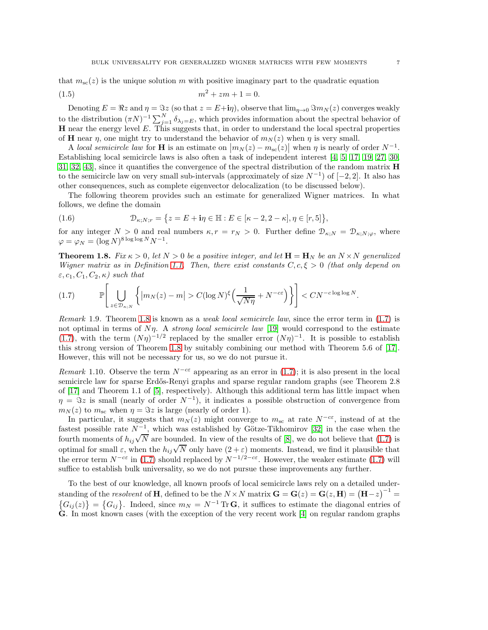that  $m_{\rm sc}(z)$  is the unique solution m with positive imaginary part to the quadratic equation

<span id="page-6-2"></span>(1.5) 
$$
m^2 + zm + 1 = 0.
$$

Denoting  $E = \Re z$  and  $\eta = \Im z$  (so that  $z = E + i\eta$ ), observe that  $\lim_{\eta \to 0} \Im m_N(z)$  converges weakly to the distribution  $(\pi N)^{-1} \sum_{j=1}^{N} \delta_{\lambda_j=E}$ , which provides information about the spectral behavior of **H** near the energy level  $E$ . This suggests that, in order to understand the local spectral properties of **H** near  $\eta$ , one might try to understand the behavior of  $m_N(z)$  when  $\eta$  is very small.

A local semicircle law for **H** is an estimate on  $|m_N(z) - m_{\rm sc}(z)|$  when  $\eta$  is nearly of order  $N^{-1}$ . Establishing local semicircle laws is also often a task of independent interest [\[4,](#page-43-18) [5,](#page-43-15) [17,](#page-43-12) [19,](#page-43-13) [27,](#page-44-17) [30,](#page-44-18) [31,](#page-44-19) [32,](#page-44-26) [43\]](#page-44-25), since it quantifies the convergence of the spectral distribution of the random matrix H to the semicircle law on very small sub-intervals (approximately of size  $N^{-1}$ ) of  $[-2, 2]$ . It also has other consequences, such as complete eigenvector delocalization (to be discussed below).

The following theorem provides such an estimate for generalized Wigner matrices. In what follows, we define the domain

<span id="page-6-3"></span>(1.6) 
$$
\mathcal{D}_{\kappa;N;r} = \{z = E + \mathbf{i}\eta \in \mathbb{H} : E \in [\kappa - 2, 2 - \kappa], \eta \in [r,5]\},\
$$

for any integer  $N > 0$  and real numbers  $\kappa$ ,  $r = r_N > 0$ . Further define  $\mathcal{D}_{\kappa;N} = \mathcal{D}_{\kappa;N;\varphi}$ , where  $\varphi = \varphi_N = (\log N)^{8 \log \log N} N^{-1}.$ 

<span id="page-6-0"></span>**Theorem 1.8.** Fix  $\kappa > 0$ , let  $N > 0$  be a positive integer, and let  $\mathbf{H} = \mathbf{H}_N$  be an  $N \times N$  generalized Wigner matrix as in Definition [1.1.](#page-1-2) Then, there exist constants  $C, c, \xi > 0$  (that only depend on  $\varepsilon, c_1, C_1, C_2, \kappa$ ) such that

<span id="page-6-1"></span>
$$
(1.7) \qquad \mathbb{P}\Bigg[\bigcup_{z\in\mathcal{D}_{\kappa;N}}\bigg\{\big|m_N(z)-m\big|>C(\log N)^{\xi}\Big(\frac{1}{\sqrt{N\eta}}+N^{-c\varepsilon}\Big)\bigg\}\Bigg]
$$

Remark 1.9. Theorem [1.8](#page-6-0) is known as a *weak local semicircle law*, since the error term in [\(1.7\)](#page-6-1) is not optimal in terms of  $N\eta$ . A strong local semicircle law [\[19\]](#page-43-13) would correspond to the estimate [\(1.7\)](#page-6-1), with the term  $(N\eta)^{-1/2}$  replaced by the smaller error  $(N\eta)^{-1}$ . It is possible to establish this strong version of Theorem [1.8](#page-6-0) by suitably combining our method with Theorem 5.6 of [\[17\]](#page-43-12). However, this will not be necessary for us, so we do not pursue it.

Remark 1.10. Observe the term  $N^{-c\varepsilon}$  appearing as an error in [\(1.7\)](#page-6-1); it is also present in the local semicircle law for sparse Erdős-Renyi graphs and sparse regular random graphs (see Theorem 2.8 of [\[17\]](#page-43-12) and Theorem 1.1 of [\[5\]](#page-43-15), respectively). Although this additional term has little impact when  $\eta = \Im z$  is small (nearly of order  $N^{-1}$ ), it indicates a possible obstruction of convergence from  $m_N(z)$  to  $m_{\rm sc}$  when  $\eta = \Im z$  is large (nearly of order 1).

In particular, it suggests that  $m_N(z)$  might converge to  $m_{sc}$  at rate  $N^{-c\varepsilon}$ , instead of at the fastest possible rate  $N^{-1}$ , which was established by Götze-Tikhomirov [\[32\]](#page-44-26) in the case when the fourth moments of  $h_{ij}\sqrt{N}$  are bounded. In view of the results of [\[8\]](#page-43-19), we do not believe that [\(1.7\)](#page-6-1) is optimal for small  $\varepsilon$ , when the  $h_{ij}\sqrt{N}$  only have  $(2+\varepsilon)$  moments. Instead, we find it plausible that the error term  $N^{-c\varepsilon}$  in [\(1.7\)](#page-6-1) should replaced by  $N^{-1/2-c\varepsilon}$ . However, the weaker estimate (1.7) will suffice to establish bulk universality, so we do not pursue these improvements any further.

To the best of our knowledge, all known proofs of local semicircle laws rely on a detailed understanding of the *resolvent* of **H**, defined to be the  $N \times N$  matrix  $\mathbf{G} = \mathbf{G}(z) = \mathbf{G}(z, \mathbf{H}) = (\mathbf{H} - z)^{-1} =$  ${G_{ij}(z)} = {G_{ij}}$ . Indeed, since  $m_N = N^{-1} \text{Tr } G$ , it suffices to estimate the diagonal entries of G. In most known cases (with the exception of the very recent work [\[4\]](#page-43-18) on regular random graphs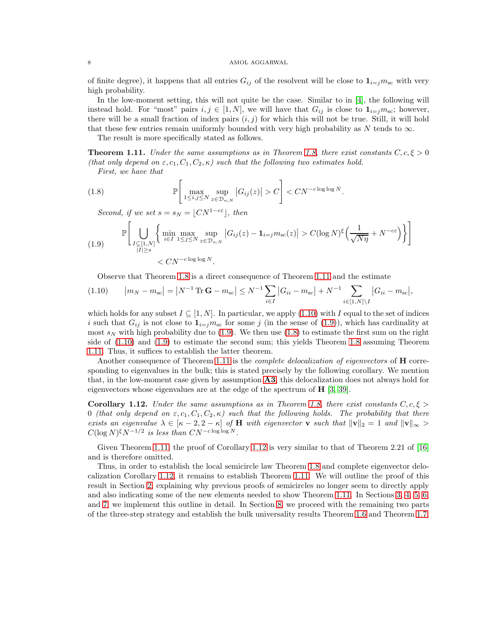of finite degree), it happens that all entries  $G_{ij}$  of the resolvent will be close to  $\mathbf{1}_{i=j}m_{sc}$  with very high probability.

In the low-moment setting, this will not quite be the case. Similar to in [\[4\]](#page-43-18), the following will instead hold. For "most" pairs  $i, j \in [1, N]$ , we will have that  $G_{ij}$  is close to  $\mathbf{1}_{i=j} m_{sc}$ ; however, there will be a small fraction of index pairs  $(i, j)$  for which this will not be true. Still, it will hold that these few entries remain uniformly bounded with very high probability as  $N$  tends to  $\infty$ .

The result is more specifically stated as follows.

<span id="page-7-0"></span>**Theorem 1.11.** Under the same assumptions as in Theorem [1.8,](#page-6-0) there exist constants  $C, c, \xi > 0$ (that only depend on  $\varepsilon$ ,  $c_1$ ,  $C_1$ ,  $C_2$ ,  $\kappa$ ) such that the following two estimates hold.

First, we have that

<span id="page-7-3"></span>(1.8) 
$$
\mathbb{P}\left[\max_{1\leq i,j\leq N}\sup_{z\in\mathcal{D}_{\kappa;N}}|G_{ij}(z)|>C\right]
$$

Second, if we set  $s = s_N = \lfloor C N^{1-c\varepsilon} \rfloor$ , then

<span id="page-7-2"></span>(1.9) 
$$
\mathbb{P}\bigg[\bigcup_{\substack{I \subseteq [1,N]\\|I| \ge s}} \bigg\{ \min_{i \in I} \max_{1 \le j \le N} \sup_{z \in \mathcal{D}_{\kappa;N}} |G_{ij}(z) - \mathbf{1}_{i=j} m_{\mathrm{sc}}(z)| > C(\log N)^{\xi} \Big(\frac{1}{\sqrt{N\eta}} + N^{-c\varepsilon}\Big) \bigg\} \bigg]
$$
  

$$
< CN^{-c \log \log N}.
$$

Observe that Theorem [1.8](#page-6-0) is a direct consequence of Theorem [1.11](#page-7-0) and the estimate

<span id="page-7-1"></span>
$$
(1.10) \t |m_N - m_{\rm sc}| = |N^{-1} \operatorname{Tr} \mathbf{G} - m_{\rm sc}| \le N^{-1} \sum_{i \in I} |G_{ii} - m_{\rm sc}| + N^{-1} \sum_{i \in [1, N] \setminus I} |G_{ii} - m_{\rm sc}|,
$$

which holds for any subset  $I \subseteq [1, N]$ . In particular, we apply [\(1.10\)](#page-7-1) with I equal to the set of indices i such that  $G_{ij}$  is not close to  $\mathbf{1}_{i=j}m_{sc}$  for some j (in the sense of [\(1.9\)](#page-7-2)), which has cardinality at most  $s_N$  with high probability due to [\(1.9\)](#page-7-2). We then use [\(1.8\)](#page-7-3) to estimate the first sum on the right side of [\(1.10\)](#page-7-1) and [\(1.9\)](#page-7-2) to estimate the second sum; this yields Theorem [1.8](#page-6-0) assuming Theorem [1.11.](#page-7-0) Thus, it suffices to establish the latter theorem.

Another consequence of Theorem [1.11](#page-7-0) is the *complete delocalization of eigenvectors* of  $\bf{H}$  corresponding to eigenvalues in the bulk; this is stated precisely by the following corollary. We mention that, in the low-moment case given by assumption  $\mathbf{A3}$  $\mathbf{A3}$  $\mathbf{A3}$ , this delocalization does not always hold for eigenvectors whose eigenvalues are at the edge of the spectrum of  $H$  [\[3,](#page-43-10) [39\]](#page-44-14).

<span id="page-7-4"></span>**Corollary 1.12.** Under the same assumptions as in Theorem [1.8,](#page-6-0) there exist constants  $C, c, \xi > 0$ 0 (that only depend on  $\varepsilon$ ,  $c_1$ ,  $C_1$ ,  $C_2$ ,  $\kappa$ ) such that the following holds. The probability that there exists an eigenvalue  $\lambda \in [\kappa - 2, 2 - \kappa]$  of H with eigenvector **v** such that  $||\mathbf{v}||_2 = 1$  and  $||\mathbf{v}||_{\infty} >$  $C(\log N)^{\xi}N^{-1/2}$  is less than  $CN^{-c \log \log N}$ .

Given Theorem [1.11,](#page-7-0) the proof of Corollary [1.12](#page-7-4) is very similar to that of Theorem 2.21 of [\[16\]](#page-43-11) and is therefore omitted.

Thus, in order to establish the local semicircle law Theorem [1.8](#page-6-0) and complete eigenvector delocalization Corollary [1.12,](#page-7-4) it remains to establish Theorem [1.11.](#page-7-0) We will outline the proof of this result in Section [2,](#page-8-0) explaining why previous proofs of semicircles no longer seem to directly apply and also indicating some of the new elements needed to show Theorem [1.11.](#page-7-0) In Sections [3,](#page-11-0) [4,](#page-16-0) [5,](#page-19-0) [6,](#page-24-0) and [7,](#page-28-0) we implement this outline in detail. In Section [8,](#page-31-0) we proceed with the remaining two parts of the three-step strategy and establish the bulk universality results Theorem [1.6](#page-3-3) and Theorem [1.7;](#page-3-4)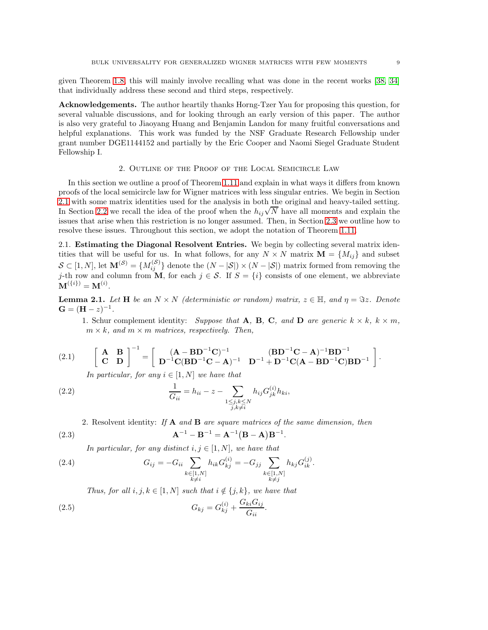given Theorem [1.8,](#page-6-0) this will mainly involve recalling what was done in the recent works [\[38,](#page-44-7) [34\]](#page-44-6) that individually address these second and third steps, respectively.

Acknowledgements. The author heartily thanks Horng-Tzer Yau for proposing this question, for several valuable discussions, and for looking through an early version of this paper. The author is also very grateful to Jiaoyang Huang and Benjamin Landon for many fruitful conversations and helpful explanations. This work was funded by the NSF Graduate Research Fellowship under grant number DGE1144152 and partially by the Eric Cooper and Naomi Siegel Graduate Student Fellowship I.

# 2. Outline of the Proof of the Local Semicircle Law

<span id="page-8-0"></span>In this section we outline a proof of Theorem [1.11](#page-7-0) and explain in what ways it differs from known proofs of the local semicircle law for Wigner matrices with less singular entries. We begin in Section [2.1](#page-8-1) with some matrix identities used for the analysis in both the original and heavy-tailed setting. In Section [2.2](#page-10-0) we recall the idea of the proof when the  $h_{ij}\sqrt{N}$  have all moments and explain the issues that arise when this restriction is no longer assumed. Then, in Section [2.3](#page-11-1) we outline how to resolve these issues. Throughout this section, we adopt the notation of Theorem [1.11.](#page-7-0)

<span id="page-8-1"></span>2.1. Estimating the Diagonal Resolvent Entries. We begin by collecting several matrix identities that will be useful for us. In what follows, for any  $N \times N$  matrix  $\mathbf{M} = \{M_{ij}\}\$ and subset  $S \subset [1, N]$ , let  $\mathbf{M}^{(S)} = \{M_{ij}^{(S)}\}$  denote the  $(N - |S|) \times (N - |S|)$  matrix formed from removing the j-th row and column from M, for each  $j \in S$ . If  $S = \{i\}$  consists of one element, we abbreviate  ${\bf M}^{(\{i\})} = {\bf M}^{(i)}.$ 

**Lemma 2.1.** Let H be an  $N \times N$  (deterministic or random) matrix,  $z \in \mathbb{H}$ , and  $\eta = \Im z$ . Denote  $G = (H - z)^{-1}.$ 

1. Schur complement identity: Suppose that A, B, C, and D are generic  $k \times k$ ,  $k \times m$ ,  $m \times k$ , and  $m \times m$  matrices, respectively. Then,

<span id="page-8-2"></span>(2.1) 
$$
\begin{bmatrix} A & B \\ C & D \end{bmatrix}^{-1} = \begin{bmatrix} (A - BD^{-1}C)^{-1} & (BD^{-1}C - A)^{-1}BD^{-1} \\ D^{-1}C(BD^{-1}C - A)^{-1} & D^{-1} + D^{-1}C(A - BD^{-1}C)BD^{-1} \end{bmatrix}.
$$

In particular, for any  $i \in [1, N]$  we have that

<span id="page-8-3"></span>(2.2) 
$$
\frac{1}{G_{ii}} = h_{ii} - z - \sum_{\substack{1 \le j,k \le N \\ j,k \ne i}} h_{ij} G_{jk}^{(i)} h_{ki},
$$

2. Resolvent identity: If  $A$  and  $B$  are square matrices of the same dimension, then

<span id="page-8-4"></span>(2.3) 
$$
A^{-1} - B^{-1} = A^{-1} (B - A) B^{-1}.
$$

In particular, for any distinct  $i, j \in [1, N]$ , we have that

<span id="page-8-5"></span>(2.4) 
$$
G_{ij} = -G_{ii} \sum_{\substack{k \in [1,N] \\ k \neq i}} h_{ik} G_{kj}^{(i)} = -G_{jj} \sum_{\substack{k \in [1,N] \\ k \neq j}} h_{kj} G_{ik}^{(j)}.
$$

Thus, for all  $i, j, k \in [1, N]$  such that  $i \notin \{j, k\}$ , we have that

<span id="page-8-6"></span>(2.5) 
$$
G_{kj} = G_{kj}^{(i)} + \frac{G_{ki}G_{ij}}{G_{ii}}.
$$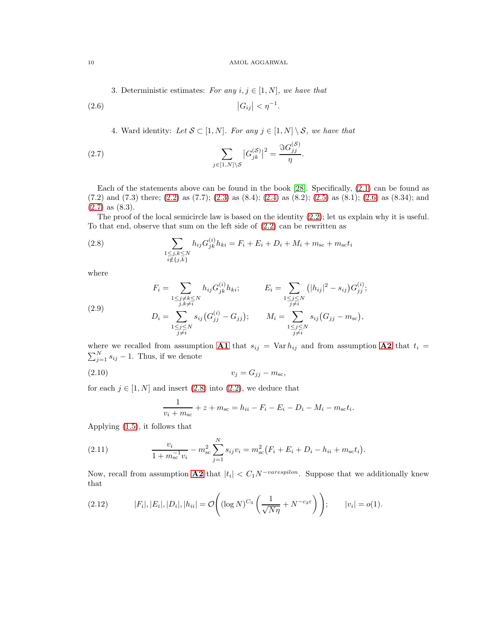3. Deterministic estimates: For any  $i, j \in [1, N]$ , we have that

<span id="page-9-0"></span>
$$
|G_{ij}| < \eta^{-1}.
$$

4. Ward identity: Let  $S \subset [1, N]$ . For any  $j \in [1, N] \setminus S$ , we have that

<span id="page-9-1"></span>(2.7) 
$$
\sum_{j \in [1, N] \setminus S} |G_{jk}^{(S)}|^2 = \frac{\Im G_{jj}^{(S)}}{\eta}.
$$

Each of the statements above can be found in the book [\[28\]](#page-44-12). Specifically, [\(2.1\)](#page-8-2) can be found as  $(7.2)$  and  $(7.3)$  there;  $(2.2)$  as  $(7.7)$ ;  $(2.3)$  as  $(8.4)$ ;  $(2.4)$  as  $(8.2)$ ;  $(2.5)$  as  $(8.1)$ ;  $(2.6)$  as  $(8.34)$ ; and  $(2.7)$  as  $(8.3)$ .

The proof of the local semicircle law is based on the identity [\(2.2\)](#page-8-3); let us explain why it is useful. To that end, observe that sum on the left side of [\(2.2\)](#page-8-3) can be rewritten as

<span id="page-9-2"></span>(2.8) 
$$
\sum_{\substack{1 \leq j,k \leq N \\ i \notin \{j,k\}}} h_{ij} G_{jk}^{(i)} h_{ki} = F_i + E_i + D_i + M_i + m_{sc} + m_{sc} t_i
$$

where

<span id="page-9-5"></span>(2.9) 
$$
F_{i} = \sum_{\substack{1 \leq j \neq k \leq N \\ j,k \neq i}} h_{ij} G_{jk}^{(i)} h_{ki}; \qquad E_{i} = \sum_{\substack{1 \leq j \leq N \\ j \neq i}} (|h_{ij}|^{2} - s_{ij}) G_{jj}^{(i)};
$$

$$
D_{i} = \sum_{\substack{1 \leq j \leq N \\ j \neq i}} s_{ij} (G_{jj}^{(i)} - G_{jj}); \qquad M_{i} = \sum_{\substack{1 \leq j \leq N \\ j \neq i}} s_{ij} (G_{jj} - m_{sc}),
$$

where we recalled from assumption **[A1](#page-1-4)** that  $s_{ij} = \text{Var } h_{ij}$  and from assumption **[A2](#page-1-5)** that  $t_i =$  $\sum_{j=1}^{N} s_{ij} - 1$ . Thus, if we denote

<span id="page-9-6"></span>
$$
(2.10) \t\t v_j = G_{jj} - m_{\rm sc},
$$

for each  $j \in [1, N]$  and insert [\(2.8\)](#page-9-2) into [\(2.2\)](#page-8-3), we deduce that

$$
\frac{1}{v_i + m_{\rm sc}} + z + m_{\rm sc} = h_{ii} - F_i - E_i - D_i - M_i - m_{\rm sc}t_i.
$$

Applying [\(1.5\)](#page-6-2), it follows that

<span id="page-9-3"></span>(2.11) 
$$
\frac{v_i}{1 + m_{\rm sc}^{-1} v_i} - m_{\rm sc}^2 \sum_{j=1}^N s_{ij} v_i = m_{\rm sc}^2 (F_i + E_i + D_i - h_{ii} + m_{\rm sc} t_i).
$$

Now, recall from assumption **[A2](#page-1-5)** that  $|t_i| < C_1 N^{-\text{varespilon}}$ . Suppose that we additionally knew that

<span id="page-9-4"></span>(2.12) 
$$
|F_i|, |E_i|, |D_i|, |h_{ii}| = \mathcal{O}\left((\log N)^{C_3}\left(\frac{1}{\sqrt{N\eta}} + N^{-c_2\varepsilon}\right)\right); \qquad |v_i| = o(1).
$$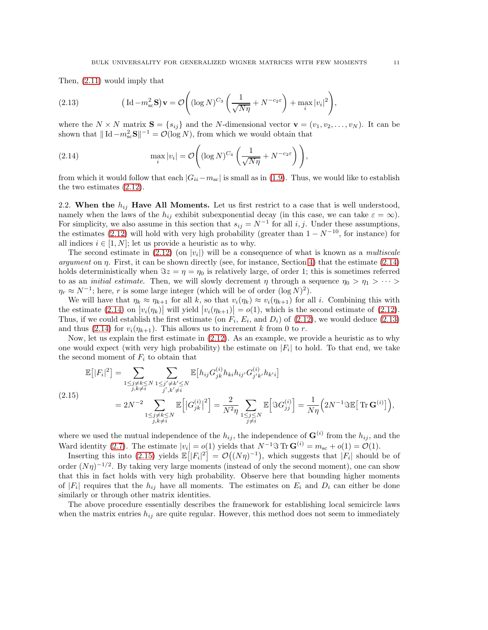Then, [\(2.11\)](#page-9-3) would imply that

<span id="page-10-2"></span>(2.13) 
$$
\left(\mathrm{Id} - m_{\mathrm{sc}}^2 \mathbf{S}\right) \mathbf{v} = \mathcal{O}\left( (\log N)^{C_3} \left( \frac{1}{\sqrt{N\eta}} + N^{-c_2 \varepsilon} \right) + \max_i |v_i|^2 \right),
$$

where the  $N \times N$  matrix  $S = \{s_{ij}\}\$ and the N-dimensional vector  $\mathbf{v} = (v_1, v_2, \dots, v_N)$ . It can be shown that  $\|\mathrm{Id} - m_{\mathrm{sc}}^2 \mathbf{S}\|^{-1} = \mathcal{O}(\log N)$ , from which we would obtain that

<span id="page-10-1"></span>(2.14) 
$$
\max_{i} |v_i| = \mathcal{O}\left( (\log N)^{C_4} \left( \frac{1}{\sqrt{N\eta}} + N^{-c_2 \varepsilon} \right) \right),
$$

from which it would follow that each  $|G_{ii}-m_{sc}|$  is small as in [\(1.9\)](#page-7-2). Thus, we would like to establish the two estimates [\(2.12\)](#page-9-4).

<span id="page-10-0"></span>2.2. When the  $h_{ij}$  Have All Moments. Let us first restrict to a case that is well understood, namely when the laws of the  $h_{ij}$  exhibit subexponential decay (in this case, we can take  $\varepsilon = \infty$ ). For simplicity, we also assume in this section that  $s_{ij} = N^{-1}$  for all i, j. Under these assumptions, the estimates [\(2.12\)](#page-9-4) will hold with very high probability (greater than  $1 - N^{-10}$ , for instance) for all indices  $i \in [1, N]$ ; let us provide a heuristic as to why.

The second estimate in  $(2.12)$  (on  $|v_i|$ ) will be a consequence of what is known as a *multiscale* argument on  $\eta$ . First, it can be shown directly (see, for instance, Section [4\)](#page-16-0) that the estimate [\(2.14\)](#page-10-1) holds deterministically when  $\Im z = \eta = \eta_0$  is relatively large, of order 1; this is sometimes referred to as an *initial estimate*. Then, we will slowly decrement  $\eta$  through a sequence  $\eta_0 > \eta_1 > \cdots >$  $\eta_r \approx N^{-1}$ ; here, r is some large integer (which will be of order  $(\log N)^2$ ).

We will have that  $\eta_k \approx \eta_{k+1}$  for all k, so that  $v_i(\eta_k) \approx v_i(\eta_{k+1})$  for all i. Combining this with the estimate [\(2.14\)](#page-10-1) on  $|v_i(\eta_k)|$  will yield  $|v_i(\eta_{k+1})| = o(1)$ , which is the second estimate of [\(2.12\)](#page-9-4). Thus, if we could establish the first estimate (on  $F_i$ ,  $E_i$ , and  $D_i$ ) of [\(2.12\)](#page-9-4), we would deduce [\(2.13\)](#page-10-2) and thus [\(2.14\)](#page-10-1) for  $v_i(\eta_{k+1})$ . This allows us to increment k from 0 to r.

Now, let us explain the first estimate in [\(2.12\)](#page-9-4). As an example, we provide a heuristic as to why one would expect (with very high probability) the estimate on  $|F_i|$  to hold. To that end, we take the second moment of  $F_i$  to obtain that

<span id="page-10-3"></span>
$$
\mathbb{E}[|F_i|^2] = \sum_{\substack{1 \le j \ne k \le N \\ j,k \ne i}} \sum_{\substack{1 \le j' \ne k' \le N \\ j',k' \ne i}} \mathbb{E}[h_{ij} G_{jk}^{(i)} h_{ki} h_{ij'} G_{j'k'}^{(i)} h_{k'i}]
$$
\n
$$
(2.15) \qquad \qquad = 2N^{-2} \sum_{\substack{1 \le j \ne k \le N \\ j,k \ne i}} \mathbb{E}[|G_{jk}^{(i)}|^2] = \frac{2}{N^2 \eta} \sum_{\substack{1 \le j \le N \\ j \ne i}} \mathbb{E}[\Im G_{jj}^{(i)}] = \frac{1}{N \eta} \Big( 2N^{-1} \Im \mathbb{E}[ \operatorname{Tr} \mathbf{G}^{(i)}] \Big),
$$

where we used the mutual independence of the  $h_{ij}$ , the independence of  $\mathbf{G}^{(i)}$  from the  $h_{ij}$ , and the Ward identity [\(2.7\)](#page-9-1). The estimate  $|v_i| = o(1)$  yields that  $N^{-1}$  $\Im$  Tr  $\mathbf{G}^{(i)} = m_{\rm sc} + o(1) = \mathcal{O}(1)$ .

Inserting this into [\(2.15\)](#page-10-3) yields  $\mathbb{E}[|F_i|^2] = \mathcal{O}((N\eta)^{-1})$ , which suggests that  $|F_i|$  should be of order  $(N\eta)^{-1/2}$ . By taking very large moments (instead of only the second moment), one can show that this in fact holds with very high probability. Observe here that bounding higher moments of  $|F_i|$  requires that the  $h_{ij}$  have all moments. The estimates on  $E_i$  and  $D_i$  can either be done similarly or through other matrix identities.

The above procedure essentially describes the framework for establishing local semicircle laws when the matrix entries  $h_{ij}$  are quite regular. However, this method does not seem to immediately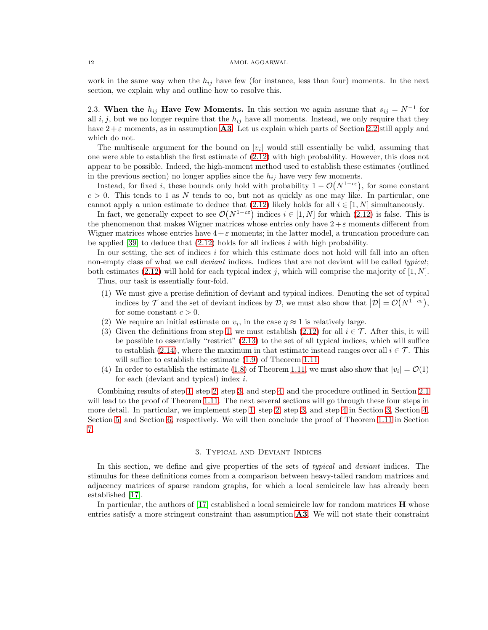work in the same way when the  $h_{ij}$  have few (for instance, less than four) moments. In the next section, we explain why and outline how to resolve this.

<span id="page-11-1"></span>2.3. When the  $h_{ij}$  Have Few Moments. In this section we again assume that  $s_{ij} = N^{-1}$  for all i, j, but we no longer require that the  $h_{ij}$  have all moments. Instead, we only require that they have  $2 + \varepsilon$  moments, as in assumption **[A3](#page-1-1)**. Let us explain which parts of Section [2.2](#page-10-0) still apply and which do not.

The multiscale argument for the bound on  $|v_i|$  would still essentially be valid, assuming that one were able to establish the first estimate of [\(2.12\)](#page-9-4) with high probability. However, this does not appear to be possible. Indeed, the high-moment method used to establish these estimates (outlined in the previous section) no longer applies since the  $h_{ij}$  have very few moments.

Instead, for fixed i, these bounds only hold with probability  $1 - \mathcal{O}(N^{1-c\varepsilon})$ , for some constant  $c > 0$ . This tends to 1 as N tends to  $\infty$ , but not as quickly as one may like. In particular, one cannot apply a union estimate to deduce that [\(2.12\)](#page-9-4) likely holds for all  $i \in [1, N]$  simultaneously.

In fact, we generally expect to see  $\mathcal{O}(N^{1-c\varepsilon})$  indices  $i \in [1, N]$  for which  $(2.12)$  is false. This is the phenomenon that makes Wigner matrices whose entries only have  $2 + \varepsilon$  moments different from Wigner matrices whose entries have  $4+\varepsilon$  moments; in the latter model, a truncation procedure can be applied [\[39\]](#page-44-14) to deduce that  $(2.12)$  holds for all indices i with high probability.

In our setting, the set of indices  $i$  for which this estimate does not hold will fall into an often non-empty class of what we call *deviant* indices. Indices that are not deviant will be called typical; both estimates [\(2.12\)](#page-9-4) will hold for each typical index j, which will comprise the majority of  $[1, N]$ . Thus, our task is essentially four-fold.

- <span id="page-11-2"></span>(1) We must give a precise definition of deviant and typical indices. Denoting the set of typical indices by  $\mathcal T$  and the set of deviant indices by  $\mathcal D$ , we must also show that  $|\mathcal D| = \mathcal O(N^{1-c\varepsilon})$ , for some constant  $c > 0$ .
- <span id="page-11-4"></span><span id="page-11-3"></span>(2) We require an initial estimate on  $v_i$ , in the case  $\eta \approx 1$  is relatively large.
- (3) Given the definitions from step [1,](#page-11-2) we must establish [\(2.12\)](#page-9-4) for all  $i \in \mathcal{T}$ . After this, it will be possible to essentially "restrict" [\(2.13\)](#page-10-2) to the set of all typical indices, which will suffice to establish [\(2.14\)](#page-10-1), where the maximum in that estimate instead ranges over all  $i \in \mathcal{T}$ . This will suffice to establish the estimate  $(1.9)$  of Theorem [1.11.](#page-7-0)
- <span id="page-11-5"></span>(4) In order to establish the estimate [\(1.8\)](#page-7-3) of Theorem [1.11,](#page-7-0) we must also show that  $|v_i| = \mathcal{O}(1)$ for each (deviant and typical) index  $i$ .

Combining results of step [1,](#page-11-2) step [2,](#page-11-3) step [3,](#page-11-4) and step [4,](#page-11-5) and the procedure outlined in Section [2.1](#page-8-1) will lead to the proof of Theorem [1.11.](#page-7-0) The next several sections will go through these four steps in more detail. In particular, we implement step [1,](#page-11-2) step [2,](#page-11-3) step [3,](#page-11-4) and step [4](#page-11-5) in Section [3,](#page-11-0) Section [4,](#page-16-0) Section [5,](#page-19-0) and Section [6,](#page-24-0) respectively. We will then conclude the proof of Theorem [1.11](#page-7-0) in Section [7.](#page-28-0)

# 3. Typical and Deviant Indices

<span id="page-11-0"></span>In this section, we define and give properties of the sets of *typical* and *deviant* indices. The stimulus for these definitions comes from a comparison between heavy-tailed random matrices and adjacency matrices of sparse random graphs, for which a local semicircle law has already been established [\[17\]](#page-43-12).

In particular, the authors of  $[17]$  established a local semicircle law for random matrices  $\bf{H}$  whose entries satisfy a more stringent constraint than assumption  $\bf{A3}$  $\bf{A3}$  $\bf{A3}$ . We will not state their constraint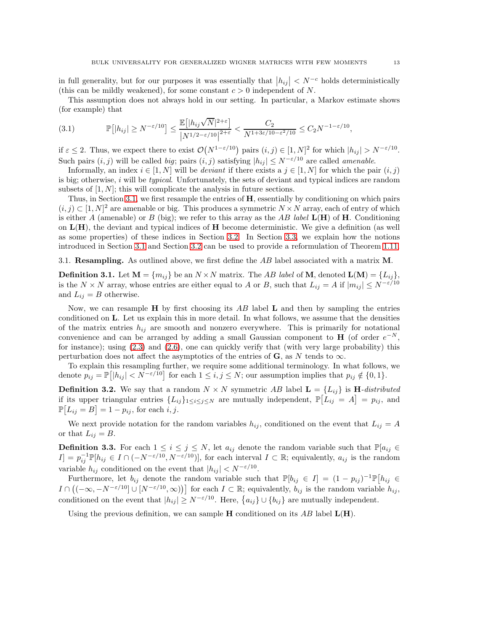in full generality, but for our purposes it was essentially that  $|h_{ij}| < N^{-c}$  holds deterministically (this can be mildly weakened), for some constant  $c > 0$  independent of N.

This assumption does not always hold in our setting. In particular, a Markov estimate shows (for example) that

<span id="page-12-1"></span>(3.1) 
$$
\mathbb{P}\big[|h_{ij}| \ge N^{-\varepsilon/10}\big] \le \frac{\mathbb{E}\big[|h_{ij}\sqrt{N}|^{2+\varepsilon}\big]}{|N^{1/2-\varepsilon/10}|^{2+\varepsilon}} < \frac{C_2}{N^{1+3\varepsilon/10-\varepsilon^2/10}} \le C_2 N^{-1-\varepsilon/10},
$$

if  $\varepsilon \leq 2$ . Thus, we expect there to exist  $\mathcal{O}(N^{1-\varepsilon/10})$  pairs  $(i, j) \in [1, N]^2$  for which  $|h_{ij}| > N^{-\varepsilon/10}$ . Such pairs  $(i, j)$  will be called big; pairs  $(i, j)$  satisfying  $|h_{ij}| \leq N^{-\epsilon/10}$  are called amenable.

Informally, an index  $i \in [1, N]$  will be *deviant* if there exists a  $j \in [1, N]$  for which the pair  $(i, j)$ is big; otherwise,  $i$  will be *typical*. Unfortunately, the sets of deviant and typical indices are random subsets of  $[1, N]$ ; this will complicate the analysis in future sections.

Thus, in Section [3.1,](#page-12-0) we first resample the entries of  $H$ , essentially by conditioning on which pairs  $(i, j) \subset [1, N]^2$  are amenable or big. This produces a symmetric  $N \times N$  array, each of entry of which is either A (amenable) or B (big); we refer to this array as the AB label  $L(H)$  of H. Conditioning on  $L(H)$ , the deviant and typical indices of  $H$  become deterministic. We give a definition (as well as some properties) of these indices in Section [3.2.](#page-13-0) In Section [3.3,](#page-14-0) we explain how the notions introduced in Section [3.1](#page-12-0) and Section [3.2](#page-13-0) can be used to provide a reformulation of Theorem [1.11.](#page-7-0)

<span id="page-12-0"></span>3.1. Resampling. As outlined above, we first define the  $AB$  label associated with a matrix M.

**Definition 3.1.** Let  $\mathbf{M} = \{m_{ij}\}\$ be an  $N \times N$  matrix. The AB label of **M**, denoted  $\mathbf{L}(\mathbf{M}) = \{L_{ij}\}\$ , is the  $N \times N$  array, whose entries are either equal to A or B, such that  $L_{ij} = A$  if  $|m_{ij}| \le N^{-\varepsilon/10}$ and  $L_{ij} = B$  otherwise.

Now, we can resample  $H$  by first choosing its AB label  $L$  and then by sampling the entries conditioned on L. Let us explain this in more detail. In what follows, we assume that the densities of the matrix entries  $h_{ij}$  are smooth and nonzero everywhere. This is primarily for notational convenience and can be arranged by adding a small Gaussian component to **H** (of order  $e^{-N}$ , for instance); using  $(2.3)$  and  $(2.6)$ , one can quickly verify that (with very large probability) this perturbation does not affect the asymptotics of the entries of  $\bf{G}$ , as N tends to  $\infty$ .

To explain this resampling further, we require some additional terminology. In what follows, we denote  $p_{ij} = \mathbb{P}[|h_{ij}| < N^{-\varepsilon/10}]$  for each  $1 \le i, j \le N$ ; our assumption implies that  $p_{ij} \notin \{0, 1\}$ .

**Definition 3.2.** We say that a random  $N \times N$  symmetric AB label  $\mathbf{L} = \{L_{ii}\}\$ is **H**-distributed if its upper triangular entries  $\{L_{ij}\}_{1\leq i\leq j\leq N}$  are mutually independent,  $\mathbb{P}[L_{ij} = A] = p_{ij}$ , and  $\mathbb{P}[L_{ij} = B] = 1 - p_{ij}$ , for each *i*, *j*.

We next provide notation for the random variables  $h_{ij}$ , conditioned on the event that  $L_{ij} = A$ or that  $L_{ij} = B$ .

<span id="page-12-2"></span>**Definition 3.3.** For each  $1 \leq i \leq j \leq N$ , let  $a_{ij}$  denote the random variable such that  $\mathbb{P}[a_{ij}] \in$  $I] = p_{ij}^{-1} \mathbb{P}[h_{ij} \in I \cap (-N^{-\varepsilon/10}, N^{-\varepsilon/10})],$  for each interval  $I \subset \mathbb{R}$ ; equivalently,  $a_{ij}$  is the random variable  $h_{ij}$  conditioned on the event that  $|h_{ij}| < N^{-\varepsilon/10}$ .

Furthermore, let  $b_{ij}$  denote the random variable such that  $\mathbb{P}[b_{ij} \in I] = (1 - p_{ij})^{-1} \mathbb{P}[h_{ij} \in$  $I \cap ((-\infty, -N^{-\varepsilon/10}] \cup [N^{-\varepsilon/10}, \infty))]$  for each  $I \subset \mathbb{R}$ ; equivalently,  $b_{ij}$  is the random variable  $h_{ij}$ , conditioned on the event that  $|h_{ij}| \ge N^{-\varepsilon/10}$ . Here,  $\{a_{ij}\} \cup \{b_{ij}\}\$ are mutually independent.

Using the previous definition, we can sample **H** conditioned on its AB label  $\mathbf{L}(\mathbf{H})$ .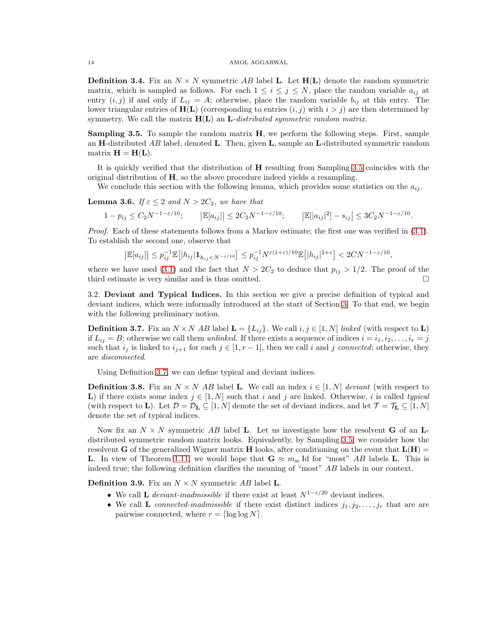<span id="page-13-3"></span>**Definition 3.4.** Fix an  $N \times N$  symmetric AB label L. Let  $H(L)$  denote the random symmetric matrix, which is sampled as follows. For each  $1 \leq i \leq j \leq N$ , place the random variable  $a_{ij}$  at entry  $(i, j)$  if and only if  $L_{ij} = A$ ; otherwise, place the random variable  $b_{ij}$  at this entry. The lower triangular entries of  $H(L)$  (corresponding to entries  $(i, j)$  with  $i > j$ ) are then determined by symmetry. We call the matrix  $H(L)$  an L-distributed symmetric random matrix.

<span id="page-13-1"></span>Sampling 3.5. To sample the random matrix H, we perform the following steps. First, sample an H-distributed AB label, denoted L. Then, given  $\bf{L}$ , sample an L-distributed symmetric random matrix  $\mathbf{H} = \mathbf{H}(\mathbf{L}).$ 

It is quickly verified that the distribution of H resulting from Sampling [3.5](#page-13-1) coincides with the original distribution of  $H$ , so the above procedure indeed yields a resampling.

We conclude this section with the following lemma, which provides some statistics on the  $a_{ij}$ .

<span id="page-13-4"></span>**Lemma 3.6.** If  $\varepsilon \leq 2$  and  $N > 2C_2$ , we have that

 $1 - p_{ij} \le C_2 N^{-1 - \varepsilon/10};$   $\left| \mathbb{E}[a_{ij}] \right| \le 2C_2 N^{-1 - \varepsilon/10};$   $\left| \mathbb{E}[|a_{ij}|^2] - s_{ij} \right| \le 3C_2 N^{-1 - \varepsilon/10}.$ 

Proof. Each of these statements follows from a Markov estimate; the first one was verified in  $(3.1)$ . To establish the second one, observe that

$$
\left|\mathbb{E}[a_{ij}]\right| \le p_{ij}^{-1}\mathbb{E}\left[|h_{ij}|\mathbf{1}_{h_{ij}
$$

where we have used [\(3.1\)](#page-12-1) and the fact that  $N > 2C_2$  to deduce that  $p_{ij} > 1/2$ . The proof of the third estimate is very similar and is thus omitted.

<span id="page-13-0"></span>3.2. Deviant and Typical Indices. In this section we give a precise definition of typical and deviant indices, which were informally introduced at the start of Section [3.](#page-11-0) To that end, we begin with the following preliminary notion.

<span id="page-13-2"></span>**Definition 3.7.** Fix an  $N \times N$  AB label  $\mathbf{L} = \{L_{ij}\}\$ . We call  $i, j \in [1, N]$  linked (with respect to  $\mathbf{L}$ ) if  $L_{ij} = B$ ; otherwise we call them unlinked. If there exists a sequence of indices  $i = i_1, i_2, \ldots, i_r = j$ such that  $i_j$  is linked to  $i_{j+1}$  for each  $j \in [1, r-1]$ , then we call i and j connected; otherwise, they are disconnected.

Using Definition [3.7,](#page-13-2) we can define typical and deviant indices.

**Definition 3.8.** Fix an  $N \times N$  AB label L. We call an index  $i \in [1, N]$  deviant (with respect to L) if there exists some index  $j \in [1, N]$  such that i and j are linked. Otherwise, i is called typical (with respect to **L**). Let  $\mathcal{D} = \mathcal{D}_L \subseteq [1, N]$  denote the set of deviant indices, and let  $\mathcal{T} = \mathcal{T}_L \subseteq [1, N]$ denote the set of typical indices.

Now fix an  $N \times N$  symmetric AB label L. Let us investigate how the resolvent G of an Ldistributed symmetric random matrix looks. Equivalently, by Sampling [3.5,](#page-13-1) we consider how the resolvent G of the generalized Wigner matrix H looks, after conditioning on the event that  $L(H)$  = **L.** In view of Theorem [1.11,](#page-7-0) we would hope that  $G \approx m_{sc}$  Id for "most" AB labels **L**. This is indeed true; the following definition clarifies the meaning of "most" AB labels in our context.

**Definition 3.9.** Fix an  $N \times N$  symmetric AB label **L**.

- We call **L** deviant-inadmissible if there exist at least  $N^{1-\epsilon/20}$  deviant indices.
- We call L connected-inadmissible if there exist distinct indices  $j_1, j_2, \ldots, j_r$  that are are pairwise connected, where  $r = \lceil \log \log N \rceil$ .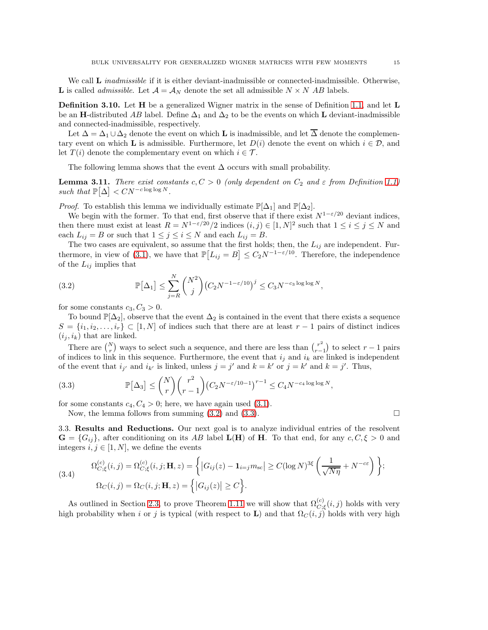We call **L** *inadmissible* if it is either deviant-inadmissible or connected-inadmissible. Otherwise, **L** is called *admissible*. Let  $\mathcal{A} = \mathcal{A}_N$  denote the set all admissible  $N \times N$  *AB* labels.

**Definition 3.10.** Let H be a generalized Wigner matrix in the sense of Definition [1.1,](#page-1-2) and let L be an H-distributed AB label. Define  $\Delta_1$  and  $\Delta_2$  to be the events on which L deviant-inadmissible and connected-inadmissible, respectively.

Let  $\Delta = \Delta_1 \cup \Delta_2$  denote the event on which **L** is inadmissible, and let  $\overline{\Delta}$  denote the complementary event on which **L** is admissible. Furthermore, let  $D(i)$  denote the event on which  $i \in \mathcal{D}$ , and let  $T(i)$  denote the complementary event on which  $i \in \mathcal{T}$ .

The following lemma shows that the event  $\Delta$  occurs with small probability.

<span id="page-14-3"></span>**Lemma 3.11.** There exist constants  $c, C > 0$  (only dependent on  $C_2$  and  $\varepsilon$  from Definition [1.1\)](#page-1-2) such that  $\mathbb{P}[\Delta] < CN^{-c \log \log N}$ .

*Proof.* To establish this lemma we individually estimate  $\mathbb{P}[\Delta_1]$  and  $\mathbb{P}[\Delta_2]$ .

We begin with the former. To that end, first observe that if there exist  $N^{1-\varepsilon/20}$  deviant indices, then there must exist at least  $R = N^{1-\epsilon/20}/2$  indices  $(i, j) \in [1, N]^2$  such that  $1 \le i \le j \le N$  and each  $L_{ij} = B$  or such that  $1 \leq j \leq i \leq N$  and each  $L_{ij} = B$ .

The two cases are equivalent, so assume that the first holds; then, the  $L_{ij}$  are independent. Fur-thermore, in view of [\(3.1\)](#page-12-1), we have that  $\mathbb{P}[L_{ij} = B] \leq C_2 N^{-1-\varepsilon/10}$ . Therefore, the independence of the  $L_{ij}$  implies that

<span id="page-14-1"></span>(3.2) 
$$
\mathbb{P}[\Delta_1] \leq \sum_{j=R}^N {N^2 \choose j} (C_2 N^{-1-\varepsilon/10})^j \leq C_3 N^{-c_3 \log \log N},
$$

for some constants  $c_3, C_3 > 0$ .

To bound  $\mathbb{P}[\Delta_2]$ , observe that the event  $\Delta_2$  is contained in the event that there exists a sequence  $S = \{i_1, i_2, \ldots, i_r\} \subset [1, N]$  of indices such that there are at least  $r - 1$  pairs of distinct indices  $(i_j, i_k)$  that are linked.

There are  $\binom{N}{r}$  ways to select such a sequence, and there are less than  $\binom{r^2}{r-1}$  $\binom{r^2}{r-1}$  to select  $r-1$  pairs of indices to link in this sequence. Furthermore, the event that  $i_j$  and  $i_k$  are linked is independent of the event that  $i_{j'}$  and  $i_{k'}$  is linked, unless  $j = j'$  and  $k = k'$  or  $j = k'$  and  $k = j'$ . Thus,

<span id="page-14-2"></span>(3.3) 
$$
\mathbb{P}[\Delta_3] \le {N \choose r} {r^2 \choose r-1} (C_2 N^{-\varepsilon/10-1})^{r-1} \le C_4 N^{-c_4 \log \log N},
$$

for some constants  $c_4, C_4 > 0$ ; here, we have again used [\(3.1\)](#page-12-1).

Now, the lemma follows from summing  $(3.2)$  and  $(3.3)$ .

<span id="page-14-0"></span>3.3. Results and Reductions. Our next goal is to analyze individual entries of the resolvent  $\mathbf{G} = \{G_{ij}\}\text{, after conditioning on its }AB\text{ label }\mathbf{L}(\mathbf{H})\text{ of }\mathbf{H}\text{. To that end, for any }c, C, \xi > 0\text{ and }d$ integers  $i, j \in [1, N]$ , we define the events

<span id="page-14-4"></span>(3.4)  
\n
$$
\Omega_{C;\xi}^{(c)}(i,j) = \Omega_{C;\xi}^{(c)}(i,j; \mathbf{H}, z) = \left\{ |G_{ij}(z) - \mathbf{1}_{i=j} m_{\mathrm{sc}}| \ge C (\log N)^{3\xi} \left(\frac{1}{\sqrt{N\eta}} + N^{-c\varepsilon}\right) \right\};
$$
\n
$$
\Omega_C(i,j) = \Omega_C(i,j; \mathbf{H}, z) = \left\{ |G_{ij}(z)| \ge C \right\}.
$$

As outlined in Section [2.3,](#page-11-1) to prove Theorem [1.11](#page-7-0) we will show that  $\Omega_{C;\xi}^{(c)}(i,j)$  holds with very high probability when i or j is typical (with respect to L) and that  $\Omega_C(i,j)$  holds with very high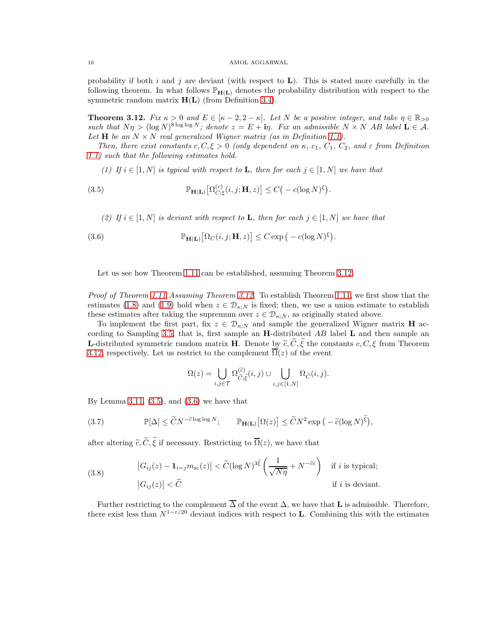probability if both i and j are deviant (with respect to  $\bf{L}$ ). This is stated more carefully in the following theorem. In what follows  $\mathbb{P}_{H(L)}$  denotes the probability distribution with respect to the symmetric random matrix  $H(L)$  (from Definition [3.4\)](#page-13-3).

<span id="page-15-0"></span>**Theorem 3.12.** Fix  $\kappa > 0$  and  $E \in [\kappa - 2, 2 - \kappa]$ . Let N be a positive integer, and take  $\eta \in \mathbb{R}_{>0}$ such that  $N\eta > (\log N)^{8 \log \log N}$ ; denote  $z = E + i\eta$ . Fix an admissible  $N \times N$  AB label  $L \in \mathcal{A}$ . Let **H** be an  $N \times N$  real generalized Wigner matrix (as in Definition [1.1\)](#page-1-2).

Then, there exist constants c,  $C, \xi > 0$  (only dependent on  $\kappa$ ,  $c_1$ ,  $C_1$ ,  $C_2$ , and  $\varepsilon$  from Definition [1.1\)](#page-1-2) such that the following estimates hold.

(1) If  $i \in [1, N]$  is typical with respect to **L**, then for each  $j \in [1, N]$  we have that

<span id="page-15-1"></span>(3.5) 
$$
\mathbb{P}_{\mathbf{H}(\mathbf{L})}\big[\Omega_{C;\xi}^{(c)}(i,j;\mathbf{H},z)\big] \leq C\big(-c(\log N)^{\xi}\big).
$$

(2) If  $i \in [1, N]$  is deviant with respect to **L**, then for each  $j \in [1, N]$  we have that

<span id="page-15-2"></span>(3.6) 
$$
\mathbb{P}_{\mathbf{H}(\mathbf{L})}\big[\Omega_C(i,j;\mathbf{H},z)\big] \leq C \exp\big(-c(\log N)^{\xi}\big).
$$

Let us see how Theorem [1.11](#page-7-0) can be established, assuming Theorem [3.12.](#page-15-0)

Proof of Theorem [1.11](#page-7-0) Assuming Theorem [3.12.](#page-15-0) To establish Theorem [1.11,](#page-7-0) we first show that the estimates [\(1.8\)](#page-7-3) and [\(1.9\)](#page-7-2) hold when  $z \in \mathcal{D}_{\kappa,N}$  is fixed; then, we use a union estimate to establish these estimates after taking the supremum over  $z \in \mathcal{D}_{\kappa;N}$ , as originally stated above.

To implement the first part, fix  $z \in \mathcal{D}_{\kappa,N}$  and sample the generalized Wigner matrix **H** ac-cording to Sampling [3.5,](#page-13-1) that is, first sample an **H**-distributed  $AB$  label **L** and then sample an **L**-distributed symmetric random matrix **H**. Denote by  $\tilde{c}, \tilde{C}, \tilde{\xi}$  the constants  $c, C, \xi$  from Theorem [3.12,](#page-15-0) respectively. Let us restrict to the complement  $\overline{\Omega}(z)$  of the event

$$
\Omega(z)=\bigcup_{i,j\in\mathcal{T}}\Omega^{(\widetilde{c})}_{\widetilde{C};\widetilde{\xi}}(i,j)\cup\bigcup_{i,j\in[1,N]}\Omega_{\widetilde{C}}(i,j).
$$

By Lemma [3.11,](#page-14-3)  $(3.5)$ , and  $(3.6)$  we have that

<span id="page-15-3"></span>(3.7) 
$$
\mathbb{P}[\Delta] \leq \widetilde{C} N^{-\widetilde{c} \log \log N}; \qquad \mathbb{P}_{\mathbf{H}(\mathbf{L})}[\Omega(z)] \leq \widetilde{C} N^2 \exp \big(-\widetilde{c} (\log N)^{\widetilde{\xi}}\big),
$$

after altering  $\tilde{c}, \tilde{C}, \tilde{\xi}$  if necessary. Restricting to  $\overline{\Omega}(z)$ , we have that

<span id="page-15-4"></span>(3.8) 
$$
\left|G_{ij}(z) - \mathbf{1}_{i=j} m_{\rm sc}(z)\right| < \widetilde{C}(\log N)^{3\widetilde{\xi}} \left(\frac{1}{\sqrt{N\eta}} + N^{-\widetilde{c}\varepsilon}\right) \text{ if } i \text{ is typical;}
$$

$$
\left|G_{ij}(z)\right| < \widetilde{C} \text{ if } i \text{ is deviation.}
$$

Further restricting to the complement  $\overline{\Delta}$  of the event  $\Delta$ , we have that **L** is admissible. Therefore, there exist less than  $N^{1-\epsilon/20}$  deviant indices with respect to **L**. Combining this with the estimates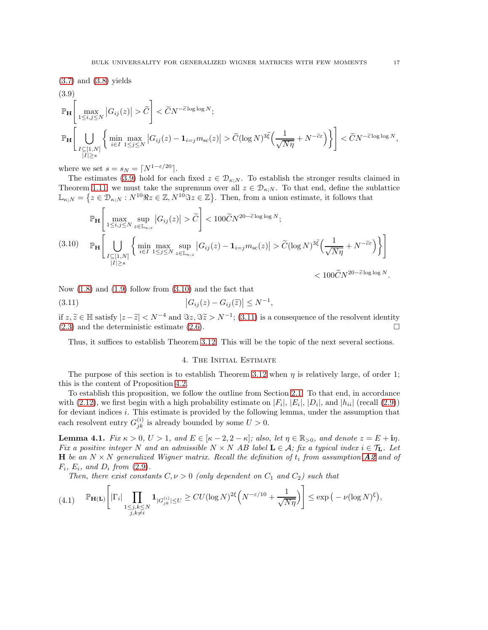<span id="page-16-1"></span>(3.7) and (3.8) yields  
\n
$$
\mathbb{P}_{\mathbf{H}}\left[\max_{1\leq i,j\leq N}|G_{ij}(z)|>\widetilde{C}\right] < \widetilde{C}N^{-\widetilde{c}\log\log N};
$$
\n
$$
\mathbb{P}_{\mathbf{H}}\left[\bigcup_{\substack{I\subseteq[1,N]\\|I|\geq s}}\left\{\min_{i\in I}\max_{1\leq j\leq N}|G_{ij}(z)-\mathbf{1}_{i=j}m_{\mathrm{sc}}(z)|>\widetilde{C}(\log N)^{3\widetilde{\xi}}\left(\frac{1}{\sqrt{N\eta}}+N^{-\widetilde{c}\varepsilon}\right)\right\}\right] < \widetilde{C}N^{-\widetilde{c}\log\log N},
$$

where we set  $s = s_N = \lceil N^{1-\epsilon/20} \rceil$ .

The estimates [\(3.9\)](#page-16-1) hold for each fixed  $z \in \mathcal{D}_{\kappa;N}$ . To establish the stronger results claimed in Theorem [1.11,](#page-7-0) we must take the supremum over all  $z \in \mathcal{D}_{\kappa;N}$ . To that end, define the sublattice  $\mathbb{L}_{\kappa;N} = \left\{ z \in \mathcal{D}_{\kappa;N} : N^{10}\Re z \in \mathbb{Z}, N^{10}\Im z \in \mathbb{Z} \right\}$ . Then, from a union estimate, it follows that

<span id="page-16-2"></span>
$$
\mathbb{P}_{\mathbf{H}}\left[\max_{1\leq i,j\leq N}\sup_{z\in\mathbb{L}_{\kappa;z}}|G_{ij}(z)|>\widetilde{C}\right]<100\widetilde{C}N^{20-\widetilde{c}\log\log N};
$$
\n(3.10) 
$$
\mathbb{P}_{\mathbf{H}}\left[\bigcup_{\substack{I\subseteq[1,N]\\|I|\geq s}}\left\{\min_{i\in I}\max_{1\leq j\leq N}\sup_{z\in\mathbb{L}_{\kappa;z}}|G_{ij}(z)-\mathbf{1}_{i=j}m_{\mathrm{sc}}(z)|>\widetilde{C}(\log N)^{3\widetilde{\xi}}\left(\frac{1}{\sqrt{N\eta}}+N^{-\widetilde{c}\varepsilon}\right)\right\}\right]<100\widetilde{C}N^{20-\widetilde{c}\log\log N}.
$$

Now  $(1.8)$  and  $(1.9)$  follow from  $(3.10)$  and the fact that

<span id="page-16-3"></span>(3.11) 
$$
|G_{ij}(z) - G_{ij}(\tilde{z})| \le N^{-1},
$$

if  $z, \tilde{z} \in \mathbb{H}$  satisfy  $|z - \tilde{z}| < N^{-4}$  and  $\Im z, \Im \tilde{z} > N^{-1}$ ; [\(3.11\)](#page-16-3) is a consequence of the resolvent identity  $(2.3)$  and the deterministic estimate  $(2.6)$ .

<span id="page-16-0"></span>Thus, it suffices to establish Theorem [3.12.](#page-15-0) This will be the topic of the next several sections.

# 4. The Initial Estimate

The purpose of this section is to establish Theorem [3.12](#page-15-0) when  $\eta$  is relatively large, of order 1; this is the content of Proposition [4.2.](#page-18-0)

To establish this proposition, we follow the outline from Section [2.1.](#page-8-1) To that end, in accordance with [\(2.12\)](#page-9-4), we first begin with a high probability estimate on  $|F_i|$ ,  $|E_i|$ ,  $|D_i|$ , and  $|h_{ii}|$  (recall [\(2.9\)](#page-9-5)) for deviant indices i. This estimate is provided by the following lemma, under the assumption that each resolvent entry  $G_{jk}^{(i)}$  is already bounded by some  $U > 0$ .

<span id="page-16-5"></span>**Lemma 4.1.** Fix  $\kappa > 0$ ,  $U > 1$ , and  $E \in [\kappa - 2, 2 - \kappa]$ ; also, let  $\eta \in \mathbb{R}_{>0}$ , and denote  $z = E + i\eta$ . Fix a positive integer N and an admissible  $N \times N$  AB label  $\mathbf{L} \in \mathcal{A}$ ; fix a typical index  $i \in \mathcal{T}_\mathbf{L}$ . Let **H** be an  $N \times N$  generalized Wigner matrix. Recall the definition of  $t_i$  from assumption  $A2$  and of  $F_i$ ,  $E_i$ , and  $D_i$  from [\(2.9\)](#page-9-5).

Then, there exist constants  $C, \nu > 0$  (only dependent on  $C_1$  and  $C_2$ ) such that

<span id="page-16-4"></span>
$$
(4.1) \qquad \mathbb{P}_{\mathbf{H}(\mathbf{L})}\left[\left|\Gamma_{i}\right|\prod_{\substack{1\leq j,k\leq N\\j,k\neq i}}\mathbf{1}_{|G_{jk}^{(i)}|\leq U}\geq CU(\log N)^{2\xi}\left(N^{-\varepsilon/10}+\frac{1}{\sqrt{N\eta}}\right)\right]\leq \exp\left(-\nu(\log N)^{\xi}\right),
$$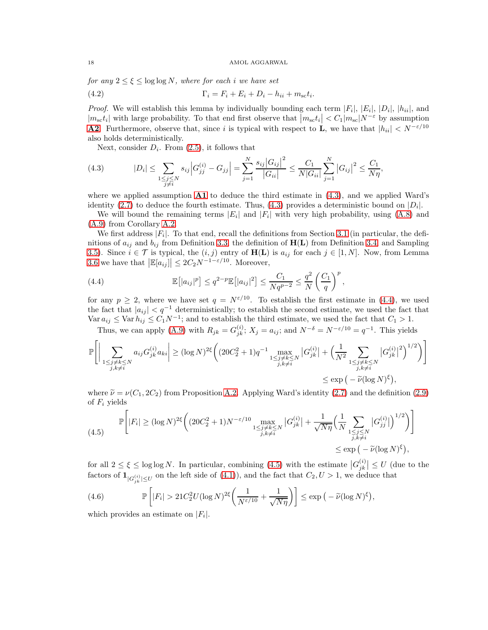for any  $2 \leq \xi \leq \log \log N$ , where for each i we have set

<span id="page-17-4"></span>(4.2) 
$$
\Gamma_i = F_i + E_i + D_i - h_{ii} + m_{sc}t_i.
$$

*Proof.* We will establish this lemma by individually bounding each term  $|F_i|, |E_i|, |D_i|, |h_{ii}|$ , and  $|m_{sc}t_i|$  with large probability. To that end first observe that  $\left| m_{sc}t_i \right| < C_1 | m_{sc} | N^{-\varepsilon}$  by assumption **[A2](#page-1-5).** Furthermore, observe that, since i is typical with respect to **L**, we have that  $|h_{ii}| \lt N^{-\varepsilon/10}$ also holds deterministically.

Next, consider  $D_i$ . From  $(2.5)$ , it follows that

<span id="page-17-0"></span>(4.3) 
$$
|D_i| \leq \sum_{\substack{1 \leq j \leq N \\ j \neq i}} s_{ij} \left| G_{jj}^{(i)} - G_{jj} \right| = \sum_{j=1}^N \frac{s_{ij} \left| G_{ij} \right|^2}{\left| G_{ii} \right|} \leq \frac{C_1}{N |G_{ii}|} \sum_{j=1}^N \left| G_{ij} \right|^2 \leq \frac{C_1}{N \eta},
$$

where we applied assumption  $\mathbf{A1}$  $\mathbf{A1}$  $\mathbf{A1}$  to deduce the third estimate in [\(4.3\)](#page-17-0), and we applied Ward's identity [\(2.7\)](#page-9-1) to deduce the fourth estimate. Thus, [\(4.3\)](#page-17-0) provides a deterministic bound on  $|D_i|$ .

We will bound the remaining terms  $|E_i|$  and  $|F_i|$  with very high probability, using  $(A.8)$  and [\(A.9\)](#page-41-0) from Corollary [A.2.](#page-40-1)

We first address  $|F_i|$ . To that end, recall the definitions from Section [3.1](#page-12-0) (in particular, the definitions of  $a_{ij}$  and  $b_{ij}$  from Definition [3.3,](#page-12-2) the definition of  $H(L)$  from Definition [3.4,](#page-13-3) and Sampling [3.5\)](#page-13-1). Since  $i \in \mathcal{T}$  is typical, the  $(i, j)$  entry of  $\mathbf{H}(\mathbf{L})$  is  $a_{ij}$  for each  $j \in [1, N]$ . Now, from Lemma [3.6](#page-13-4) we have that  $\left| \mathbb{E}[a_{ij}] \right| \leq 2C_2 N^{-1-\varepsilon/10}$ . Moreover,

<span id="page-17-1"></span>(4.4) 
$$
\mathbb{E}[|a_{ij}|^p] \le q^{2-p} \mathbb{E}[|a_{ij}|^2] \le \frac{C_1}{Nq^{p-2}} \le \frac{q^2}{N} \left(\frac{C_1}{q}\right)^p,
$$

for any  $p \geq 2$ , where we have set  $q = N^{\epsilon/10}$ . To establish the first estimate in [\(4.4\)](#page-17-1), we used the fact that  $|a_{ij}| < q^{-1}$  deterministically; to establish the second estimate, we used the fact that  $\text{Var } a_{ij} \leq \text{Var } h_{ij} \leq C_1 N^{-1}$ ; and to establish the third estimate, we used the fact that  $C_1 > 1$ .

Thus, we can apply [\(A.9\)](#page-41-0) with  $R_{jk} = G_{jk}^{(i)}$ ;  $X_j = a_{ij}$ ; and  $N^{-\delta} = N^{-\epsilon/10} = q^{-1}$ . This yields

$$
\mathbb{P}\Bigg[\Big|\sum_{\substack{1\leq j\neq k\leq N\\j,k\neq i}}a_{ij}G_{jk}^{(i)}a_{ki}\Big|\geq (\log N)^{2\xi}\Big((20C_2^2+1)q^{-1}\max_{\substack{1\leq j\neq k\leq N\\j,k\neq i}}|G_{jk}^{(i)}|+\Big(\frac{1}{N^2}\sum_{\substack{1\leq j\neq k\leq N\\j,k\neq i}}|G_{jk}^{(i)}|^2\Big)^{1/2}\Big)\Bigg]\Bigg]
$$
  

$$
\leq \exp\Big(-\widetilde{\nu}(\log N)^{\xi}\Big),
$$

where  $\tilde{\nu} = \nu(C_1, 2C_2)$  from Proposition [A.2.](#page-40-1) Applying Ward's identity [\(2.7\)](#page-9-1) and the definition [\(2.9\)](#page-9-5) of  $F_i$  yields

<span id="page-17-2"></span>
$$
\mathbb{P}\left[\left|F_{i}\right| \geq (\log N)^{2\xi} \left( (20C_{2}^{2}+1)N^{-\varepsilon/10} \max_{\substack{1 \leq j \neq k \leq N \\ j,k \neq i}} \left|G_{jk}^{(i)}\right| + \frac{1}{\sqrt{N\eta}} \left(\frac{1}{N} \sum_{\substack{1 \leq j \leq N \\ j,k \neq i}} \left|G_{jj}^{(i)}\right|\right)^{1/2}\right)\right] \leq (4.5) \leq \exp\left(-\widetilde{\nu}(\log N)^{\xi}\right),
$$

for all  $2 \leq \xi \leq \log \log N$ . In particular, combining [\(4.5\)](#page-17-2) with the estimate  $|G_{jk}^{(i)}|$  $\binom{(i)}{jk} \leq U$  (due to the factors of  $\mathbf{1}_{|G_{jk}^{(i)}| \leq U}$  on the left side of [\(4.1\)](#page-16-4)), and the fact that  $C_2, U > 1$ , we deduce that

<span id="page-17-3"></span>(4.6) 
$$
\mathbb{P}\left[|F_i| > 21C_2^2U(\log N)^{2\xi}\left(\frac{1}{N^{\varepsilon/10}} + \frac{1}{\sqrt{N\eta}}\right)\right] \leq \exp\left(-\widetilde{\nu}(\log N)^{\xi}\right),
$$

which provides an estimate on  $|F_i|$ .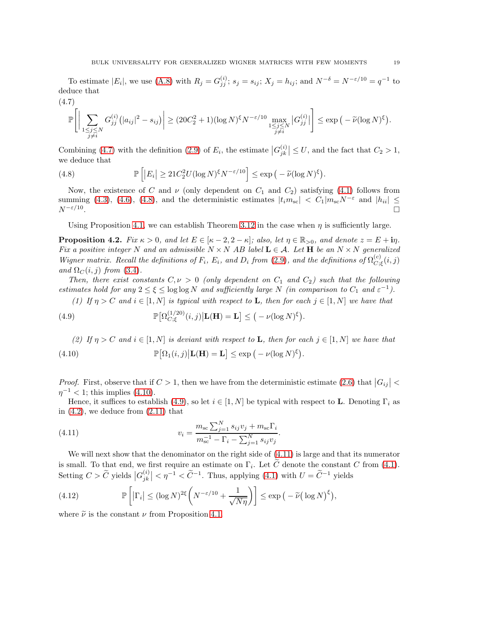To estimate  $|E_i|$ , we use [\(A.8\)](#page-40-0) with  $R_j = G_{jj}^{(i)}$ ;  $s_j = s_{ij}$ ;  $X_j = h_{ij}$ ; and  $N^{-\delta} = N^{-\epsilon/10} = q^{-1}$  to deduce that

<span id="page-18-1"></span>
$$
\mathbb{P}\Bigg[\Big|\sum_{\substack{1\leq j\leq N\\j\neq i}}G_{jj}^{(i)}\big(|a_{ij}|^2-s_{ij}\big)\Big|\geq (20C_2^2+1)(\log N)^{\xi}N^{-\varepsilon/10}\max_{\substack{1\leq j\leq N\\j\neq i}}\big|G_{jj}^{(i)}\big|\Bigg]\leq \exp\big(-\widetilde{\nu}(\log N)^{\xi}\big).
$$

Combining [\(4.7\)](#page-18-1) with the definition [\(2.9\)](#page-9-5) of  $E_i$ , the estimate  $|G_{jk}^{(i)}|$  $\left|\frac{\langle i \rangle}{jk}\right| \leq U$ , and the fact that  $C_2 > 1$ , we deduce that

<span id="page-18-2"></span>(4.8) 
$$
\mathbb{P}\left[|E_i| \ge 21C_2^2 U(\log N)^{\xi} N^{-\varepsilon/10}\right] \le \exp\left(-\widetilde{\nu}(\log N)^{\xi}\right).
$$

Now, the existence of C and  $\nu$  (only dependent on  $C_1$  and  $C_2$ ) satisfying [\(4.1\)](#page-16-4) follows from summing [\(4.3\)](#page-17-0), [\(4.6\)](#page-17-3), [\(4.8\)](#page-18-2), and the deterministic estimates  $|t_i m_{\rm sc}| < C_1 |m_{\rm sc} N^{-\varepsilon}$  and  $|h_{ii}| \le N^{-\varepsilon/10}$ .  $N^{-\varepsilon/10}$ . . In the second control of the second control of the second control of the second control of the second control of

Using Proposition [4.1,](#page-16-5) we can establish Theorem [3.12](#page-15-0) in the case when  $\eta$  is sufficiently large.

<span id="page-18-0"></span>**Proposition 4.2.** Fix  $\kappa > 0$ , and let  $E \in [\kappa - 2, 2 - \kappa]$ ; also, let  $\eta \in \mathbb{R}_{>0}$ , and denote  $z = E + i\eta$ . Fix a positive integer N and an admissible  $N \times N$  AB label  $\mathbf{L} \in \mathcal{A}$ . Let H be an  $N \times N$  generalized Wigner matrix. Recall the definitions of  $F_i$ ,  $E_i$ , and  $D_i$  from [\(2.9\)](#page-9-5), and the definitions of  $\Omega_{C_i}^{(c)}$  $C_{;\xi}^{(c)}(i,j)$ and  $\Omega_C(i, j)$  from [\(3.4\)](#page-14-4).

Then, there exist constants  $C, \nu > 0$  (only dependent on  $C_1$  and  $C_2$ ) such that the following estimates hold for any  $2 \le \xi \le \log \log N$  and sufficiently large N (in comparison to  $C_1$  and  $\varepsilon^{-1}$ ).

(1) If  $\eta > C$  and  $i \in [1, N]$  is typical with respect to **L**, then for each  $j \in [1, N]$  we have that

<span id="page-18-4"></span>(4.9) 
$$
\mathbb{P}\big[\Omega_{C;\xi}^{(1/20)}(i,j)\big|\mathbf{L}(\mathbf{H})=\mathbf{L}\big]\leq \big(-\nu(\log N)^{\xi}\big).
$$

<span id="page-18-3"></span>(2) If  $\eta > C$  and  $i \in [1, N]$  is deviant with respect to **L**, then for each  $j \in [1, N]$  we have that (4.10)  $\mathbb{P}[\Omega_1(i,j)|\mathbf{L}(\mathbf{H}) = \mathbf{L}] \le \exp(-\nu(\log N)^{\xi}).$ 

*Proof.* First, observe that if  $C > 1$ , then we have from the deterministic estimate [\(2.6\)](#page-9-0) that  $|G_{ij}| <$  $\eta^{-1}$  < 1; this implies [\(4.10\)](#page-18-3).

Hence, it suffices to establish [\(4.9\)](#page-18-4), so let  $i \in [1, N]$  be typical with respect to **L**. Denoting  $\Gamma_i$  as in  $(4.2)$ , we deduce from  $(2.11)$  that

<span id="page-18-5"></span>(4.11) 
$$
v_i = \frac{m_{\rm sc} \sum_{j=1}^{N} s_{ij} v_j + m_{\rm sc} \Gamma_i}{m_{\rm sc}^{-1} - \Gamma_i - \sum_{j=1}^{N} s_{ij} v_j}.
$$

We will next show that the denominator on the right side of [\(4.11\)](#page-18-5) is large and that its numerator is small. To that end, we first require an estimate on  $\Gamma_i$ . Let C denote the constant C from [\(4.1\)](#page-16-4). Setting  $C > \widetilde{C}$  yields  $|G_{jk}^{(i)}|$  $\left|\frac{\dot{U}(i)}{jk}\right| < \eta^{-1} < \tilde{C}^{-1}$ . Thus, applying [\(4.1\)](#page-16-4) with  $U = \tilde{C}^{-1}$  yields

<span id="page-18-6"></span>(4.12) 
$$
\mathbb{P}\left[|\Gamma_i| \leq (\log N)^{2\xi} \left(N^{-\varepsilon/10} + \frac{1}{\sqrt{N\eta}}\right)\right] \leq \exp\left(-\widetilde{\nu}\left(\log N\right)^{\xi}\right),
$$

where  $\tilde{\nu}$  is the constant  $\nu$  from Proposition [4.1.](#page-16-4)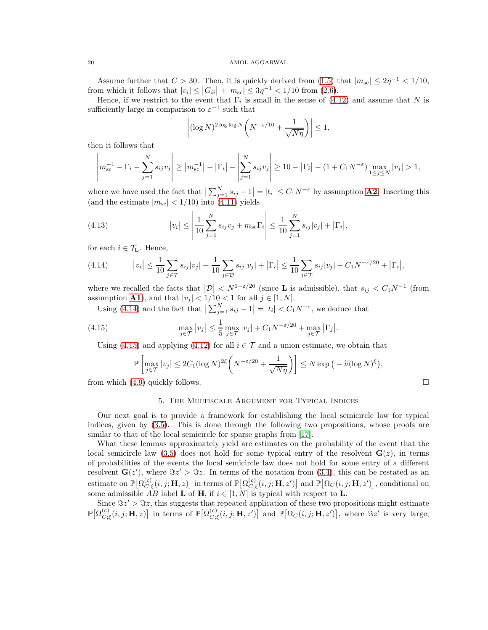Assume further that  $C > 30$ . Then, it is quickly derived from  $(1.5)$  that  $|m<sub>sc</sub>| \leq 2\eta^{-1} < 1/10$ , from which it follows that  $|v_i| \leq |G_{ii}| + |m_{sc}| \leq 3\eta^{-1} < 1/10$  from [\(2.6\)](#page-9-0).

Hence, if we restrict to the event that  $\Gamma_i$  is small in the sense of [\(4.12\)](#page-18-6) and assume that N is sufficiently large in comparison to  $\varepsilon^{-1}$  such that

$$
\left| (\log N)^{2 \log \log N} \left( N^{-\varepsilon/10} + \frac{1}{\sqrt{N\eta}} \right) \right| \le 1,
$$

then it follows that

$$
\left| m_{\text{sc}}^{-1} - \Gamma_i - \sum_{j=1}^{N} s_{ij} v_j \right| \ge \left| m_{\text{sc}}^{-1} \right| - \left| \Gamma_i \right| - \left| \sum_{j=1}^{N} s_{ij} v_j \right| \ge 10 - \left| \Gamma_i \right| - (1 + C_1 N^{-\varepsilon}) \max_{1 \le j \le N} |v_j| > 1,
$$

where we have used the fact that  $\left|\sum_{j=1}^N s_{ij} - 1\right| = |t_i| \leq C_1 N^{-\varepsilon}$  by assumption **[A2](#page-1-5)**. Inserting this (and the estimate  $|m_{\rm sc}| < 1/10$ ) into [\(4.11\)](#page-18-5) yields

(4.13) 
$$
|v_i| \le \left| \frac{1}{10} \sum_{j=1}^N s_{ij} v_j + m_{\rm sc} \Gamma_i \right| \le \frac{1}{10} \sum_{j=1}^N s_{ij} |v_j| + |\Gamma_i|,
$$

for each  $i \in \mathcal{T}_L$ . Hence,

<span id="page-19-1"></span>(4.14) 
$$
|v_i| \leq \frac{1}{10} \sum_{j \in \mathcal{T}} s_{ij} |v_j| + \frac{1}{10} \sum_{j \in \mathcal{D}} s_{ij} |v_j| + |\Gamma_i| \leq \frac{1}{10} \sum_{j \in \mathcal{T}} s_{ij} |v_j| + C_1 N^{-\varepsilon/20} + |\Gamma_i|,
$$

where we recalled the facts that  $|\mathcal{D}| < N^{1-\epsilon/20}$  (since **L** is admissible), that  $s_{ij} < C_1 N^{-1}$  (from assumption **[A1](#page-1-4)**), and that  $|v_j| < 1/10 < 1$  for all  $j \in [1, N]$ .

Using [\(4.14\)](#page-19-1) and the fact that  $\left|\sum_{j=1}^{N} s_{ij} - 1\right| = |t_i| < C_1 N^{-\varepsilon}$ , we deduce that

<span id="page-19-2"></span>(4.15) 
$$
\max_{j \in \mathcal{T}} |v_j| \leq \frac{1}{5} \max_{j \in \mathcal{T}} |v_j| + C_1 N^{-\varepsilon/20} + \max_{j \in \mathcal{T}} |\Gamma_j|.
$$

Using [\(4.15\)](#page-19-2) and applying [\(4.12\)](#page-18-6) for all  $i \in \mathcal{T}$  and a union estimate, we obtain that

$$
\mathbb{P}\left[\max_{j\in\mathcal{T}}|v_j| \le 2C_1(\log N)^{2\xi}\left(N^{-\varepsilon/20} + \frac{1}{\sqrt{N\eta}}\right)\right] \le N \exp\left(-\widetilde{\nu}(\log N)^{\xi}\right),\tag{1.1}
$$
 from which (4.9) quickly follows.

<span id="page-19-0"></span>

# 5. The Multiscale Argument for Typical Indices

Our next goal is to provide a framework for establishing the local semicircle law for typical indices, given by [\(3.5\)](#page-15-1). This is done through the following two propositions, whose proofs are similar to that of the local semicircle for sparse graphs from [\[17\]](#page-43-12).

What these lemmas approximately yield are estimates on the probability of the event that the local semicircle law [\(3.5\)](#page-15-1) does not hold for some typical entry of the resolvent  $\mathbf{G}(z)$ , in terms of probabilities of the events the local semicircle law does not hold for some entry of a different resolvent  $\mathbf{G}(z')$ , where  $\Im z' > \Im z$ . In terms of the notation from [\(3.4\)](#page-14-4), this can be restated as an estimate on  $\mathbb{P}[\Omega_C^{(c)}]$  $\left[C\right]_{C;\xi}(i,j;{\bf H},z)\big]$  in terms of  $\mathbb{P}\big[\Omega^{(c)}_{C;i}]$  $\mathcal{L}^{(c)}_{C;\xi}(i,j;\mathbf{H},z')\big]$  and  $\mathbb{P}\big[\Omega_C(i,j;\mathbf{H},z')\big]$ , conditional on some admissible  $AB$  label **L** of **H**, if  $i \in [1, N]$  is typical with respect to **L**.

Since  $\Im z' > \Im z$ , this suggests that repeated application of these two propositions might estimate  $\mathbb{P}\big[ \Omega_{C}^{(c)} \big]$  $\left[C\right]_{C;\xi}(i,j;{\bf H},z)\big]$  in terms of  $\mathbb{P}\big[\Omega^{(c)}_{C;i}]$  $\mathcal{L}^{(c)}_{C;\xi}(i,j;\mathbf{H},z')$  and  $\mathbb{P}[\Omega_C(i,j;\mathbf{H},z')]$ , where  $\Im z'$  is very large;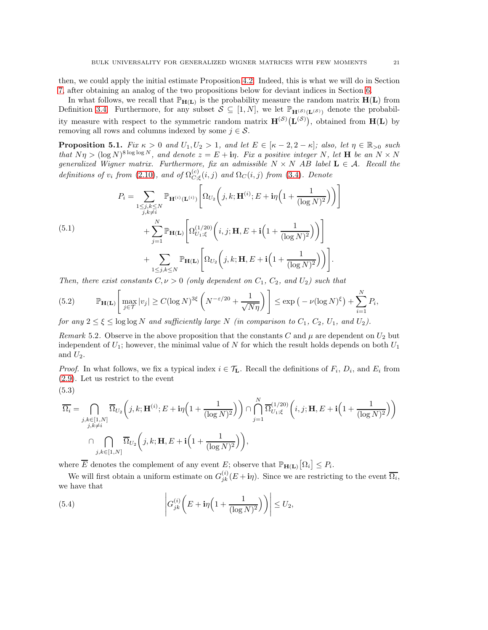then, we could apply the initial estimate Proposition [4.2.](#page-18-0) Indeed, this is what we will do in Section [7,](#page-28-0) after obtaining an analog of the two propositions below for deviant indices in Section [6.](#page-24-0)

In what follows, we recall that  $\mathbb{P}_{H(L)}$  is the probability measure the random matrix  $H(L)$  from Definition [3.4.](#page-13-3) Furthermore, for any subset  $S \subseteq [1, N]$ , we let  $\mathbb{P}_{\mathbf{H}^{(\mathcal{S})}(\mathbf{L}^{(\mathcal{S})})}$  denote the probability measure with respect to the symmetric random matrix  $\mathbf{H}^{(\mathcal{S})}(\mathbf{L}^{(\mathcal{S})})$ , obtained from  $\mathbf{H}(\mathbf{L})$  by removing all rows and columns indexed by some  $j \in \mathcal{S}$ .

<span id="page-20-2"></span>**Proposition 5.1.** Fix  $\kappa > 0$  and  $U_1, U_2 > 1$ , and let  $E \in [\kappa - 2, 2 - \kappa]$ ; also, let  $\eta \in \mathbb{R}_{\geq 0}$  such that  $N\eta > (\log N)^{8 \log \log N}$ , and denote  $z = E + i\eta$ . Fix a positive integer N, let **H** be an  $N \times N$ generalized Wigner matrix. Furthermore, fix an admissible  $N \times N$  AB label  $L \in \mathcal{A}$ . Recall the definitions of  $v_i$  from [\(2.10\)](#page-9-6), and of  $\Omega_{C_{i}}^{(c)}$  $C_{C;\xi}^{(c)}(i,j)$  and  $\Omega_C(i,j)$  from [\(3.4\)](#page-14-4). Denote

<span id="page-20-4"></span>(5.1)  
\n
$$
P_{i} = \sum_{\substack{1 \leq j,k \leq N \\ j,k \neq i}} \mathbb{P}_{\mathbf{H}^{(i)}(\mathbf{L}^{(i)})} \left[ \Omega_{U_{2}} \left( j,k; \mathbf{H}^{(i)}; E + i\eta \left( 1 + \frac{1}{(\log N)^{2}} \right) \right) \right] + \sum_{j=1}^{N} \mathbb{P}_{\mathbf{H}(\mathbf{L})} \left[ \Omega_{U_{1};\xi}^{(1/20)} \left( i,j; \mathbf{H}, E + i \left( 1 + \frac{1}{(\log N)^{2}} \right) \right) \right] + \sum_{1 \leq j,k \leq N} \mathbb{P}_{\mathbf{H}(\mathbf{L})} \left[ \Omega_{U_{2}} \left( j,k; \mathbf{H}, E + i \left( 1 + \frac{1}{(\log N)^{2}} \right) \right) \right].
$$

Then, there exist constants  $C, \nu > 0$  (only dependent on  $C_1$ ,  $C_2$ , and  $U_2$ ) such that

<span id="page-20-1"></span>(5.2) 
$$
\mathbb{P}_{\mathbf{H}(\mathbf{L})}\left[\max_{j\in\mathcal{T}}|v_j|\geq C(\log N)^{3\xi}\left(N^{-\varepsilon/20}+\frac{1}{\sqrt{N\eta}}\right)\right]\leq \exp\left(-\nu(\log N)^{\xi}\right)+\sum_{i=1}^N P_i,
$$

for any  $2 \le \xi \le \log \log N$  and sufficiently large N (in comparison to  $C_1$ ,  $C_2$ ,  $U_1$ , and  $U_2$ ).

<span id="page-20-5"></span>Remark 5.2. Observe in the above proposition that the constants C and  $\mu$  are dependent on  $U_2$  but independent of  $U_1$ ; however, the minimal value of N for which the result holds depends on both  $U_1$ and  $U_2$ .

*Proof.* In what follows, we fix a typical index  $i \in \mathcal{T}_{L}$ . Recall the definitions of  $F_i$ ,  $D_i$ , and  $E_i$  from [\(2.9\)](#page-9-5). Let us restrict to the event

$$
\overline{\Omega_i} = \bigcap_{\substack{j,k \in [1,N] \\ j,k \neq i}} \overline{\Omega}_{U_2}\bigg(j,k; \mathbf{H}^{(i)}; E + \mathbf{i}\eta \Big(1 + \frac{1}{(\log N)^2}\Big)\bigg) \cap \bigcap_{j=1}^N \overline{\Omega}_{U_1;\xi}^{(1/20)}\bigg(i,j; \mathbf{H}, E + \mathbf{i}\Big(1 + \frac{1}{(\log N)^2}\Big)\bigg)
$$
\n
$$
\bigcap_{j,k \in [1,N]} \overline{\Omega}_{U_2}\bigg(j,k; \mathbf{H}, E + \mathbf{i}\Big(1 + \frac{1}{(\log N)^2}\Big)\bigg),
$$

where  $\overline{E}$  denotes the complement of any event E; observe that  $\mathbb{P}_{\mathbf{H}(\mathbf{L})}\big[\Omega_i\big] \leq P_i$ .

We will first obtain a uniform estimate on  $G_{jk}^{(i)}(E + \mathbf{i}\eta)$ . Since we are restricting to the event  $\overline{\Omega_i}$ , we have that

<span id="page-20-0"></span>(5.4) 
$$
\left|G_{jk}^{(i)}\left(E+i\eta\left(1+\frac{1}{(\log N)^2}\right)\right)\right| \leq U_2,
$$

<span id="page-20-3"></span>(5.3)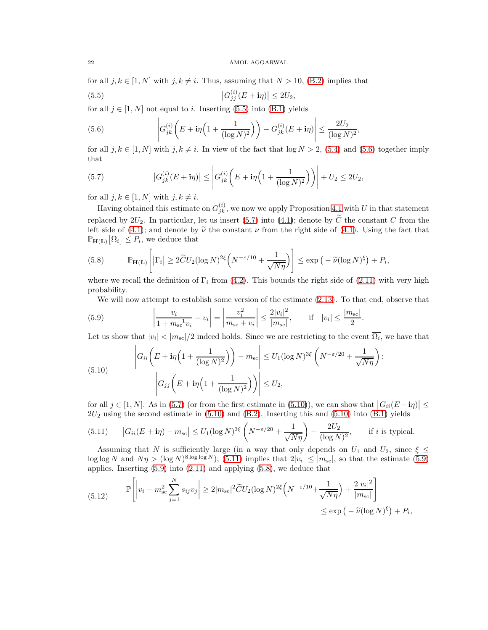for all  $j, k \in [1, N]$  with  $j, k \neq i$ . Thus, assuming that  $N > 10$ , [\(B.2\)](#page-43-20) implies that

<span id="page-21-0"></span>(5.5) 
$$
\left|G_{jj}^{(i)}(E+\mathbf{i}\eta)\right| \le 2U_2,
$$

for all  $j \in [1, N]$  not equal to i. Inserting [\(5.5\)](#page-21-0) into [\(B.1\)](#page-42-1) yields

<span id="page-21-1"></span>(5.6) 
$$
\left| G_{jk}^{(i)} \left( E + \mathbf{i} \eta \left( 1 + \frac{1}{(\log N)^2} \right) \right) - G_{jk}^{(i)} (E + \mathbf{i} \eta) \right| \leq \frac{2U_2}{(\log N)^2},
$$

for all  $j, k \in [1, N]$  with  $j, k \neq i$ . In view of the fact that  $\log N > 2$ , [\(5.4\)](#page-20-0) and [\(5.6\)](#page-21-1) together imply that

<span id="page-21-2"></span>(5.7) 
$$
|G_{jk}^{(i)}(E+i\eta)| \leq |G_{jk}^{(i)}(E+i\eta(1+\frac{1}{(\log N)^2}))| + U_2 \leq 2U_2,
$$

for all  $j, k \in [1, N]$  with  $j, k \neq i$ .

Having obtained this estimate on  $G_{jk}^{(i)}$ , we now we apply Proposition [4.1](#page-16-5) with U in that statement replaced by  $2U_2$ . In particular, let us insert [\(5.7\)](#page-21-2) into [\(4.1\)](#page-16-4); denote by  $\tilde{C}$  the constant C from the left side of [\(4.1\)](#page-16-4); and denote by  $\tilde{\nu}$  the constant  $\nu$  from the right side of (4.1). Using the fact that  $\mathbb{P}_{\mathbf{H}(\mathbf{L})}\big[\Omega_i\big] \leq P_i$ , we deduce that

<span id="page-21-6"></span>(5.8) 
$$
\mathbb{P}_{\mathbf{H}(\mathbf{L})}\left[|\Gamma_i| \ge 2\widetilde{C}U_2(\log N)^{2\xi}\left(N^{-\varepsilon/10} + \frac{1}{\sqrt{N\eta}}\right)\right] \le \exp\left(-\widetilde{\nu}(\log N)^{\xi}\right) + P_i,
$$

where we recall the definition of  $\Gamma_i$  from [\(4.2\)](#page-17-4). This bounds the right side of [\(2.11\)](#page-9-3) with very high probability.

We will now attempt to establish some version of the estimate [\(2.13\)](#page-10-2). To that end, observe that

<span id="page-21-5"></span>(5.9) 
$$
\left|\frac{v_i}{1 + m_{\rm sc}^{-1} v_i} - v_i\right| = \left|\frac{v_i^2}{m_{\rm sc} + v_i}\right| \le \frac{2|v_i|^2}{|m_{\rm sc}|}, \quad \text{if} \quad |v_i| \le \frac{|m_{\rm sc}|}{2}.
$$

Let us show that  $|v_i| < |m_{\rm sc}|/2$  indeed holds. Since we are restricting to the event  $\Omega_i$ , we have that

<span id="page-21-3"></span>(5.10) 
$$
\left| G_{ii} \left( E + i\eta \left( 1 + \frac{1}{(\log N)^2} \right) \right) - m_{\text{sc}} \right| \le U_1 (\log N)^{3\xi} \left( N^{-\varepsilon/20} + \frac{1}{\sqrt{N\eta}} \right);
$$

$$
\left| G_{jj} \left( E + i\eta \left( 1 + \frac{1}{(\log N)^2} \right) \right) \right| \le U_2,
$$

for all  $j \in [1, N]$ . As in [\(5.7\)](#page-21-2) (or from the first estimate in [\(5.10\)](#page-21-3)), we can show that  $|G_{ii}(E+i\eta)| \le$  $2U_2$  using the second estimate in [\(5.10\)](#page-21-3) and [\(B.2\)](#page-43-20). Inserting this and (5.10) into [\(B.1\)](#page-42-1) yields

<span id="page-21-4"></span>(5.11) 
$$
\left| G_{ii}(E + \mathbf{i}\eta) - m_{\rm sc} \right| \le U_1 (\log N)^{3\xi} \left( N^{-\varepsilon/20} + \frac{1}{\sqrt{N\eta}} \right) + \frac{2U_2}{(\log N)^2}, \quad \text{if } i \text{ is typical.}
$$

Assuming that N is sufficiently large (in a way that only depends on  $U_1$  and  $U_2$ , since  $\xi \leq$  $\log \log N$  and  $N\eta > (\log N)^{8 \log \log N}$ , [\(5.11\)](#page-21-4) implies that  $2|v_i| \le |m_{\rm sc}|$ , so that the estimate [\(5.9\)](#page-21-5) applies. Inserting [\(5.9\)](#page-21-5) into [\(2.11\)](#page-9-3) and applying [\(5.8\)](#page-21-6), we deduce that

<span id="page-21-7"></span>(5.12) 
$$
\mathbb{P}\left[\left|v_i - m_{\rm sc}^2 \sum_{j=1}^N s_{ij} v_j\right| \ge 2|m_{\rm sc}|^2 \widetilde{C} U_2 (\log N)^{2\xi} \left(N^{-\varepsilon/10} + \frac{1}{\sqrt{N\eta}}\right) + \frac{2|v_i|^2}{|m_{\rm sc}|}\right] \le \exp\left(-\widetilde{\nu} (\log N)^{\xi}\right) + P_i,
$$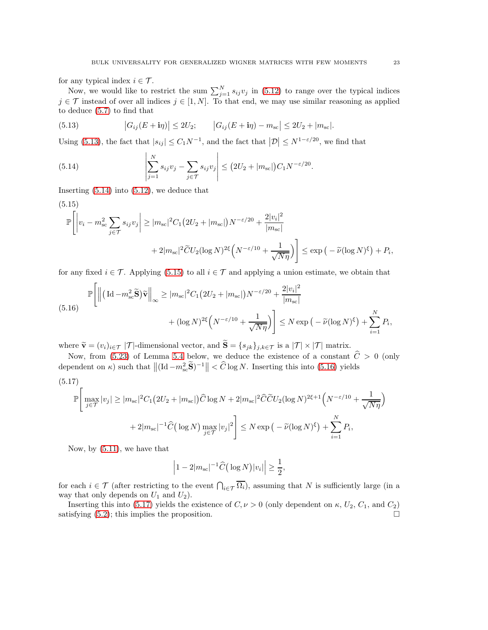for any typical index  $i \in \mathcal{T}$ .

Now, we would like to restrict the sum  $\sum_{j=1}^{N} s_{ij}v_j$  in [\(5.12\)](#page-21-7) to range over the typical indices  $j \in \mathcal{T}$  instead of over all indices  $j \in [1, N]$ . To that end, we may use similar reasoning as applied to deduce [\(5.7\)](#page-21-2) to find that

<span id="page-22-0"></span>(5.13) 
$$
|G_{ij}(E + i\eta)| \le 2U_2; \qquad |G_{ij}(E + i\eta) - m_{sc}| \le 2U_2 + |m_{sc}|.
$$

Using [\(5.13\)](#page-22-0), the fact that  $|s_{ij}| \leq C_1 N^{-1}$ , and the fact that  $|\mathcal{D}| \leq N^{1-\varepsilon/20}$ , we find that

<span id="page-22-1"></span>(5.14) 
$$
\left| \sum_{j=1}^{N} s_{ij} v_j - \sum_{j \in \mathcal{T}} s_{ij} v_j \right| \le (2U_2 + |m_{sc}|) C_1 N^{-\varepsilon/20}.
$$

Inserting [\(5.14\)](#page-22-1) into [\(5.12\)](#page-21-7), we deduce that

<span id="page-22-2"></span>(5.15)  
\n
$$
\mathbb{P}\left[\left|v_{i}-m_{\rm sc}^{2}\sum_{j\in\mathcal{T}}s_{ij}v_{j}\right| \geq |m_{\rm sc}|^{2}C_{1}\left(2U_{2}+|m_{\rm sc}|\right)N^{-\varepsilon/20}+\frac{2|v_{i}|^{2}}{|m_{\rm sc}|}\right] + 2|m_{\rm sc}|^{2}\widetilde{C}U_{2}(\log N)^{2\xi}\left(N^{-\varepsilon/10}+\frac{1}{\sqrt{N\eta}}\right)\right] \leq \exp\left(-\widetilde{\nu}(\log N)^{\xi}\right)+P_{i},
$$

for any fixed  $i \in \mathcal{T}$ . Applying [\(5.15\)](#page-22-2) to all  $i \in \mathcal{T}$  and applying a union estimate, we obtain that

<span id="page-22-3"></span>
$$
\mathbb{P}\Bigg[\Big\|\Big(\operatorname{Id}-m_{\mathrm{sc}}^2\widetilde{\mathbf{S}}\Big)\widetilde{\mathbf{v}}\Big\|_{\infty} \ge |m_{\mathrm{sc}}|^2 C_1 \big(2U_2 + |m_{\mathrm{sc}}|\big)N^{-\varepsilon/20} + \frac{2|v_i|^2}{|m_{\mathrm{sc}}|} + (\log N)^{2\xi}\Big(N^{-\varepsilon/10} + \frac{1}{\sqrt{N\eta}}\Big)\Bigg] \le N \exp\Big(-\widetilde{\nu}(\log N)^{\xi}\Big) + \sum_{i=1}^N P_i,
$$

where  $\widetilde{\mathbf{v}} = (v_i)_{i \in \mathcal{T}} | \mathcal{T} |$ -dimensional vector, and  $\widetilde{\mathbf{S}} = \{s_{jk}\}_{j,k \in \mathcal{T}}$  is a  $| \mathcal{T} | \times | \mathcal{T} |$  matrix.

Now, from [\(5.23\)](#page-24-1) of Lemma [5.4](#page-23-0) below, we deduce the existence of a constant  $\hat{C} > 0$  (only dependent on  $\kappa$ ) such that  $\left\| (\text{Id} - m_{\text{sc}}^2 \widetilde{\mathbf{S}})^{-1} \right\| < \widehat{C} \log N$ . Inserting this into [\(5.16\)](#page-22-3) yields

<span id="page-22-4"></span>
$$
(5.17)
$$

$$
\mathbb{P}\Bigg[\max_{j\in\mathcal{T}}|v_j| \ge |m_{\rm sc}|^2 C_1 \big(2U_2 + |m_{\rm sc}|\big)\widehat{C}\log N + 2|m_{\rm sc}|^2 \widehat{C}\widetilde{C}U_2(\log N)^{2\xi+1}\Big(N^{-\varepsilon/10} + \frac{1}{\sqrt{N\eta}}\Big)\n+ 2|m_{\rm sc}|^{-1}\widehat{C}\big(\log N\big)\max_{j\in\mathcal{T}}|v_j|^2\Bigg] \le N \exp\big(-\widetilde{\nu}(\log N)^{\xi}\big) + \sum_{i=1}^N P_i,
$$

Now, by [\(5.11\)](#page-21-4), we have that

$$
\left|1-2|m_{\rm sc}|^{-1}\widehat{C}(\log N)|v_i|\right|\geq \frac{1}{2},\
$$

for each  $i \in \mathcal{T}$  (after restricting to the event  $\bigcap_{i \in \mathcal{T}} \overline{\Omega_i}$ ), assuming that N is sufficiently large (in a way that only depends on  $U_1$  and  $U_2$ ).

Inserting this into [\(5.17\)](#page-22-4) yields the existence of  $C, \nu > 0$  (only dependent on  $\kappa, U_2, C_1$ , and  $C_2$ ) satisfying  $(5.2)$ ; this implies the proposition.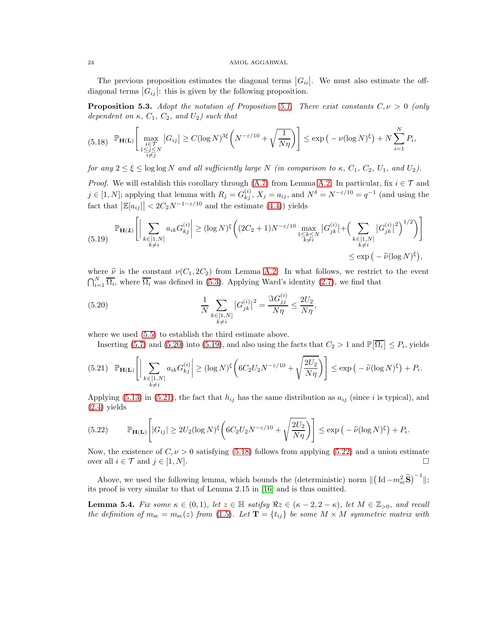The previous proposition estimates the diagonal terms  $|G_{ii}|$ . We must also estimate the offdiagonal terms  $|G_{ij}|$ : this is given by the following proposition.

<span id="page-23-6"></span>**Proposition 5.3.** Adopt the notation of Proposition [5.1.](#page-20-2) There exist constants  $C, \nu > 0$  (only dependent on  $\kappa$ ,  $C_1$ ,  $C_2$ , and  $U_2$ ) such that

<span id="page-23-4"></span>
$$
(5.18) \quad \mathbb{P}_{\mathbf{H}(\mathbf{L})} \left[ \max_{\substack{i \in \mathcal{T} \\ 1 \leq j \leq N}} |G_{ij}| \geq C (\log N)^{3\xi} \left( N^{-\varepsilon/10} + \sqrt{\frac{1}{N\eta}} \right) \right] \leq \exp \left( -\nu (\log N)^{\xi} \right) + N \sum_{i=1}^{N} P_i,
$$

for any  $2 \le \xi \le \log \log N$  and all sufficiently large N (in comparison to  $\kappa$ ,  $C_1$ ,  $C_2$ ,  $U_1$ , and  $U_2$ ).

*Proof.* We will establish this corollary through [\(A.7\)](#page-40-2) from Lemma [A.2.](#page-40-1) In particular, fix  $i \in \mathcal{T}$  and  $j \in [1, N]$ ; applying that lemma with  $R_j = G_{kj}^{(i)}$ ,  $X_j = a_{ij}$ , and  $N^{\delta} = N^{-\varepsilon/10} = q^{-1}$  (and using the fact that  $\left| \mathbb{E}[a_{ij}] \right| < 2C_2 N^{-1-\varepsilon/10}$  and the estimate [\(4.4\)](#page-17-1)) yields

<span id="page-23-2"></span>
$$
(5.19) \quad \mathbb{P}_{\mathbf{H}(L)}\left[\Big|\sum_{\substack{k\in[1,N]\\k\neq i}}a_{ik}G_{kj}^{(i)}\Big|\geq (\log N)^{\xi}\bigg((2C_2+1)N^{-\varepsilon/10}\max_{\substack{1\leq k\leq N\\k\neq i}}|G_{jk}^{(i)}|+\Big(\sum_{\substack{k\in[1,N]\\k\neq i}}|G_{jk}^{(i)}|^2\Big)^{1/2}\bigg)\right] \leq \exp\big(-\widetilde{\nu}(\log N)^{\xi}\big),
$$

where  $\tilde{\nu}$  is the constant  $\nu(C_1, 2C_2)$  from Lemma [A.2.](#page-40-1) In what follows, we restrict to the event  $\bigcap_{i=1}^{N} \overline{\Omega_i}$ , where  $\overline{\Omega_i}$  was defined in [\(5.3\)](#page-20-3). Applying Ward's identity [\(2.7\)](#page-9-1), we find that

<span id="page-23-1"></span>(5.20) 
$$
\frac{1}{N} \sum_{\substack{k \in [1,N] \\ k \neq i}} \left| G_{jk}^{(i)} \right|^2 = \frac{\Im G_{jj}^{(i)}}{N\eta} \leq \frac{2U_2}{N\eta},
$$

where we used [\(5.5\)](#page-21-0) to establish the third estimate above.

Inserting [\(5.7\)](#page-21-2) and [\(5.20\)](#page-23-1) into [\(5.19\)](#page-23-2), and also using the facts that  $C_2 > 1$  and  $\mathbb{P}[\overline{\Omega_i}] \leq P_i$ , yields

<span id="page-23-3"></span>
$$
(5.21) \quad \mathbb{P}_{\mathbf{H}(\mathbf{L})}\Bigg[\Big|\sum_{\substack{k\in[1,N]\\k\neq i}}a_{ik}G_{kj}^{(i)}\Bigg|\geq (\log N)^{\xi}\bigg(6C_2U_2N^{-\varepsilon/10}+\sqrt{\frac{2U_2}{N\eta}}\bigg)\Bigg]\leq \exp\big(-\widetilde{\nu}(\log N)^{\xi}\big)+P_i.
$$

Applying [\(5.13\)](#page-22-0) in [\(5.21\)](#page-23-3), the fact that  $h_{ij}$  has the same distribution as  $a_{ij}$  (since i is typical), and [\(2.4\)](#page-8-5) yields

<span id="page-23-5"></span>
$$
(5.22) \qquad \mathbb{P}_{\mathbf{H}(\mathbf{L})}\left[|G_{ij}| \ge 2U_2(\log N)^{\xi}\left(6C_2U_2N^{-\varepsilon/10} + \sqrt{\frac{2U_2}{N\eta}}\right)\right] \le \exp\left(-\widetilde{\nu}(\log N)^{\xi}\right) + P_i.
$$

Now, the existence of  $C, \nu > 0$  satisfying [\(5.18\)](#page-23-4) follows from applying [\(5.22\)](#page-23-5) and a union estimate over all  $i \in \mathcal{T}$  and  $j \in [1, N]$ .

Above, we used the following lemma, which bounds the (deterministic) norm  $\| (\mathrm{Id} - m_{\mathrm{sc}}^2 \tilde{\mathbf{S}})^{-1} \|;$ its proof is very similar to that of Lemma 2.15 in [\[16\]](#page-43-11) and is thus omitted.

<span id="page-23-0"></span>**Lemma 5.4.** Fix some  $\kappa \in (0,1)$ , let  $z \in \mathbb{H}$  satifsy  $\Re z \in (\kappa - 2, 2 - \kappa)$ , let  $M \in \mathbb{Z}_{>0}$ , and recall the definition of  $m_{\rm sc} = m_{\rm sc}(z)$  from [\(1.5\)](#page-6-2). Let  $\mathbf{T} = \{t_{ij}\}\;$  be some  $M \times M$  symmetric matrix with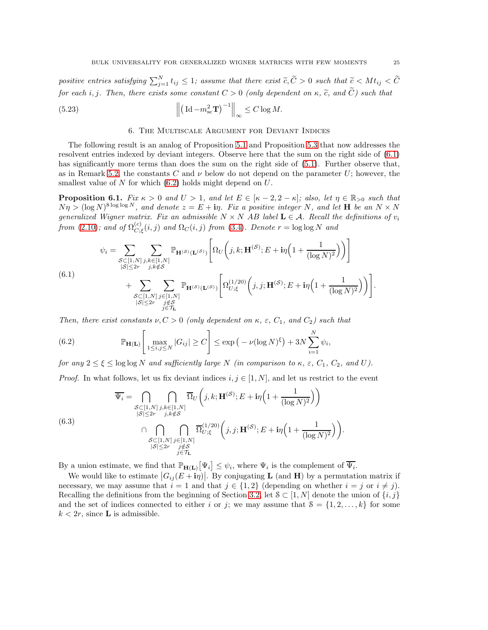positive entries satisfying  $\sum_{j=1}^{N} t_{ij} \leq 1$ ; assume that there exist  $\widetilde{c}, \widetilde{C} > 0$  such that  $\widetilde{c} < M t_{ij} < \widetilde{C}$ for each i, j. Then, there exists some constant  $C > 0$  (only dependent on  $\kappa$ ,  $\tilde{c}$ , and  $\tilde{C}$ ) such that

<span id="page-24-1"></span><span id="page-24-0"></span>(5.23) 
$$
\left\| \left( \mathrm{Id} - m_{\mathrm{sc}}^2 \mathbf{T} \right)^{-1} \right\|_{\infty} \leq C \log M.
$$

<span id="page-24-2"></span>(6.1)

# 6. The Multiscale Argument for Deviant Indices

The following result is an analog of Proposition [5.1](#page-20-2) and Proposition [5.3](#page-23-6) that now addresses the resolvent entries indexed by deviant integers. Observe here that the sum on the right side of [\(6.1\)](#page-24-2) has significantly more terms than does the sum on the right side of  $(5.1)$ . Further observe that, as in Remark [5.2,](#page-20-5) the constants C and  $\nu$  below do not depend on the parameter U; however, the smallest value of  $N$  for which  $(6.2)$  holds might depend on  $U$ .

<span id="page-24-4"></span>**Proposition 6.1.** Fix  $\kappa > 0$  and  $U > 1$ , and let  $E \in [\kappa - 2, 2 - \kappa]$ ; also, let  $\eta \in \mathbb{R}_{>0}$  such that  $N\eta > (\log N)^{8\log\log N}$ , and denote  $z = E + i\eta$ . Fix a positive integer N, and let **H** be an  $N \times N$ generalized Wigner matrix. Fix an admissible  $N \times N$  AB label  $L \in \mathcal{A}$ . Recall the definitions of  $v_i$ from [\(2.10\)](#page-9-6); and of  $\Omega_{C}^{(c)}$  $C_{C, \xi}^{(c)}(i,j)$  and  $\Omega_C(i,j)$  from [\(3.4\)](#page-14-4). Denote  $r = \log \log N$  and

$$
\psi_i = \sum_{\substack{S \subset [1,N] \\ |S| \le 2r}} \sum_{\substack{j,k \in [1,N] \\ j,k \notin S}} \mathbb{P}_{\mathbf{H}^{(S)}(\mathbf{L}^{(S)})} \left[ \Omega_U \left( j,k;\mathbf{H}^{(S)};E + \mathbf{i}\eta \left( 1 + \frac{1}{(\log N)^2} \right) \right) \right] + \sum_{\substack{S \subset [1,N] \\ |S| \le 2r}} \sum_{\substack{j,k \notin S \\ j \notin \mathcal{T}_L}} \mathbb{P}_{\mathbf{H}^{(S)}(\mathbf{L}^{(S)})} \left[ \Omega_{U;\xi}^{(1/20)} \left( j,j;\mathbf{H}^{(S)};E + \mathbf{i}\eta \left( 1 + \frac{1}{(\log N)^2} \right) \right) \right].
$$

Then, there exist constants  $\nu, C > 0$  (only dependent on  $\kappa, \varepsilon, C_1$ , and  $C_2$ ) such that

<span id="page-24-3"></span>(6.2) 
$$
\mathbb{P}_{\mathbf{H}(\mathbf{L})}\left[\max_{1 \leq i,j \leq N} |G_{ij}| \geq C\right] \leq \exp\left(-\nu(\log N)^{\xi}\right) + 3N \sum_{i=1}^{N} \psi_i,
$$

for any  $2 \le \xi \le \log \log N$  and sufficiently large N (in comparison to  $\kappa$ ,  $\varepsilon$ ,  $C_1$ ,  $C_2$ , and U).

*Proof.* In what follows, let us fix deviant indices  $i, j \in [1, N]$ , and let us restrict to the event

(6.3)  
\n
$$
\overline{\Psi}_{i} = \bigcap_{\substack{S \subset [1,N] \\ |S| \le 2r}} \bigcap_{\substack{j,k \in [1,N] \\ j,k \notin S}} \overline{\Omega}_{U}\left(j,k;\mathbf{H}^{(\mathcal{S})};E+i\eta\left(1+\frac{1}{(\log N)^{2}}\right)\right)
$$
\n
$$
\bigcap_{\substack{S \subset [1,N] \\ |S| \le 2r}} \bigcap_{\substack{j,k \notin S \\ j \notin \mathcal{T}_{\mathbf{L}}}} \overline{\Omega}_{U;\xi}^{(1/20)}\left(j,j;\mathbf{H}^{(\mathcal{S})};E+i\eta\left(1+\frac{1}{(\log N)^{2}}\right)\right).
$$

By a union estimate, we find that  $\mathbb{P}_{\mathbf{H}(\mathbf{L})}[\Psi_i] \leq \psi_i$ , where  $\Psi_i$  is the complement of  $\overline{\Psi_i}$ .

We would like to estimate  $|G_{ij}(E+i\eta)|$ . By conjugating **L** (and **H**) by a permutation matrix if necessary, we may assume that  $i = 1$  and that  $j \in \{1, 2\}$  (depending on whether  $i = j$  or  $i \neq j$ ). Recalling the definitions from the beginning of Section [3.2,](#page-13-0) let  $S \subset [1, N]$  denote the union of  $\{i, j\}$ and the set of indices connected to either i or j; we may assume that  $S = \{1, 2, \ldots, k\}$  for some  $k < 2r$ , since **L** is admissible.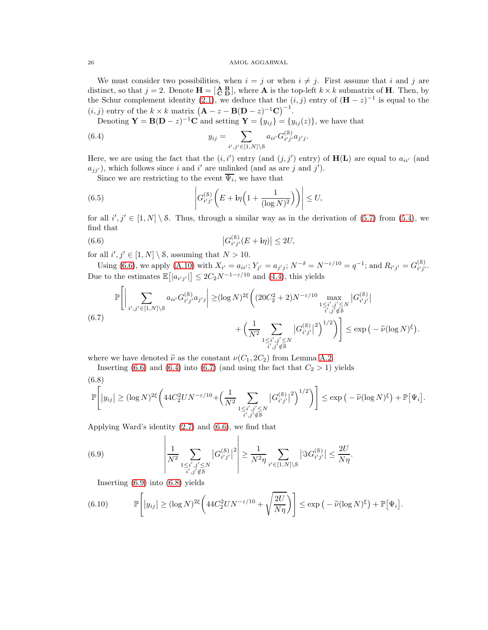We must consider two possibilities, when  $i = j$  or when  $i \neq j$ . First assume that i and j are distinct, so that  $j = 2$ . Denote  $\mathbf{H} = \begin{bmatrix} \mathbf{A} & \mathbf{B} \\ \mathbf{C} & \mathbf{D} \end{bmatrix}$ , where **A** is the top-left  $k \times k$  submatrix of **H**. Then, by the Schur complement identity [\(2.1\)](#page-8-2), we deduce that the  $(i, j)$  entry of  $(\mathbf{H} - z)^{-1}$  is equal to the  $(i, j)$  entry of the  $k \times k$  matrix  $(A - z - B(D - z)^{-1}C)^{-1}$ .

Denoting  $\mathbf{Y} = \mathbf{B}(\mathbf{D} - z)^{-1}\mathbf{C}$  and setting  $\mathbf{Y} = \{y_{ij}\} = \{y_{ij}(z)\}\)$ , we have that

<span id="page-25-1"></span>(6.4) 
$$
y_{ij} = \sum_{i',j' \in [1,N] \setminus \mathcal{S}} a_{ii'} G_{i'j'}^{(\mathcal{S})} a_{j'j}.
$$

Here, we are using the fact that the  $(i, i')$  entry (and  $(j, j')$  entry) of  $H(L)$  are equal to  $a_{ii'}$  (and  $a_{jj'}$ ), which follows since i and i' are unlinked (and as are j and j').

Since we are restricting to the event  $\Psi_i$ , we have that

(6.5) 
$$
\left|G_{i'j'}^{(8)}\left(E+i\eta\left(1+\frac{1}{(\log N)^2}\right)\right)\right| \leq U,
$$

for all  $i', j' \in [1, N] \setminus \mathcal{S}$ . Thus, through a similar way as in the derivation of [\(5.7\)](#page-21-2) from [\(5.4\)](#page-20-0), we find that

<span id="page-25-0"></span>(6.6) 
$$
|G_{i'j'}^{(8)}(E + i\eta)| \le 2U,
$$

for all  $i', j' \in [1, N] \setminus \mathcal{S}$ , assuming that  $N > 10$ .

Using [\(6.6\)](#page-25-0), we apply [\(A.10\)](#page-41-1) with  $X_{i'} = a_{ii'}$ ;  $Y_{j'} = a_{j'j}$ ;  $N^{-\delta} = N^{-\epsilon/10} = q^{-1}$ ; and  $R_{i'j'} = G_{i'j'}^{(8)}$ (၀)<br>*i' j'* · Due to the estimates  $\mathbb{E}[|a_{i'j'}|\] \leq 2C_2 N^{-1-\varepsilon/10}$  and [\(4.4\)](#page-17-1), this yields

<span id="page-25-2"></span>
$$
\mathbb{P}\Bigg[\Big|\sum_{\substack{i',j'\in[1,N]\backslash\mathcal{S} \\ i',j'\in [1,N]\backslash\mathcal{S}}} a_{ii'}G_{i'j'}^{(\mathcal{S})}a_{j'j}\Big|\geq (\log N)^{2\xi}\Bigg((20C_2^2+2)N^{-\varepsilon/10}\max_{\substack{1\leq i',j'\leq N \\ i',j'\notin \mathcal{S}}} |G_{i'j'}^{(\mathcal{S})}|^2\Bigg)^{1/2}\Bigg)\Bigg] \leq \exp\Big(-\widetilde{\nu}(\log N)^{\xi}\Big).
$$
\n(6.7)

where we have denoted  $\tilde{\nu}$  as the constant  $\nu(C_1, 2C_2)$  from Lemma [A.2.](#page-40-1)

Inserting [\(6.6\)](#page-25-0) and [\(6.4\)](#page-25-1) into [\(6.7\)](#page-25-2) (and using the fact that  $C_2 > 1$ ) yields

<span id="page-25-4"></span>
$$
(6.8)
$$

$$
\mathbb{P}\Bigg[\big|y_{ij}\big| \ge (\log N)^{2\xi} \bigg(44C_2^2UN^{-\varepsilon/10} + \Big(\frac{1}{N^2} \sum_{\substack{1 \le i', j' \le N \\ i', j' \notin \mathcal{S}}} \big|G_{i'j'}^{(\mathcal{S})}\big|^2\bigg)^{1/2}\bigg)\Bigg] \le \exp\big(-\widetilde{\nu}(\log N)^{\xi}\big) + \mathbb{P}\big[\Psi_i\big].
$$

Applying Ward's identity [\(2.7\)](#page-9-1) and [\(6.6\)](#page-25-0), we find that

<span id="page-25-3"></span>(6.9) 
$$
\left| \frac{1}{N^2} \sum_{\substack{1 \le i', j' \le N \\ i', j' \notin \mathcal{S}}} |G_{i'j'}^{(\mathcal{S})}|^2 \right| \ge \frac{1}{N^2 \eta} \sum_{i' \in [1, N] \setminus \mathcal{S}} |\Im G_{i'j'}^{(\mathcal{S})}| \le \frac{2U}{N\eta}.
$$

Inserting [\(6.9\)](#page-25-3) into [\(6.8\)](#page-25-4) yields

<span id="page-25-5"></span>(6.10) 
$$
\mathbb{P}\left[\left|y_{ij}\right| \geq (\log N)^{2\xi} \left(44C_2^2 U N^{-\varepsilon/10} + \sqrt{\frac{2U}{N\eta}}\right)\right] \leq \exp\left(-\widetilde{\nu}(\log N)^{\xi}\right) + \mathbb{P}\left[\Psi_i\right].
$$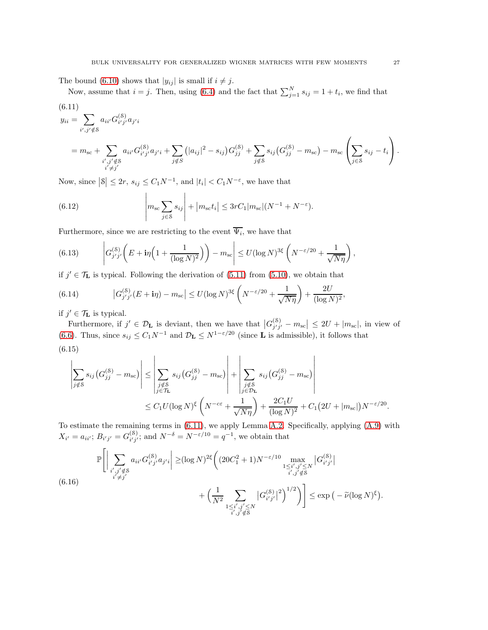The bound [\(6.10\)](#page-25-5) shows that  $|y_{ij}|$  is small if  $i \neq j$ .

Now, assume that  $i = j$ . Then, using [\(6.4\)](#page-25-1) and the fact that  $\sum_{j=1}^{N} s_{ij} = 1 + t_i$ , we find that

<span id="page-26-0"></span>(6.11)  
\n
$$
y_{ii} = \sum_{i',j'\notin S} a_{ii'} G_{i'j'}^{(S)} a_{j'i}
$$
\n
$$
= m_{sc} + \sum_{\substack{i',j'\notin S \\ i'\neq j'}} a_{ii'} G_{i'j'}^{(S)} a_{j'i} + \sum_{j\notin S} (|a_{ij}|^2 - s_{ij}) G_{jj}^{(S)} + \sum_{j\notin S} s_{ij} (G_{jj}^{(S)} - m_{sc}) - m_{sc} \left( \sum_{j\in S} s_{ij} - t_i \right).
$$

Now, since  $|S| \leq 2r$ ,  $s_{ij} \leq C_1 N^{-1}$ , and  $|t_i| < C_1 N^{-\varepsilon}$ , we have that

<span id="page-26-1"></span>(6.12) 
$$
\left| m_{\rm sc} \sum_{j \in S} s_{ij} \right| + \left| m_{\rm sc} t_i \right| \leq 3rC_1 |m_{\rm sc}| (N^{-1} + N^{-\epsilon}).
$$

Furthermore, since we are restricting to the event  $\Psi_i$ , we have that

(6.13) 
$$
\left| G_{j'j'}^{(8)} \left( E + i\eta \left( 1 + \frac{1}{(\log N)^2} \right) \right) - m_{\rm sc} \right| \leq U (\log N)^{3\xi} \left( N^{-\varepsilon/20} + \frac{1}{\sqrt{N\eta}} \right),
$$

if  $j' \in \mathcal{T}_{\mathbf{L}}$  is typical. Following the derivation of  $(5.11)$  from  $(5.10)$ , we obtain that

(6.14) 
$$
|G_{j'j'}^{(8)}(E+i\eta) - m_{sc}| \le U(\log N)^{3\xi} \left(N^{-\varepsilon/20} + \frac{1}{\sqrt{N\eta}}\right) + \frac{2U}{(\log N)^2},
$$

if  $j' \in \mathcal{T}_{\mathbf{L}}$  is typical.

Furthermore, if  $j' \in \mathcal{D}_L$  is deviant, then we have that  $|G_{j'j'}^{(8)}|$  $\left|\frac{\text{(8)}}{j'j'}-m_{\text{sc}}\right| \leq 2U + |m_{\text{sc}}|,$  in view of [\(6.6\)](#page-25-0). Thus, since  $s_{ij} \leq C_1 N^{-1}$  and  $\mathcal{D}_{\mathbf{L}} \leq N^{1-\epsilon/20}$  (since **L** is admissible), it follows that (6.15)

<span id="page-26-2"></span>
$$
\left| \sum_{j \notin S} s_{ij} \left( G_{jj}^{(S)} - m_{\text{sc}} \right) \right| \leq \left| \sum_{\substack{j \notin S \\ j \in \mathcal{T}_{\text{L}}}} s_{ij} \left( G_{jj}^{(S)} - m_{\text{sc}} \right) \right| + \left| \sum_{\substack{j \notin S \\ j \in \mathcal{D}_{\text{L}}}} s_{ij} \left( G_{jj}^{(S)} - m_{\text{sc}} \right) \right|
$$
  

$$
\leq C_1 U (\log N)^{\xi} \left( N^{-c \varepsilon} + \frac{1}{\sqrt{N\eta}} \right) + \frac{2C_1 U}{(\log N)^2} + C_1 (2U + |m_{\text{sc}}|) N^{-\varepsilon/20}.
$$

To estimate the remaining terms in [\(6.11\)](#page-26-0), we apply Lemma [A.2.](#page-40-1) Specifically, applying [\(A.9\)](#page-41-0) with  $X_{i'} = a_{ii'}; B_{i'j'} = G_{i'j'}^{(8)}$  $i'_{i'j'}$ ; and  $N^{-\delta} = N^{-\varepsilon/10} = q^{-1}$ , we obtain that

$$
\mathbb{P}\Bigg[\Big|\sum_{\substack{i',j'\notin\mathcal{S} \\ i'\neq j'}} a_{ii'}G_{i'j'}^{(\mathcal{S})}a_{j'i}\Big|\geq (\log N)^{2\xi} \Bigg((20C_1^2+1)N^{-\varepsilon/10}\max_{\substack{1\leq i',j'\leq N \\ i',j'\notin\mathcal{S}}} |G_{i'j'}^{(\mathcal{S})}|}{1\leq i',j'\notin\mathcal{S}}\Bigg|G_{i'j'}^{(\mathcal{S})}|^2\Bigg)^{1/2}\Bigg)\Bigg]\leq \exp\Big(-\widetilde{\nu}(\log N)^{\xi}\Big).
$$
\n(6.16)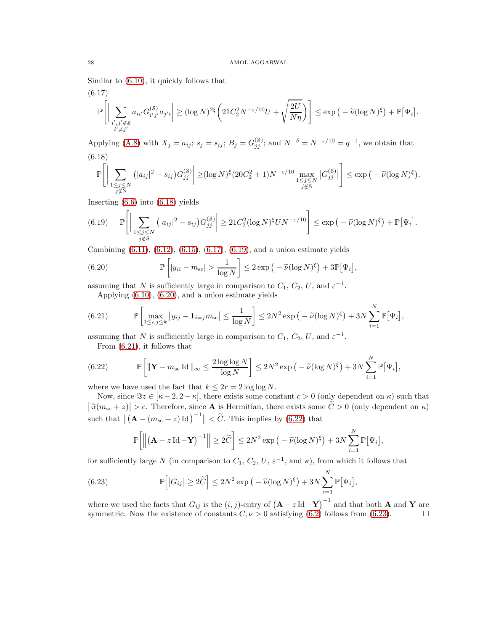Similar to [\(6.10\)](#page-25-5), it quickly follows that

<span id="page-27-1"></span>
$$
(6.17)
$$
  

$$
\mathbb{P}\Bigg[\Big|\sum_{\substack{i',j'\notin\mathcal{S}\\i'\neq j'}}a_{ii'}G_{i'j'}^{(\mathcal{S})}a_{j'i}\Big|\geq (\log N)^{2\xi}\bigg(21C_2^2N^{-\varepsilon/10}U+\sqrt{\frac{2U}{N\eta}}\bigg)\bigg]\leq \exp\big(-\widetilde{\nu}(\log N)^{\xi}\big)+\mathbb{P}\big[\Psi_i\big].
$$

<span id="page-27-0"></span>Applying [\(A.8\)](#page-40-0) with  $X_j = a_{ij}$ ;  $s_j = s_{ij}$ ;  $B_j = G_{jj}^{(8)}$ ; and  $N^{-\delta} = N^{-\epsilon/10} = q^{-1}$ , we obtain that (6.18)

$$
\mathbb{P}\Bigg[\Big|\sum_{\substack{1\leq j\leq N\\j\notin \mathcal{S}}} \big(|a_{ij}|^2 - s_{ij}\big)G_{jj}^{(\mathcal{S})}\Big|\geq (\log N)^{\xi}(20C_2^2+1)N^{-\varepsilon/10}\max_{\substack{1\leq j\leq N\\j\notin \mathcal{S}}} |G_{jj}^{(\mathcal{S})}| \Bigg]\leq \exp\big(-\widetilde{\nu}(\log N)^{\xi}\big).
$$

Inserting [\(6.6\)](#page-25-0) into [\(6.18\)](#page-27-0) yields

<span id="page-27-2"></span>
$$
(6.19) \quad \mathbb{P}\Bigg[\Big|\sum_{\substack{1\leq j\leq N\\j\notin \mathcal{S}}} \big(|a_{ij}|^2 - s_{ij}\big)G_{jj}^{(\mathcal{S})}\Big| \geq 21C_2^2(\log N)^{\xi}UN^{-\varepsilon/10}\Bigg] \leq \exp\big(-\widetilde{\nu}(\log N)^{\xi}\big) + \mathbb{P}\big[\Psi_i\big].
$$

Combining [\(6.11\)](#page-26-0), [\(6.12\)](#page-26-1), [\(6.15\)](#page-26-2), [\(6.17\)](#page-27-1), [\(6.19\)](#page-27-2), and a union estimate yields

<span id="page-27-3"></span>(6.20) 
$$
\mathbb{P}\left[|y_{ii} - m_{\rm sc}| > \frac{1}{\log N}\right] \leq 2 \exp\left(-\widetilde{\nu}(\log N)^{\xi}\right) + 3 \mathbb{P}[\Psi_i],
$$

assuming that N is sufficiently large in comparison to  $C_1$ ,  $C_2$ ,  $U$ , and  $\varepsilon^{-1}$ .

Applying [\(6.10\)](#page-25-5), [\(6.20\)](#page-27-3), and a union estimate yields

<span id="page-27-4"></span>(6.21) 
$$
\mathbb{P}\left[\max_{1\leq i,j\leq k} |y_{ij}-\mathbf{1}_{i=j}m_{\rm sc}| \leq \frac{1}{\log N}\right] \leq 2N^2 \exp\left(-\widetilde{\nu}(\log N)^{\xi}\right) + 3N \sum_{i=1}^N \mathbb{P}[\Psi_i],
$$

assuming that N is sufficiently large in comparison to  $C_1$ ,  $C_2$ ,  $U$ , and  $\varepsilon^{-1}$ .

From [\(6.21\)](#page-27-4), it follows that

<span id="page-27-5"></span>(6.22) 
$$
\mathbb{P}\left[\|\mathbf{Y}-m_{\rm sc}\operatorname{Id}\|_{\infty}\leq\frac{2\log\log N}{\log N}\right]\leq 2N^2\exp\left(-\widetilde{\nu}(\log N)^{\xi}\right)+3N\sum_{i=1}^N\mathbb{P}\left[\Psi_i\right],
$$

where we have used the fact that  $k \leq 2r = 2 \log \log N$ .

Now, since  $\Im z \in [\kappa - 2, 2 - \kappa]$ , there exists some constant  $c > 0$  (only dependent on  $\kappa$ ) such that  $|\Im(m_{\rm sc}+z)| > c$ . Therefore, since **A** is Hermitian, there exists some  $\widetilde{C} > 0$  (only dependent on  $\kappa$ ) such that  $\left\| \left( \mathbf{A} - (m_{\text{sc}} + z) \, \text{Id} \right)^{-1} \right\| < \tilde{C}$ . This implies by [\(6.22\)](#page-27-5) that

$$
\mathbb{P}\bigg[\Big\|\big(\mathbf{A} - z\operatorname{Id} - \mathbf{Y}\big)^{-1}\Big\| \ge 2\widetilde{C}\bigg] \le 2N^2 \exp\big(-\widetilde{\nu}(\log N)^{\xi}\big) + 3N \sum_{i=1}^N \mathbb{P}[\Psi_i],
$$

for sufficiently large N (in comparison to  $C_1$ ,  $C_2$ ,  $U$ ,  $\varepsilon^{-1}$ , and  $\kappa$ ), from which it follows that

<span id="page-27-6"></span>(6.23) 
$$
\mathbb{P}\Big[|G_{ij}| \geq 2\widetilde{C}\Big] \leq 2N^2 \exp\big(-\widetilde{\nu}(\log N)^{\xi}\big) + 3N \sum_{i=1}^N \mathbb{P}\big[\Psi_i\big],
$$

where we used the facts that  $G_{ij}$  is the  $(i, j)$ -entry of  $(A - z \operatorname{Id} - Y)^{-1}$  and that both A and Y are symmetric. Now the existence of constants  $C, \nu > 0$  satisfying  $(6.2)$  follows from  $(6.23)$ .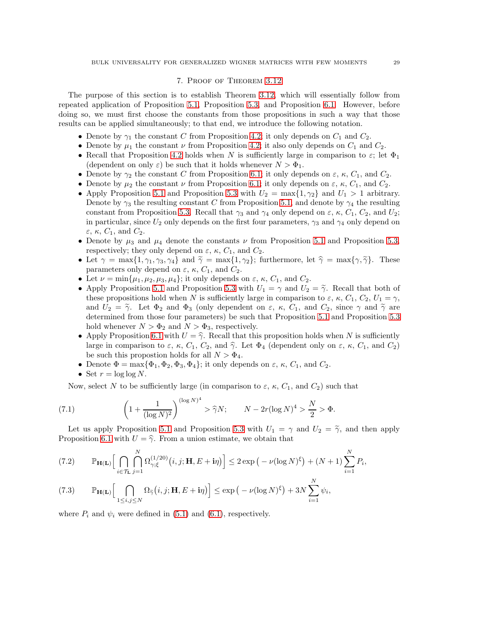# 7. Proof of Theorem [3.12](#page-15-0)

<span id="page-28-0"></span>The purpose of this section is to establish Theorem [3.12,](#page-15-0) which will essentially follow from repeated application of Proposition [5.1,](#page-20-2) Proposition [5.3,](#page-23-6) and Proposition [6.1.](#page-24-4) However, before doing so, we must first choose the constants from those propositions in such a way that those results can be applied simultaneously; to that end, we introduce the following notation.

- Denote by  $\gamma_1$  the constant C from Proposition [4.2;](#page-18-0) it only depends on  $C_1$  and  $C_2$ .
- Denote by  $\mu_1$  the constant  $\nu$  from Proposition [4.2;](#page-18-0) it also only depends on  $C_1$  and  $C_2$ .
- Recall that Proposition [4.2](#page-18-0) holds when N is sufficiently large in comparison to  $\varepsilon$ ; let  $\Phi_1$ (dependent on only  $\varepsilon$ ) be such that it holds whenever  $N > \Phi_1$ .
- Denote by  $\gamma_2$  the constant C from Proposition [6.1;](#page-24-4) it only depends on  $\varepsilon$ ,  $\kappa$ ,  $C_1$ , and  $C_2$ .
- Denote by  $\mu_2$  the constant  $\nu$  from Proposition [6.1;](#page-24-4) it only depends on  $\varepsilon$ ,  $\kappa$ ,  $C_1$ , and  $C_2$ .
- Apply Proposition [5.1](#page-20-2) and Proposition [5.3](#page-23-6) with  $U_2 = \max\{1, \gamma_2\}$  and  $U_1 > 1$  arbitrary. Denote by  $\gamma_3$  the resulting constant C from Proposition [5.1,](#page-20-2) and denote by  $\gamma_4$  the resulting constant from Proposition [5.3.](#page-23-6) Recall that  $\gamma_3$  and  $\gamma_4$  only depend on  $\varepsilon$ ,  $\kappa$ ,  $C_1$ ,  $C_2$ , and  $U_2$ ; in particular, since  $U_2$  only depends on the first four parameters,  $\gamma_3$  and  $\gamma_4$  only depend on  $\varepsilon$ ,  $\kappa$ ,  $C_1$ , and  $C_2$ .
- Denote by  $\mu_3$  and  $\mu_4$  denote the constants  $\nu$  from Proposition [5.1](#page-20-2) and Proposition [5.3,](#page-23-6) respectively; they only depend on  $\varepsilon$ ,  $\kappa$ ,  $C_1$ , and  $C_2$ .
- Let  $\gamma = \max\{1, \gamma_1, \gamma_3, \gamma_4\}$  and  $\tilde{\gamma} = \max\{1, \gamma_2\}$ ; furthermore, let  $\hat{\gamma} = \max\{\gamma, \tilde{\gamma}\}$ . These parameters only depend on  $\varepsilon$ ,  $\kappa$ ,  $C_1$ , and  $C_2$ .
- Let  $\nu = \min\{\mu_1, \mu_2, \mu_3, \mu_4\}$ ; it only depends on  $\varepsilon$ ,  $\kappa$ ,  $C_1$ , and  $C_2$ .
- Apply Proposition [5.1](#page-20-2) and Proposition [5.3](#page-23-6) with  $U_1 = \gamma$  and  $U_2 = \tilde{\gamma}$ . Recall that both of these propositions hold when N is sufficiently large in comparison to  $\varepsilon$ ,  $\kappa$ ,  $C_1$ ,  $C_2$ ,  $U_1 = \gamma$ , and  $U_2 = \tilde{\gamma}$ . Let  $\Phi_2$  and  $\Phi_3$  (only dependent on  $\varepsilon$ ,  $\kappa$ ,  $C_1$ , and  $C_2$ , since  $\gamma$  and  $\tilde{\gamma}$  are determined from those four parameters) be such that Proposition [5.1](#page-20-2) and Proposition [5.3](#page-23-6) hold whenever  $N > \Phi_2$  and  $N > \Phi_3$ , respectively.
- Apply Proposition [6.1](#page-24-4) with  $U = \hat{\gamma}$ . Recall that this proposition holds when N is sufficiently large in comparison to  $\varepsilon$ ,  $\kappa$ ,  $C_1$ ,  $C_2$ , and  $\hat{\gamma}$ . Let  $\Phi_4$  (dependent only on  $\varepsilon$ ,  $\kappa$ ,  $C_1$ , and  $C_2$ ) be such this propostion holds for all  $N > \Phi_4$ .
- Denote  $\Phi = \max{\Phi_1, \Phi_2, \Phi_3, \Phi_4}$ ; it only depends on  $\varepsilon$ ,  $\kappa$ ,  $C_1$ , and  $C_2$ .
- Set  $r = \log \log N$ .

Now, select N to be sufficiently large (in comparison to  $\varepsilon$ ,  $\kappa$ ,  $C_1$ , and  $C_2$ ) such that

<span id="page-28-3"></span>(7.1) 
$$
\left(1 + \frac{1}{(\log N)^2}\right)^{(\log N)^4} > \hat{\gamma} N; \qquad N - 2r(\log N)^4 > \frac{N}{2} > \Phi.
$$

Let us apply Proposition [5.1](#page-20-2) and Proposition [5.3](#page-23-6) with  $U_1 = \gamma$  and  $U_2 = \tilde{\gamma}$ , and then apply Proposition [6.1](#page-24-4) with  $U = \hat{\gamma}$ . From a union estimate, we obtain that

<span id="page-28-1"></span>
$$
(7.2) \qquad \mathbb{P}_{\mathbf{H}(\mathbf{L})}\Big[\bigcap_{i\in\mathcal{T}_{\mathbf{L}}} \bigcap_{j=1}^N \Omega_{\gamma;\xi}^{(1/20)}\big(i,j;\mathbf{H},E+i\eta\big)\Big] \leq 2\exp\big(-\nu(\log N)^{\xi}\big) + (N+1)\sum_{i=1}^N P_i,
$$

<span id="page-28-2"></span>(7.3) 
$$
\mathbb{P}_{\mathbf{H}(\mathbf{L})}\Big[\bigcap_{1\leq i,j\leq N}\Omega_{\widetilde{\gamma}}(i,j;\mathbf{H},E+i\eta)\Big]\leq \exp\big(-\nu(\log N)^{\xi}\big)+3N\sum_{i=1}^N\psi_i,
$$

where  $P_i$  and  $\psi_i$  were defined in [\(5.1\)](#page-20-4) and [\(6.1\)](#page-24-2), respectively.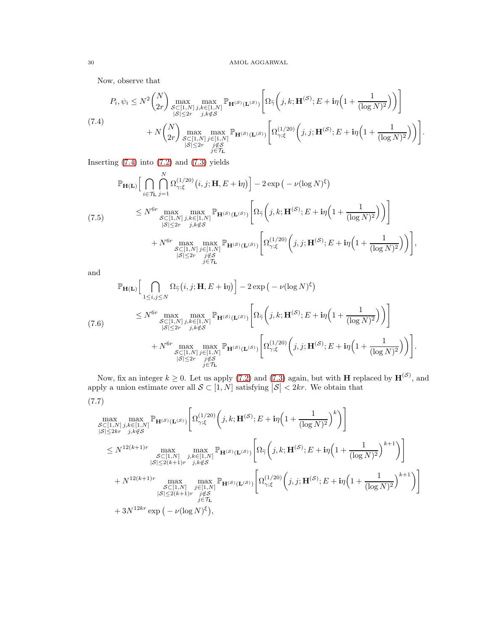Now, observe that

<span id="page-29-0"></span>
$$
P_i, \psi_i \leq N^2 {N \choose 2r} \max_{\substack{S \subset [1,N] \\ |S| \leq 2r}} \max_{\substack{j,k \in [1,N] \\ j,k \notin S}} \mathbb{P}_{\mathbf{H}^{(S)}(\mathbf{L}^{(S)})} \left[ \Omega_{\widetilde{\gamma}} \left( j,k; \mathbf{H}^{(S)}; E + i\eta \left( 1 + \frac{1}{(\log N)^2} \right) \right) \right]
$$
  
(7.4)  

$$
+ N {N \choose 2r} \max_{\substack{S \subset [1,N] \\ |S| \leq 2r}} \max_{\substack{j \in [1,N] \\ j \in [1,N]}} \mathbb{P}_{\mathbf{H}^{(S)}(\mathbf{L}^{(S)})} \left[ \Omega_{\gamma;\xi}^{(1/20)} \left( j,j; \mathbf{H}^{(S)}; E + i\eta \left( 1 + \frac{1}{(\log N)^2} \right) \right) \right].
$$

Inserting  $(7.4)$  into  $(7.2)$  and  $(7.3)$  yields

$$
\mathbb{P}_{\mathbf{H}(\mathbf{L})}\Big[\bigcap_{i\in\mathcal{T}_{\mathbf{L}}} \bigcap_{j=1}^{N} \Omega_{\gamma;\xi}^{(1/20)}(i,j;\mathbf{H},E+i\eta)\Big] - 2\exp\big(-\nu(\log N)^{\xi}\big)
$$
\n
$$
\leq N^{6r} \max_{\substack{S\subset[1,N] \ j,k\in[1,N]\\|S|\leq 2r}} \max_{\substack{j,k\in\mathbb{S} \ j,k\notin\mathcal{S} \\ j|S|\leq 2r}} \mathbb{P}_{\mathbf{H}^{(S)}(\mathbf{L}^{(S)})}\Bigg[\Omega_{\widetilde{\gamma}}\Big(j,k;\mathbf{H}^{(S)};E+i\eta\Big(1+\frac{1}{(\log N)^{2}}\Big)\Big)\Bigg]
$$
\n
$$
+ N^{6r} \max_{\substack{S\subset[1,N] \ j\in[1,N]\\|S|\leq 2r}} \max_{\substack{j\in\mathbb{S} \ j\in\mathcal{T}_{\mathbf{L}}}} \mathbb{P}_{\mathbf{H}^{(S)}(\mathbf{L}^{(S)})}\Bigg[\Omega_{\gamma;\xi}^{(1/20)}\Big(j,j;\mathbf{H}^{(S)};E+i\eta\Big(1+\frac{1}{(\log N)^{2}}\Big)\Big)\Bigg],
$$

and

$$
\mathbb{P}_{\mathbf{H}(\mathbf{L})}\Big[\bigcap_{\substack{1 \leq i,j \leq N}} \Omega_{\widetilde{\gamma}}(i,j;\mathbf{H},E+i\eta)\Big] - 2\exp\big(-\nu(\log N)^{\xi}\big)
$$
\n
$$
\leq N^{6r} \max_{\substack{S \subset [1,N] \\ |S| \leq 2r}} \max_{\substack{j,k \in [1,N] \\ j,k \notin S}} \mathbb{P}_{\mathbf{H}^{(S)}(\mathbf{L}^{(S)})}\Big[\Omega_{\widetilde{\gamma}}\Big(j,k;\mathbf{H}^{(S)};E+i\eta\Big(1+\frac{1}{(\log N)^{2}}\Big)\Big)\Big]
$$
\n
$$
+ N^{6r} \max_{\substack{S \subset [1,N] \\ |S| \leq 2r}} \max_{\substack{j,k \notin S \\ j \in \mathcal{T}_{\mathbf{L}}}} \mathbb{P}_{\mathbf{H}^{(S)}(\mathbf{L}^{(S)})}\Big[\Omega_{\gamma;\xi}^{(1/20)}\Big(j,j;\mathbf{H}^{(S)};E+i\eta\Big(1+\frac{1}{(\log N)^{2}}\Big)\Big)\Big].
$$

Now, fix an integer  $k \geq 0$ . Let us apply [\(7.2\)](#page-28-1) and [\(7.3\)](#page-28-2) again, but with **H** replaced by  $\mathbf{H}^{(S)}$ , and apply a union estimate over all  $S \subset [1, N]$  satisfying  $|S| < 2kr$ . We obtain that

<span id="page-29-1"></span>
$$
(7.7)
$$

$$
\max_{\substack{S \subset [1,N] \\ |S| \leq 2kr}} \max_{\substack{j,k \in [1,N] \\ j,k \notin S}} \mathbb{P}_{\mathbf{H}^{(S)}(\mathbf{L}^{(S)})} \left[ \Omega_{\gamma;\xi}^{(1/20)} \left( j,k;\mathbf{H}^{(S)};E + i\eta \left( 1 + \frac{1}{(\log N)^2} \right)^k \right) \right] \n\leq N^{12(k+1)r} \max_{\substack{S \subset [1,N] \\ |S| \leq 2(k+1)r}} \max_{\substack{j,k \in [1,N] \\ j,k \notin S}} \mathbb{P}_{\mathbf{H}^{(S)}(\mathbf{L}^{(S)})} \left[ \Omega_{\widetilde{\gamma}} \left( j,k;\mathbf{H}^{(S)};E + i\eta \left( 1 + \frac{1}{(\log N)^2} \right)^{k+1} \right) \right] \n+ N^{12(k+1)r} \max_{\substack{S \subset [1,N] \\ |S| \leq 2(k+1)r}} \max_{\substack{j \in [1,N] \\ j \notin S}} \mathbb{P}_{\mathbf{H}^{(S)}(\mathbf{L}^{(S)})} \left[ \Omega_{\gamma;\xi}^{(1/20)} \left( j,j;\mathbf{H}^{(S)};E + i\eta \left( 1 + \frac{1}{(\log N)^2} \right)^{k+1} \right) \right] \n+ 3N^{12kr} \exp \left( -\nu (\log N)^{\xi} \right),
$$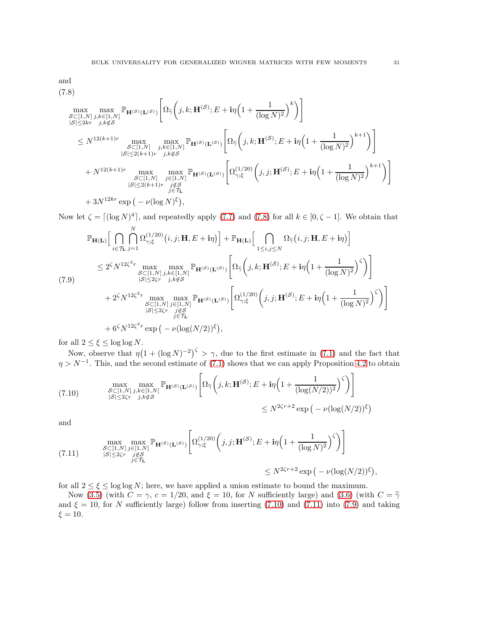and

<span id="page-30-0"></span>
$$
(7.8)
$$

$$
\max_{\substack{S \subset [1,N] \\ |S| \le 2kr}} \max_{\substack{j,k \in [1,N] \\ j,k \in [2, N]}} \mathbb{P}_{\mathbf{H}^{(S)}(\mathbf{L}^{(S)})} \left[ \Omega_{\tilde{\gamma}} \left( j,k;\mathbf{H}^{(S)}; E + i\eta \left( 1 + \frac{1}{(\log N)^2} \right)^k \right) \right] \n\le N^{12(k+1)r} \max_{\substack{S \subset [1,N] \\ |S| \le 2(k+1)r}} \max_{\substack{j,k \in [1,N] \\ j,k \notin S}} \mathbb{P}_{\mathbf{H}^{(S)}(\mathbf{L}^{(S)})} \left[ \Omega_{\tilde{\gamma}} \left( j,k;\mathbf{H}^{(S)}; E + i\eta \left( 1 + \frac{1}{(\log N)^2} \right)^{k+1} \right) \right] \n+ N^{12(k+1)r} \max_{\substack{S \subset [1,N] \\ |S| \le 2(k+1)r}} \max_{\substack{j \in [1,N] \\ j \in \mathcal{T}_{\mathbf{L}}}} \mathbb{P}_{\mathbf{H}^{(S)}(\mathbf{L}^{(S)})} \left[ \Omega_{\gamma;\xi}^{(1/20)} \left( j,j;\mathbf{H}^{(S)}; E + i\eta \left( 1 + \frac{1}{(\log N)^2} \right)^{k+1} \right) \right] \n+ 3N^{12kr} \exp \left( -\nu (\log N)^{\xi} \right),
$$

Now let  $\zeta = \lfloor (\log N)^4 \rfloor$ , and repeatedly apply [\(7.7\)](#page-29-1) and [\(7.8\)](#page-30-0) for all  $k \in [0, \zeta - 1]$ . We obtain that

<span id="page-30-3"></span>
$$
\mathbb{P}_{\mathbf{H}(\mathbf{L})}\Big[\bigcap_{i\in\mathcal{T}_{\mathbf{L}}} \bigcap_{j=1}^{N} \Omega_{\gamma;\xi}^{(1/20)}(i,j;\mathbf{H},E+i\eta)\Big] + \mathbb{P}_{\mathbf{H}(\mathbf{L})}\Big[\bigcap_{1\leq i,j\leq N} \Omega_{\widetilde{\gamma}}(i,j;\mathbf{H},E+i\eta)\Big] \n\leq 2^{\zeta}N^{12\zeta^{2}r} \max_{\substack{S\subset[1,N],j,k\in[1,N]\\|S|\leq 2\zeta r}} \max_{\substack{j,k\notin\mathcal{S}\\j,k\notin\mathcal{S}}} \mathbb{P}_{\mathbf{H}^{(S)}(\mathbf{L}^{(S)})}\Big[\Omega_{\widetilde{\gamma}}\Big(j,k;\mathbf{H}^{(S)};E+i\eta\Big(1+\frac{1}{(\log N)^{2}}\Big)^{\zeta}\Big)\Big] \n+ 2^{\zeta}N^{12\zeta^{2}r} \max_{\substack{S\subset[1,N],j\in[1,N]\\|S|\leq 2\zeta r}} \max_{\substack{j\notin\mathcal{S}\\j\in\mathcal{I}_{\mathbf{L}}}} \max_{\substack{S\subset[1,N],j\in[1,N]\\j\in\mathcal{I}_{\mathbf{L}}}} \mathbb{P}_{\mathbf{H}^{(S)}(\mathbf{L}^{(S)})}\Big[\Omega_{\gamma;\xi}^{(1/20)}\Big(j,j;\mathbf{H}^{(S)};E+i\eta\Big(1+\frac{1}{(\log N)^{2}}\Big)^{\zeta}\Big)\Big]
$$
\n
$$
+ 6^{\zeta}N^{12\zeta^{2}r} \exp\big(-\nu(\log(N/2))^{\xi}\big),
$$

for all  $2 \leq \xi \leq \log \log N$ .

Now, observe that  $\eta(1+(\log N)^{-2})^{\zeta} > \gamma$ , due to the first estimate in [\(7.1\)](#page-28-3) and the fact that  $\eta > N^{-1}$ . This, and the second estimate of [\(7.1\)](#page-28-3) shows that we can apply Proposition [4.2](#page-18-0) to obtain

<span id="page-30-1"></span>(7.10) 
$$
\max_{\substack{S \subset [1,N] \\ |S| \le 2\zeta r}} \max_{\substack{j,k \in [1,N] \\ j,k \notin S}} \mathbb{P}_{\mathbf{H}^{(S)}(\mathbf{L}^{(S)})} \left[ \Omega_{\widetilde{\gamma}} \left( j,k; \mathbf{H}^{(S)}; E + i\eta \left( 1 + \frac{1}{(\log(N/2))^2} \right)^{\zeta} \right) \right] \le N^{2\zeta r + 2} \exp \left( -\nu (\log(N/2))^{\xi} \right)
$$

and

<span id="page-30-2"></span>
$$
(7.11) \quad \max_{\substack{S \subset [1,N] \\ |S| \le 2\zeta r}} \max_{\substack{j \in [1,N] \\ j \in \mathcal{T}_L}} \mathbb{P}_{\mathbf{H}^{(S)}(\mathbf{L}^{(S)})} \left[ \Omega_{\gamma;\xi}^{(1/20)} \left(j,j;\mathbf{H}^{(S)};E+i\eta \left(1+\frac{1}{(\log N)^2}\right)^{\zeta}\right) \right] \\ \le N^{2\zeta r+2} \exp\left(-\nu(\log(N/2))^{\xi}\right),
$$

for all  $2 \le \xi \le \log \log N$ ; here, we have applied a union estimate to bound the maximum.

Now [\(3.5\)](#page-15-1) (with  $C = \gamma$ ,  $c = 1/20$ , and  $\xi = 10$ , for N sufficiently large) and [\(3.6\)](#page-15-2) (with  $C = \tilde{\gamma}$ and  $\xi = 10$ , for N sufficiently large) follow from inserting [\(7.10\)](#page-30-1) and [\(7.11\)](#page-30-2) into [\(7.9\)](#page-30-3) and taking  $\xi = 10$ .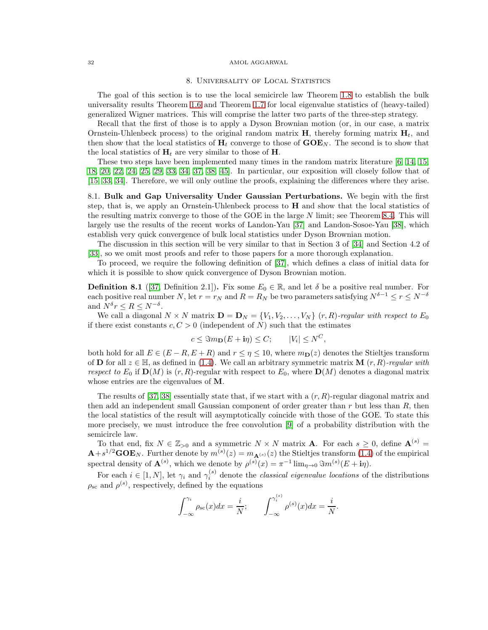# 8. UNIVERSALITY OF LOCAL STATISTICS

<span id="page-31-0"></span>The goal of this section is to use the local semicircle law Theorem [1.8](#page-6-0) to establish the bulk universality results Theorem [1.6](#page-3-3) and Theorem [1.7](#page-3-4) for local eigenvalue statistics of (heavy-tailed) generalized Wigner matrices. This will comprise the latter two parts of the three-step strategy.

Recall that the first of those is to apply a Dyson Brownian motion (or, in our case, a matrix Ornstein-Uhlenbeck process) to the original random matrix  $H$ , thereby forming matrix  $H_t$ , and then show that the local statistics of  $H_t$  converge to those of  $GOE_N$ . The second is to show that the local statistics of  $H_t$  are very similar to those of H.

These two steps have been implemented many times in the random matrix literature [\[6,](#page-43-16) [14,](#page-43-1) [15,](#page-43-17) [18,](#page-43-2) [20,](#page-43-3) [22,](#page-44-2) [24,](#page-44-3) [25,](#page-44-20) [29,](#page-44-5) [33,](#page-44-23) [34,](#page-44-6) [37,](#page-44-21) [38,](#page-44-7) [45\]](#page-44-9). In particular, our exposition will closely follow that of [\[15,](#page-43-17) [33,](#page-44-23) [34\]](#page-44-6). Therefore, we will only outline the proofs, explaining the differences where they arise.

8.1. Bulk and Gap Universality Under Gaussian Perturbations. We begin with the first step, that is, we apply an Ornstein-Uhlenbeck process to  $H$  and show that the local statistics of the resulting matrix converge to those of the GOE in the large  $N$  limit; see Theorem [8.4.](#page-32-0) This will largely use the results of the recent works of Landon-Yau [\[37\]](#page-44-21) and Landon-Sosoe-Yau [\[38\]](#page-44-7), which establish very quick convergence of bulk local statistics under Dyson Brownian motion.

The discussion in this section will be very similar to that in Section 3 of [\[34\]](#page-44-6) and Section 4.2 of [\[33\]](#page-44-23), so we omit most proofs and refer to those papers for a more thorough explanation.

To proceed, we require the following definition of [\[37\]](#page-44-21), which defines a class of initial data for which it is possible to show quick convergence of Dyson Brownian motion.

**Definition 8.1** ([\[37,](#page-44-21) Definition 2.1]). Fix some  $E_0 \in \mathbb{R}$ , and let  $\delta$  be a positive real number. For each positive real number N, let  $r = r_N$  and  $R = R_N$  be two parameters satisfying  $N^{\delta-1} \le r \le N^{-\delta}$ and  $N^{\delta} r \leq R \leq N^{-\delta}$ .

We call a diagonal  $N \times N$  matrix  $\mathbf{D} = \mathbf{D}_N = \{V_1, V_2, \ldots, V_N\}$  (r, R)-regular with respect to  $E_0$ if there exist constants  $c, C > 0$  (independent of N) such that the estimates

$$
c \leq \mathfrak{S}m_{\mathbf{D}}(E + \mathbf{i}\eta) \leq C; \qquad |V_i| \leq N^C,
$$

both hold for all  $E \in (E - R, E + R)$  and  $r \leq \eta \leq 10$ , where  $m_{\mathbf{D}}(z)$  denotes the Stieltjes transform of **D** for all  $z \in \mathbb{H}$ , as defined in [\(1.4\)](#page-5-1). We call an arbitrary symmetric matrix **M**  $(r, R)$ -regular with respect to  $E_0$  if  $\mathbf{D}(M)$  is  $(r, R)$ -regular with respect to  $E_0$ , where  $\mathbf{D}(M)$  denotes a diagonal matrix whose entries are the eigenvalues of **M**.

The results of [\[37,](#page-44-21) [38\]](#page-44-7) essentially state that, if we start with a  $(r, R)$ -regular diagonal matrix and then add an independent small Gaussian component of order greater than  $r$  but less than  $R$ , then the local statistics of the result will asymptotically coincide with those of the GOE. To state this more precisely, we must introduce the free convolution [\[9\]](#page-43-21) of a probability distribution with the semicircle law.

To that end, fix  $N \in \mathbb{Z}_{>0}$  and a symmetric  $N \times N$  matrix **A**. For each  $s \geq 0$ , define  $\mathbf{A}^{(s)}$  =  $\mathbf{A}+s^{1/2}\mathbf{GOE}_N$ . Further denote by  $m^{(s)}(z)=m_{\mathbf{A}^{(s)}}(z)$  the Stieltjes transform  $(1.4)$  of the empirical spectral density of  $\mathbf{A}^{(s)}$ , which we denote by  $\rho^{(s)}(x) = \pi^{-1} \lim_{\eta \to 0} \Im m^{(s)}(E + i\eta)$ .

For each  $i \in [1, N]$ , let  $\gamma_i$  and  $\gamma_i^{(s)}$  denote the *classical eigenvalue locations* of the distributions  $\rho_{\rm sc}$  and  $\rho^{(s)}$ , respectively, defined by the equations

$$
\int_{-\infty}^{\gamma_i} \rho_{\rm sc}(x) dx = \frac{i}{N}; \qquad \int_{-\infty}^{\gamma_i^{(s)}} \rho^{(s)}(x) dx = \frac{i}{N}.
$$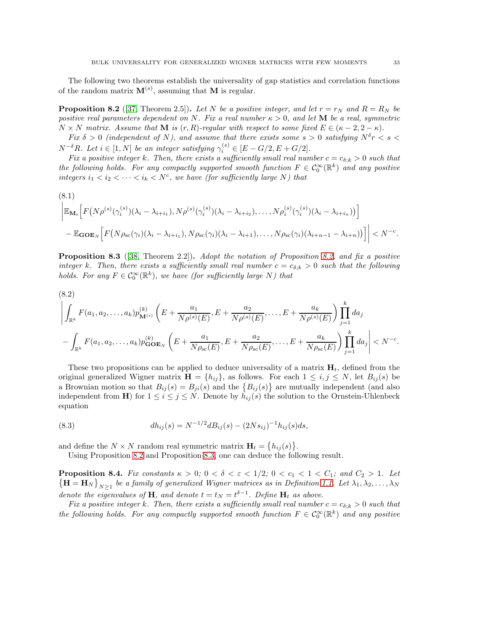The following two theorems establish the universality of gap statistics and correlation functions of the random matrix  $\mathbf{M}^{(s)}$ , assuming that **M** is regular.

<span id="page-32-1"></span>**Proposition 8.2** ([\[37,](#page-44-21) Theorem 2.5]). Let N be a positive integer, and let  $r = r_N$  and  $R = R_N$  be positive real parameters dependent on N. Fix a real number  $\kappa > 0$ , and let **M** be a real, symmetric  $N \times N$  matrix. Assume that **M** is  $(r, R)$ -regular with respect to some fixed  $E \in (\kappa - 2, 2 - \kappa)$ .

Fix  $\delta > 0$  (independent of N), and assume that there exists some  $s > 0$  satisfying  $N^{\delta}r < s <$  $N^{-\delta}R$ . Let  $i \in [1, N]$  be an integer satisfying  $\gamma_i^{(s)} \in [E - G/2, E + G/2]$ .

Fix a positive integer k. Then, there exists a sufficiently small real number  $c = c_{\delta,k} > 0$  such that the following holds. For any compactly supported smooth function  $F \in C_0^{\infty}(\mathbb{R}^k)$  and any positive integers  $i_1 < i_2 < \cdots < i_k < N^c$ , we have (for sufficiently large N) that

<span id="page-32-3"></span>(8.1)  
\n
$$
\left| \mathbb{E}_{\mathbf{M}_t} \Big[ F\big(N \rho^{(s)}(\gamma_i^{(s)})(\lambda_i - \lambda_{i+1}), N \rho^{(s)}(\gamma_i^{(s)})(\lambda_i - \lambda_{i+1}), \dots, N \rho_i^{(s)}(\gamma_i^{(s)})(\lambda_i - \lambda_{i+1})) \Big] - \mathbb{E}_{\mathbf{GOE}_N} \Big[ F\big(N \rho_{\mathrm{sc}}(\gamma_i)(\lambda_i - \lambda_{i+1}), N \rho_{\mathrm{sc}}(\gamma_i)(\lambda_i - \lambda_{i+1}), \dots, N \rho_{\mathrm{sc}}(\gamma_i)(\lambda_{i+n-1} - \lambda_{i+n})) \Big] \right| < N^{-c}.
$$

<span id="page-32-2"></span>**Proposition 8.3** ([\[38,](#page-44-7) Theorem 2.2]). Adopt the notation of Proposition [8.2,](#page-32-1) and fix a positive integer k. Then, there exists a sufficiently small real number  $c = c_{\delta,k} > 0$  such that the following holds. For any  $F \in \mathcal{C}_0^{\infty}(\mathbb{R}^k)$ , we have (for sufficiently large N) that

<span id="page-32-4"></span>
$$
(8.2)
$$
\n
$$
\left| \int_{\mathbb{R}^k} F(a_1, a_2, \dots, a_k) p_{\mathbf{M}^{(s)}}^{(k)} \left( E + \frac{a_1}{N \rho^{(s)}(E)}, E + \frac{a_2}{N \rho^{(s)}(E)}, \dots, E + \frac{a_k}{N \rho^{(s)}(E)} \right) \prod_{j=1}^k da_j - \int_{\mathbb{R}^k} F(a_1, a_2, \dots, a_k) p_{\mathbf{GOE}_N}^{(k)} \left( E + \frac{a_1}{N \rho_{\mathbf{SC}}(E)}, E + \frac{a_2}{N \rho_{\mathbf{SC}}(E)}, \dots, E + \frac{a_k}{N \rho_{\mathbf{SC}}(E)} \right) \prod_{j=1}^k da_j \right| < N^{-c}.
$$

These two propositions can be applied to deduce universality of a matrix  $\mathbf{H}_t$ , defined from the original generalized Wigner matrix  $\mathbf{H} = \{h_{ij}\}\$ , as follows. For each  $1 \leq i, j \leq N$ , let  $B_{ij}(s)$  be a Brownian motion so that  $B_{ij}(s) = B_{ji}(s)$  and the  $\{B_{ij}(s)\}\$  are mutually independent (and also independent from **H**) for  $1 \leq i \leq j \leq N$ . Denote by  $h_{ij}(s)$  the solution to the Ornstein-Uhlenbeck equation

<span id="page-32-5"></span>(8.3) 
$$
dh_{ij}(s) = N^{-1/2} dB_{ij}(s) - (2Ns_{ij})^{-1} h_{ij}(s) ds,
$$

and define the  $N \times N$  random real symmetric matrix  $\mathbf{H}_t = \{h_{ij}(s)\}.$ 

Using Proposition [8.2](#page-32-1) and Proposition [8.3,](#page-32-2) one can deduce the following result.

<span id="page-32-0"></span>**Proposition 8.4.** Fix constants  $\kappa > 0$ ;  $0 < \delta < \varepsilon < 1/2$ ;  $0 < c_1 < 1 < C_1$ ; and  $C_2 > 1$ . Let  $\{\mathbf H = \mathbf H_N\}_{N\geq 1}$  be a family of generalized Wigner matrices as in Definition [1.1.](#page-1-2) Let  $\lambda_1, \lambda_2, \ldots, \lambda_N$ denote the eigenvalues of **H**, and denote  $t = t_N = t^{\delta-1}$ . Define **H**<sub>t</sub> as above.

Fix a positive integer k. Then, there exists a sufficiently small real number  $c = c_{\delta;k} > 0$  such that the following holds. For any compactly supported smooth function  $F \in C_0^{\infty}(\mathbb{R}^k)$  and any positive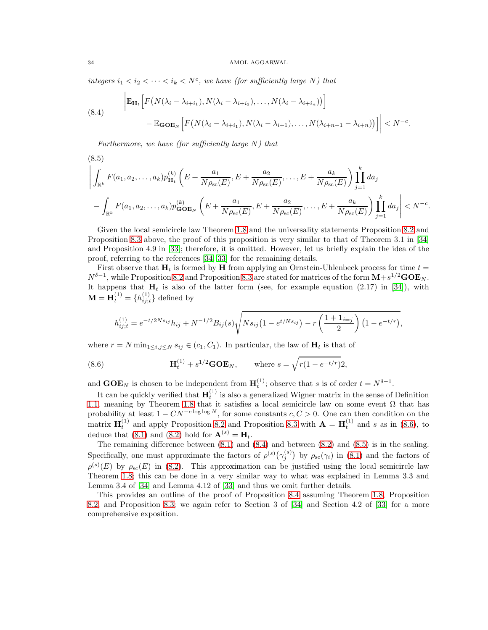integers  $i_1 < i_2 < \cdots < i_k < N^c$ , we have (for sufficiently large N) that

<span id="page-33-1"></span>(8.4)  
\n
$$
\left| \mathbb{E}_{\mathbf{H}_t} \left[ F\big(N(\lambda_i - \lambda_{i+1}), N(\lambda_i - \lambda_{i+1})\big), \dots, N(\lambda_i - \lambda_{i+1})\big) \right] - \mathbb{E}_{\mathbf{GOE}_N} \left[ F\big(N(\lambda_i - \lambda_{i+1}), N(\lambda_i - \lambda_{i+1}), \dots, N(\lambda_{i+n-1} - \lambda_{i+n})\big) \right] \right| < N^{-c}.
$$

Furthermore, we have (for sufficiently large  $N$ ) that

(8.5)  
\n
$$
\left| \int_{\mathbb{R}^k} F(a_1, a_2, \dots, a_k) p_{\mathbf{H}_t}^{(k)} \left( E + \frac{a_1}{N \rho_{\rm sc}(E)}, E + \frac{a_2}{N \rho_{\rm sc}(E)}, \dots, E + \frac{a_k}{N \rho_{\rm sc}(E)} \right) \prod_{j=1}^k da_j \right| \n- \int_{\mathbb{R}^k} F(a_1, a_2, \dots, a_k) p_{\mathbf{GOE}_N}^{(k)} \left( E + \frac{a_1}{N \rho_{\rm sc}(E)}, E + \frac{a_2}{N \rho_{\rm sc}(E)}, \dots, E + \frac{a_k}{N \rho_{\rm sc}(E)} \right) \prod_{j=1}^k da_j \right| < N^{-c}.
$$

Given the local semicircle law Theorem [1.8](#page-6-0) and the universality statements Proposition [8.2](#page-32-1) and Proposition [8.3](#page-32-2) above, the proof of this proposition is very similar to that of Theorem 3.1 in [\[34\]](#page-44-6) and Proposition 4.9 in [\[33\]](#page-44-23); therefore, it is omitted. However, let us briefly explain the idea of the proof, referring to the references [\[34,](#page-44-6) [33\]](#page-44-23) for the remaining details.

First observe that  $H_t$  is formed by H from applying an Ornstein-Uhlenbeck process for time  $t =$  $N^{\delta-1}$ , while Proposition [8.2](#page-32-1) and Proposition [8.3](#page-32-2) are stated for matrices of the form  $M + s^{1/2} G O E_N$ . It happens that  $H_t$  is also of the latter form (see, for example equation (2.17) in [\[34\]](#page-44-6)), with  $\mathbf{M} = \mathbf{H}_t^{(1)} = \{h_{ij;t}^{(1)}\}$  $\{i,j;t\}$  defined by

$$
h_{ij;t}^{(1)} = e^{-t/2Ns_{ij}}h_{ij} + N^{-1/2}B_{ij}(s)\sqrt{Ns_{ij}(1 - e^{t/Ns_{ij}}) - r\left(\frac{1 + 1_{i=j}}{2}\right)(1 - e^{-t/r})},
$$

where  $r = N \min_{1 \leq i,j \leq N} s_{ij} \in (c_1, C_1)$ . In particular, the law of  $H_t$  is that of

<span id="page-33-0"></span>(8.6) 
$$
\mathbf{H}_t^{(1)} + s^{1/2} \mathbf{GOE}_N, \quad \text{where } s = \sqrt{r(1 - e^{-t/r})^2},
$$

and  $\mathbf{GOE}_N$  is chosen to be independent from  $\mathbf{H}_t^{(1)}$ ; observe that s is of order  $t = N^{\delta-1}$ .

It can be quickly verified that  $\mathbf{H}_t^{(1)}$  is also a generalized Wigner matrix in the sense of Definition t can be quickly verified that  $\mathbf{H}_t$  is also a generalized wighter matrix in the sense of Definition [1.1,](#page-1-2) meaning by Theorem [1.8](#page-6-0) that it satisfies a local semicircle law on some event  $Ω$  that has probability at least  $1 - CN^{-c \log \log N}$ , for some constants  $c, C > 0$ . One can then condition on the matrix  $\mathbf{H}_t^{(1)}$  and apply Proposition [8.2](#page-32-1) and Proposition [8.3](#page-32-2) with  $\mathbf{A} = \mathbf{H}_t^{(1)}$  and s as in [\(8.6\)](#page-33-0), to deduce that [\(8.1\)](#page-32-3) and [\(8.2\)](#page-32-4) hold for  $\mathbf{A}^{(s)} = \mathbf{H}_t$ .

The remaining difference between  $(8.1)$  and  $(8.4)$  and between  $(8.2)$  and  $(8.5)$  is in the scaling. Specifically, one must approximate the factors of  $\rho^{(s)}(\gamma_i^{(s)})$  $j^{(s)}$  by  $\rho_{\rm sc}(\gamma_i)$  in [\(8.1\)](#page-32-3) and the factors of  $\rho^{(s)}(E)$  by  $\rho_{\rm sc}(E)$  in [\(8.2\)](#page-32-4). This approximation can be justified using the local semicircle law Theorem [1.8;](#page-6-0) this can be done in a very similar way to what was explained in Lemma 3.3 and Lemma 3.4 of [\[34\]](#page-44-6) and Lemma 4.12 of [\[33\]](#page-44-23) and thus we omit further details.

This provides an outline of the proof of Proposition [8.4](#page-32-0) assuming Theorem [1.8,](#page-6-0) Proposition [8.2,](#page-32-1) and Proposition [8.3;](#page-32-2) we again refer to Section 3 of [\[34\]](#page-44-6) and Section 4.2 of [\[33\]](#page-44-23) for a more comprehensive exposition.

<span id="page-33-2"></span> $(0,5)$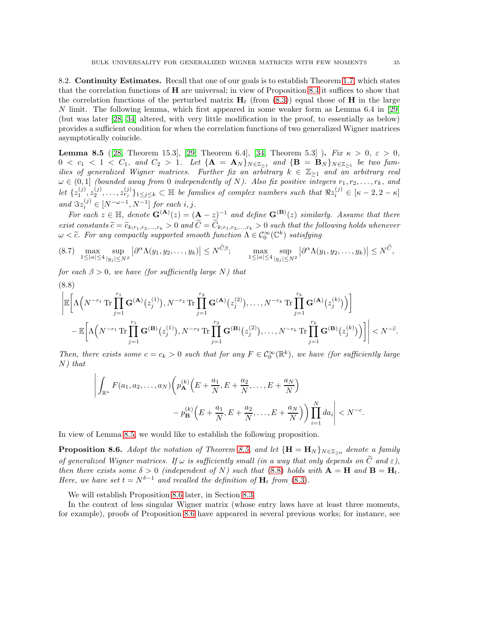<span id="page-34-3"></span>8.2. **Continuity Estimates.** Recall that one of our goals is to establish Theorem [1.7,](#page-3-4) which states that the correlation functions of H are universal; in view of Proposition [8.4](#page-32-0) it suffices to show that the correlation functions of the perturbed matrix  $H_t$  (from [\(8.3\)](#page-32-5)) equal those of H in the large N limit. The following lemma, which first appeared in some weaker form as Lemma 6.4 in [\[29\]](#page-44-5) (but was later [\[28,](#page-44-12) [34\]](#page-44-6) altered, with very little modification in the proof, to essentially as below) provides a sufficient condition for when the correlation functions of two generalized Wigner matrices asymptotically coincide.

<span id="page-34-0"></span>**Lemma 8.5** ([\[28,](#page-44-12) Theorem 15.3], [\[29,](#page-44-5) Theorem 6.4], [\[34,](#page-44-6) Theorem 5.3] ). Fix  $\kappa > 0$ ,  $\varepsilon > 0$ ,  $0 < c_1 < 1 < C_1$ , and  $C_2 > 1$ . Let  $\{A = A_N\}_{N \in \mathbb{Z}_{\geq 1}}$  and  $\{B = B_N\}_{N \in \mathbb{Z}_{\geq 1}}$  be two families of generalized Wigner matrices. Further fix an arbitrary  $k \in \mathbb{Z}_{\geq 1}$  and an arbitrary real  $\omega \in (0,1]$  (bounded away from 0 independently of N). Also fix positive integers  $r_1, r_2, \ldots, r_k$ , and Let  $\{z_1^{(j)}, z_2^{(j)}, \ldots, z_{r_j}^{(j)}\}_{1 \leq j \leq k} \subset \mathbb{H}$  be families of complex numbers such that  $\Re z_i^{(j)} \in [\kappa - 2, 2 - \kappa]$ and  $\Im z_i^{(j)} \in [N^{-\omega - 1}, N^{-1}]$  for each i, j.

For each  $z \in \mathbb{H}$ , denote  $\mathbf{G}^{(\mathbf{A})}(z) = (\mathbf{A} - z)^{-1}$  and define  $\mathbf{G}^{(\mathbf{B})}(z)$  similarly. Assume that there exist constants  $\widetilde{c} = \widetilde{c}_{k; r_1, r_2,...,r_k} > 0$  and  $\widetilde{C} = \widetilde{C}_{k; r_1, r_2,...,r_k} > 0$  such that the following holds whenever  $\omega < \tilde{c}$ . For any compactly supported smooth function  $\Lambda \in C_0^{\infty}(\mathbb{C}^k)$  satisfying

<span id="page-34-4"></span>
$$
(8.7) \quad \max_{1 \leq |\alpha| \leq 4} \sup_{|y_j| \leq N^{\beta}} \left| \partial^{\alpha} \Lambda(y_1, y_2, \dots, y_k) \right| \leq N^{\widetilde{C}\beta}; \qquad \max_{1 \leq |\alpha| \leq 4} \sup_{|y_j| \leq N^2} \left| \partial^{\alpha} \Lambda(y_1, y_2, \dots, y_k) \right| \leq N^{\widetilde{C}},
$$

for each  $\beta > 0$ , we have (for sufficiently large N) that

<span id="page-34-1"></span>
$$
\left| \mathbb{E}\bigg[\Lambda\Big(N^{-r_1}\operatorname{Tr}\prod_{j=1}^{r_1}\mathbf{G}^{(\mathbf{A})}\big(z_j^{(1)}\big),N^{-r_2}\operatorname{Tr}\prod_{j=1}^{r_2}\mathbf{G}^{(\mathbf{A})}\big(z_j^{(2)}\big),\ldots,N^{-r_k}\operatorname{Tr}\prod_{j=1}^{r_k}\mathbf{G}^{(\mathbf{A})}\big(z_j^{(k)}\big)\big)\bigg] - \mathbb{E}\bigg[\Lambda\Big(N^{-r_1}\operatorname{Tr}\prod_{j=1}^{r_1}\mathbf{G}^{(\mathbf{B})}\big(z_j^{(1)}\big),N^{-r_2}\operatorname{Tr}\prod_{j=1}^{r_2}\mathbf{G}^{(\mathbf{B})}\big(z_j^{(2)}\big),\ldots,N^{-r_k}\operatorname{Tr}\prod_{j=1}^{r_k}\mathbf{G}^{(\mathbf{B})}\big(z_j^{(k)}\big)\big)\bigg]\bigg| < N^{-\tilde{c}}.
$$

Then, there exists some  $c = c_k > 0$  such that for any  $F \in C_0^{\infty}(\mathbb{R}^k)$ , we have (for sufficiently large  $N$ ) that

$$
\left| \int_{\mathbb{R}^n} F(a_1, a_2, \dots, a_N) \left( p_{\mathbf{A}}^{(k)} \left( E + \frac{a_1}{N}, E + \frac{a_2}{N}, \dots, E + \frac{a_N}{N} \right) - p_{\mathbf{B}}^{(k)} \left( E + \frac{a_1}{N}, E + \frac{a_2}{N}, \dots, E + \frac{a_N}{N} \right) \right) \prod_{i=1}^N da_i \right| < N^{-c}.
$$

In view of Lemma [8.5,](#page-34-0) we would like to establish the following proposition.

<span id="page-34-2"></span>**Proposition 8.6.** Adopt the notation of Theorem [8.5,](#page-34-0) and let  ${H = H_N}_{N \in \mathbb{Z}_{\geq 0}}$  denote a family of generalized Wigner matrices. If  $\omega$  is sufficiently small (in a way that only depends on  $\tilde{C}$  and  $\varepsilon$ ), then there exists some  $\delta > 0$  (independent of N) such that [\(8.8\)](#page-34-1) holds with  $\mathbf{A} = \mathbf{H}$  and  $\mathbf{B} = \mathbf{H}_t$ . Here, we have set  $t = N^{\delta-1}$  and recalled the definition of  $H_t$  from [\(8.3\)](#page-32-5).

We will establish Proposition [8.6](#page-34-2) later, in Section [8.3.](#page-37-0)

In the context of less singular Wigner matrix (whose entry laws have at least three moments, for example), proofs of Proposition [8.6](#page-34-2) have appeared in several previous works; for instance, see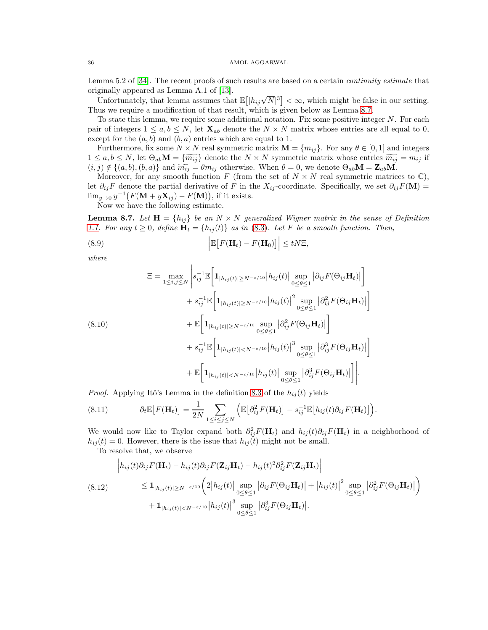Lemma 5.2 of [\[34\]](#page-44-6). The recent proofs of such results are based on a certain continuity estimate that originally appeared as Lemma A.1 of [\[13\]](#page-43-22).

Unfortunately, that lemma assumes that  $\mathbb{E}[|h_{ij}\sqrt{N}|^3]<\infty$ , which might be false in our setting. Thus we require a modification of that result, which is given below as Lemma [8.7.](#page-35-0)

To state this lemma, we require some additional notation. Fix some positive integer  $N$ . For each pair of integers  $1 \leq a, b \leq N$ , let  $\mathbf{X}_{ab}$  denote the  $N \times N$  matrix whose entries are all equal to 0, except for the  $(a, b)$  and  $(b, a)$  entries which are equal to 1.

Furthermore, fix some  $N \times N$  real symmetric matrix  $\mathbf{M} = \{m_{ij}\}\.$  For any  $\theta \in [0, 1]$  and integers  $1 \leq a, b \leq N$ , let  $\Theta_{ab} \mathbf{M} = \{ \widetilde{m_{ij}} \}$  denote the  $N \times N$  symmetric matrix whose entries  $\widetilde{m_{ij}} = m_{ij}$  if  $(i, j) \notin \{(a, b), (b, a)\}\$ and  $\widetilde{m_{ij}} = \theta m_{ij}$  otherwise. When  $\theta = 0$ , we denote  $\Theta_{ab}$ **M** =  $\mathbf{Z}_{ab}$ **M**.

Moreover, for any smooth function F (from the set of  $N \times N$  real symmetric matrices to  $\mathbb{C}$ ), let  $\partial_{ij}F$  denote the partial derivative of F in the  $X_{ij}$ -coordinate. Specifically, we set  $\partial_{ij}F(\mathbf{M}) =$  $\lim_{y\to 0} y^{-1} (F(\mathbf{M} + y\mathbf{X}_{ij}) - F(\mathbf{M}))),$  if it exists.

Now we have the following estimate.

<span id="page-35-0"></span>**Lemma 8.7.** Let  $\mathbf{H} = \{h_{ij}\}\$ be an  $N \times N$  generalized Wigner matrix in the sense of Definition [1.1.](#page-1-2) For any  $t \geq 0$ , define  $H_t = \{h_{ij}(t)\}\$ as in [\(8.3\)](#page-32-5). Let F be a smooth function. Then,

<span id="page-35-1"></span>(8.9) 
$$
\left| \mathbb{E}\big[F(\mathbf{H}_t) - F(\mathbf{H}_0)\big]\right| \leq tN\Xi,
$$

where

<span id="page-35-4"></span>
$$
\mathbf{E} = \max_{1 \leq i,j \leq N} \left| s_{ij}^{-1} \mathbb{E} \left[ \mathbf{1}_{|h_{ij}(t)| \geq N^{-\epsilon/10}} |h_{ij}(t)| \sup_{0 \leq \theta \leq 1} |\partial_{ij} F(\Theta_{ij} \mathbf{H}_t)| \right] + s_{ij}^{-1} \mathbb{E} \left[ \mathbf{1}_{|h_{ij}(t)| \geq N^{-\epsilon/10}} |h_{ij}(t)|^2 \sup_{0 \leq \theta \leq 1} |\partial_{ij}^2 F(\Theta_{ij} \mathbf{H}_t)| \right] + \mathbb{E} \left[ \mathbf{1}_{|h_{ij}(t)| \geq N^{-\epsilon/10}} \sup_{0 \leq \theta \leq 1} |\partial_{ij}^2 F(\Theta_{ij} \mathbf{H}_t)| \right] + s_{ij}^{-1} \mathbb{E} \left[ \mathbf{1}_{|h_{ij}(t)| < N^{-\epsilon/10}} |h_{ij}(t)|^3 \sup_{0 \leq \theta \leq 1} |\partial_{ij}^3 F(\Theta_{ij} \mathbf{H}_t)| \right] + \mathbb{E} \left[ \mathbf{1}_{|h_{ij}(t)| < N^{-\epsilon/10}} |h_{ij}(t)| \sup_{0 \leq \theta \leq 1} |\partial_{ij}^3 F(\Theta_{ij} \mathbf{H}_t)| \right].
$$

*Proof.* Applying Itô's Lemma in the definition [8.3](#page-32-5) of the  $h_{ij}(t)$  yields

<span id="page-35-2"></span>(8.11) 
$$
\partial_t \mathbb{E}\big[F(\mathbf{H}_t)\big] = \frac{1}{2N} \sum_{1 \leq i \leq j \leq N} \Big(\mathbb{E}\big[\partial_{ij}^2 F(\mathbf{H}_t)\big] - s_{ij}^{-1} \mathbb{E}\big[h_{ij}(t)\partial_{ij} F(\mathbf{H}_t)\big]\Big).
$$

We would now like to Taylor expand both  $\partial_{ij}^2 F(\mathbf{H}_t)$  and  $h_{ij}(t)\partial_{ij}F(\mathbf{H}_t)$  in a neighborhood of  $h_{ij}(t) = 0$ . However, there is the issue that  $h_{ij}(t)$  might not be small.

To resolve that, we observe

<span id="page-35-3"></span>
$$
\begin{split}\n\left| h_{ij}(t)\partial_{ij}F(\mathbf{H}_t) - h_{ij}(t)\partial_{ij}F(\mathbf{Z}_{ij}\mathbf{H}_t) - h_{ij}(t)^2\partial_{ij}^2F(\mathbf{Z}_{ij}\mathbf{H}_t) \right| \\
&\leq \mathbf{1}_{|h_{ij}(t)| \geq N^{-\varepsilon/10}} \bigg( 2\left| h_{ij}(t) \right| \sup_{0 \leq \theta \leq 1} \left| \partial_{ij}F(\Theta_{ij}\mathbf{H}_t) \right| + \left| h_{ij}(t) \right|^2 \sup_{0 \leq \theta \leq 1} \left| \partial_{ij}^2F(\Theta_{ij}\mathbf{H}_t) \right| \bigg) \\
&\quad + \mathbf{1}_{|h_{ij}(t)| < N^{-\varepsilon/10}} \left| h_{ij}(t) \right|^3 \sup_{0 \leq \theta \leq 1} \left| \partial_{ij}^3F(\Theta_{ij}\mathbf{H}_t) \right|.\n\end{split}
$$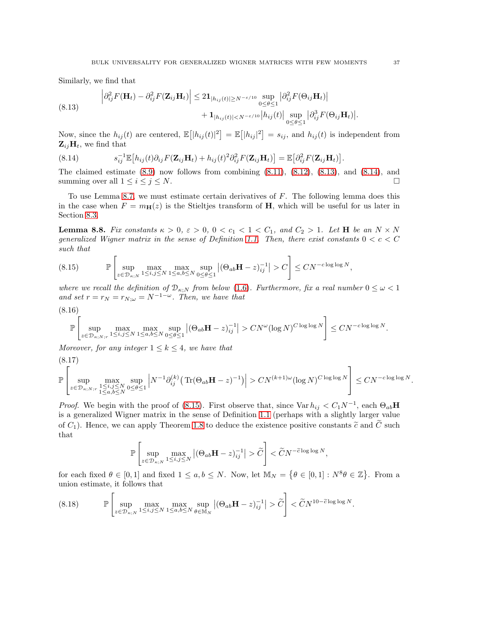Similarly, we find that

<span id="page-36-0"></span>(8.13) 
$$
\left| \partial_{ij}^2 F(\mathbf{H}_t) - \partial_{ij}^2 F(\mathbf{Z}_{ij} \mathbf{H}_t) \right| \leq 2 \mathbf{1}_{|h_{ij}(t)| \geq N^{-\epsilon/10}} \sup_{0 \leq \theta \leq 1} \left| \partial_{ij}^2 F(\Theta_{ij} \mathbf{H}_t) \right| + \mathbf{1}_{|h_{ij}(t)| < N^{-\epsilon/10}} \left| h_{ij}(t) \right| \sup_{0 \leq \theta \leq 1} \left| \partial_{ij}^3 F(\Theta_{ij} \mathbf{H}_t) \right|
$$

Now, since the  $h_{ij}(t)$  are centered,  $\mathbb{E}[|h_{ij}(t)|^2] = \mathbb{E}[|h_{ij}|^2] = s_{ij}$ , and  $h_{ij}(t)$  is independent from  $\mathbf{Z}_{ij}\mathbf{H}_{t}$ , we find that

<span id="page-36-1"></span>(8.14) 
$$
s_{ij}^{-1} \mathbb{E} \left[ h_{ij}(t) \partial_{ij} F(\mathbf{Z}_{ij} \mathbf{H}_t) + h_{ij}(t)^2 \partial_{ij}^2 F(\mathbf{Z}_{ij} \mathbf{H}_t) \right] = \mathbb{E} \left[ \partial_{ij}^2 F(\mathbf{Z}_{ij} \mathbf{H}_t) \right].
$$

The claimed estimate  $(8.9)$  now follows from combining  $(8.11)$ ,  $(8.12)$ ,  $(8.13)$ , and  $(8.14)$ , and summing over all  $1 \leq i \leq j \leq N$ .

To use Lemma [8.7,](#page-35-0) we must estimate certain derivatives of F. The following lemma does this in the case when  $F = m_{\mathbf{H}}(z)$  is the Stieltjes transform of H, which will be useful for us later in Section [8.3.](#page-37-0)

**Lemma 8.8.** Fix constants  $\kappa > 0$ ,  $\varepsilon > 0$ ,  $0 < c_1 < 1 < C_1$ , and  $C_2 > 1$ . Let **H** be an  $N \times N$ generalized Wigner matrix in the sense of Definition [1.1.](#page-1-2) Then, there exist constants  $0 < c < C$ such that

<span id="page-36-2"></span>
$$
(8.15) \qquad \mathbb{P}\left[\sup_{z\in\mathcal{D}_{\kappa;N}}\max_{1\le i,j\le N}\max_{1\le a,b\le N}\sup_{0\le\theta\le 1}\left|\left(\Theta_{ab}\mathbf{H}-z\right)_{ij}^{-1}\right|>C\right]\le CN^{-c\log\log N},\right.
$$

where we recall the definition of  $\mathcal{D}_{\kappa;N}$  from below [\(1.6\)](#page-6-3). Furthermore, fix a real number  $0 \leq \omega < 1$ and set  $r = r_N = r_{N;\omega} = N^{-1-\omega}$ . Then, we have that

<span id="page-36-4"></span>
$$
(8.16)
$$
  

$$
\mathbb{P}\left[\sup_{z\in\mathcal{D}_{\kappa;N;r}}\max_{1\leq i,j\leq N}\max_{1\leq a,b\leq N}\sup_{0\leq\theta\leq 1}|(\Theta_{ab}\mathbf{H}-z)_{ij}^{-1}|>CN^{\omega}(\log N)^{C\log\log N}\right]\leq CN^{-c\log\log N}.
$$

Moreover, for any integer  $1 \leq k \leq 4$ , we have that

<span id="page-36-5"></span>(8.17)

$$
\mathbb{P}\left[\sup_{z\in\mathcal{D}_{\kappa;N;r}}\max_{\substack{1\leq i,j\leq N\\1\leq a,b\leq N}}\sup_{0\leq\theta\leq 1}\left|N^{-1}\partial_{ij}^{(k)}\big(\operatorname{Tr}(\Theta_{ab}\mathbf{H}-z)^{-1}\big)\right|> CN^{(k+1)\omega}(\log N)^{C\log\log N}\right]\leq CN^{-c\log\log N}.
$$

*Proof.* We begin with the proof of [\(8.15\)](#page-36-2). First observe that, since  $\text{Var } h_{ij} < C_1 N^{-1}$ , each  $\Theta_{ab}H$ is a generalized Wigner matrix in the sense of Definition [1.1](#page-1-2) (perhaps with a slightly larger value of  $C_1$ ). Hence, we can apply Theorem [1.8](#page-7-3) to deduce the existence positive constants  $\tilde{c}$  and  $\tilde{C}$  such that

$$
\mathbb{P}\left[\sup_{z\in\mathcal{D}_{\kappa;N}}\max_{1\leq i,j\leq N}\left|(\Theta_{ab}\mathbf{H}-z)_{ij}^{-1}\right|>\widetilde{C}\right]<\widetilde{C}N^{-\widetilde{c}\log\log N},
$$

for each fixed  $\theta \in [0,1]$  and fixed  $1 \le a, b \le N$ . Now, let  $\mathbb{M}_N = \{ \theta \in [0,1] : N^8 \theta \in \mathbb{Z} \}$ . From a union estimate, it follows that

<span id="page-36-3"></span>
$$
(8.18) \qquad \mathbb{P}\left[\sup_{z\in\mathcal{D}_{\kappa;N}}\max_{1\leq i,j\leq N}\max_{1\leq a,b\leq N}\sup_{\theta\in\mathbb{M}_{N}}\left|\left(\Theta_{ab}\mathbf{H}-z\right)_{ij}^{-1}\right|>\widetilde{C}\right] <\widetilde{C}N^{10-\widetilde{c}\log\log N}.
$$

.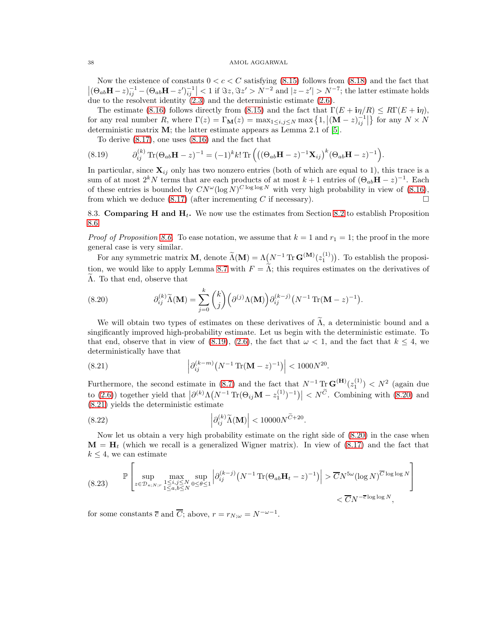Now the existence of constants  $0 < c < C$  satisfying [\(8.15\)](#page-36-2) follows from [\(8.18\)](#page-36-3) and the fact that  $|(\Theta_{ab}\mathbf{H}-z)^{-1}_{ij}-(\Theta_{ab}\mathbf{H}-z')^{-1}_{ij}| < 1$  if  $\Im z, \Im z' > N^{-2}$  and  $|z-z'| > N^{-7}$ ; the latter estimate holds due to the resolvent identity  $(2.3)$  and the deterministic estimate  $(2.6)$ .

The estimate [\(8.16\)](#page-36-4) follows directly from [\(8.15\)](#page-36-2) and the fact that  $\Gamma(E + i\eta/R) \le R\Gamma(E + i\eta)$ , for any real number  $R$ , where  $\Gamma(z) = \Gamma_{\mathbf{M}}(z) = \max_{1 \le i,j \le N} \max\left\{1, \left|(\mathbf{M} - z)^{-1}_{ij}\right|\right\}$  for any  $N \times N$ deterministic matrix  $M$ ; the latter estimate appears as Lemma 2.1 of  $[5]$ .

To derive [\(8.17\)](#page-36-5), one uses [\(8.16\)](#page-36-4) and the fact that

<span id="page-37-1"></span>(8.19) 
$$
\partial_{ij}^{(k)} \text{Tr}(\Theta_{ab} \mathbf{H} - z)^{-1} = (-1)^k k! \text{Tr}((\Theta_{ab} \mathbf{H} - z)^{-1} \mathbf{X}_{ij})^k (\Theta_{ab} \mathbf{H} - z)^{-1}).
$$

In particular, since  $\mathbf{X}_{ij}$  only has two nonzero entries (both of which are equal to 1), this trace is a sum of at most  $2^k N$  terms that are each products of at most  $k + 1$  entries of  $(\Theta_{ab} \mathbf{H} - z)^{-1}$ . Each of these entries is bounded by  $CN^\omega(\log N)^{C \log \log N}$  with very high probability in view of [\(8.16\)](#page-36-4), from which we deduce  $(8.17)$  (after incrementing C if necessary).

<span id="page-37-0"></span>8.3. Comparing H and  $H_t$ . We now use the estimates from Section [8.2](#page-34-3) to establish Proposition [8.6.](#page-34-2)

*Proof of Proposition [8.6.](#page-34-2)* To ease notation, we assume that  $k = 1$  and  $r_1 = 1$ ; the proof in the more general case is very similar.

For any symmetric matrix **M**, denote  $\widetilde{\Lambda}(\mathbf{M}) = \Lambda \left( N^{-1} \text{Tr } \mathbf{G}^{(\mathbf{M})}(z_1^{(1)}) \right)$ . To establish the proposi-tion, we would like to apply Lemma [8.7](#page-35-0) with  $F = \tilde{\Lambda}$ ; this requires estimates on the derivatives of  $\tilde{\Lambda}$ . To that end, observe that

<span id="page-37-2"></span>(8.20) 
$$
\partial_{ij}^{(k)} \widetilde{\Lambda}(\mathbf{M}) = \sum_{j=0}^k {k \choose j} \left( \partial^{(j)} \Lambda(\mathbf{M}) \right) \partial_{ij}^{(k-j)} \left( N^{-1} \operatorname{Tr}(\mathbf{M} - z)^{-1} \right).
$$

We will obtain two types of estimates on these derivatives of  $\tilde{\Lambda}$ , a deterministic bound and a singificantly improved high-probability estimate. Let us begin with the deterministic estimate. To that end, observe that in view of [\(8.19\)](#page-37-1), [\(2.6\)](#page-9-0), the fact that  $\omega < 1$ , and the fact that  $k \leq 4$ , we deterministically have that

<span id="page-37-3"></span>(8.21) 
$$
\left| \partial_{ij}^{(k-m)} (N^{-1} \text{Tr}(\mathbf{M} - z)^{-1}) \right| < 1000 N^{20}.
$$

Furthermore, the second estimate in [\(8.7\)](#page-34-4) and the fact that  $N^{-1}$  Tr  $\mathbf{G}^{(\mathbf{H})}(z_1^{(1)}) < N^2$  (again due to [\(2.6\)](#page-9-0)) together yield that  $\left|\partial^{(k)}\Lambda (N^{-1}\operatorname{Tr}(\Theta_{ij}\mathbf{M}-z_1^{(1)})^{-1})\right| < N^{\widetilde{C}}$ . Combining with [\(8.20\)](#page-37-2) and [\(8.21\)](#page-37-3) yields the deterministic estimate

<span id="page-37-5"></span>(8.22) 
$$
\left| \partial_{ij}^{(k)} \widetilde{\Lambda}(\mathbf{M}) \right| < 10000 N^{\widetilde{C}+20}.
$$

Now let us obtain a very high probability estimate on the right side of [\(8.20\)](#page-37-2) in the case when  $\mathbf{M} = \mathbf{H}_t$  (which we recall is a generalized Wigner matrix). In view of [\(8.17\)](#page-36-5) and the fact that  $k \leq 4$ , we can estimate

<span id="page-37-4"></span>
$$
(8.23) \quad \mathbb{P}\left[\sup_{z\in\mathcal{D}_{\kappa;N;r}}\max_{\substack{1\leq i,j\leq N\\1\leq a,b\leq N}}\sup_{0\leq\theta\leq 1}\left|\partial_{ij}^{(k-j)}\left(N^{-1}\operatorname{Tr}(\Theta_{ab}\mathbf{H}_{t}-z)^{-1}\right)\right|>\overline{C}N^{5\omega}(\log N)^{\overline{C}\log\log N}\right] \leq \overline{C}N^{-\overline{c}\log\log N},
$$

for some constants  $\overline{c}$  and  $\overline{C}$ ; above,  $r = r_{N;\omega} = N^{-\omega-1}$ .

 $\overline{a}$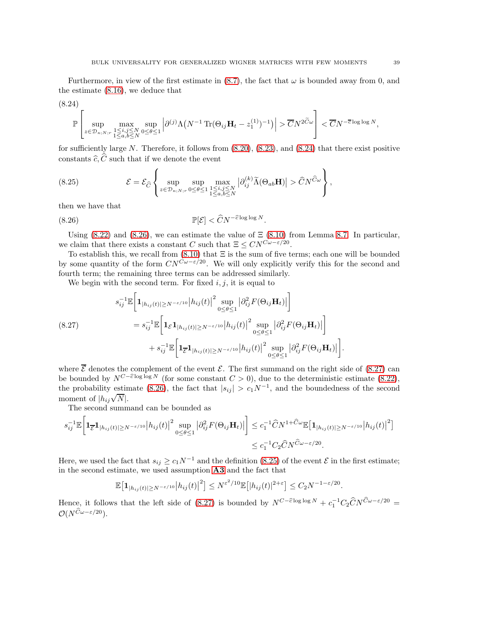Furthermore, in view of the first estimate in  $(8.7)$ , the fact that  $\omega$  is bounded away from 0, and the estimate [\(8.16\)](#page-36-4), we deduce that

<span id="page-38-0"></span>
$$
(8.24)
$$

$$
\mathbb{P}\left[\sup_{z\in\mathcal{D}_{\kappa;N;r}}\max_{\substack{1\leq i,j\leq N\\1\leq a,b\leq N}}\sup_{0\leq\theta\leq 1}\left|\partial^{(j)}\Lambda\big(N^{-1}\operatorname{Tr}(\Theta_{ij}\mathbf{H}_t-z_1^{(1)})^{-1}\big)\right|>\overline{C}N^{2\widetilde{C}\omega}\right]<\overline{C}N^{-\overline{c}\log\log N},
$$

for sufficiently large  $N$ . Therefore, it follows from  $(8.20)$ ,  $(8.23)$ , and  $(8.24)$  that there exist positive constants  $\widehat{c}, \widehat{C}$  such that if we denote the event

<span id="page-38-3"></span>(8.25) 
$$
\mathcal{E} = \mathcal{E}_{\widehat{C}} \left\{ \sup_{z \in \mathcal{D}_{\kappa;N;r}} \sup_{0 \le \theta \le 1} \max_{\substack{1 \le i,j \le N \\ 1 \le a,b \le N}} |\partial_{ij}^{(k)} \widetilde{\Lambda}(\Theta_{ab} \mathbf{H})| > \widehat{C} N^{\widehat{C}\omega} \right\},
$$

then we have that

<span id="page-38-1"></span>(8.26) 
$$
\mathbb{P}[\mathcal{E}] < \widehat{C} N^{-\widehat{c} \log \log N}.
$$

Using  $(8.22)$  and  $(8.26)$ , we can estimate the value of  $\Xi$   $(8.10)$  from Lemma [8.7.](#page-35-0) In particular, we claim that there exists a constant C such that  $\Xi \leq CN^{C\omega - \varepsilon/20}$ .

To establish this, we recall from  $(8.10)$  that  $\Xi$  is the sum of five terms; each one will be bounded by some quantity of the form  $CN^{C_{\omega-\epsilon}/20}$ . We will only explicitly verify this for the second and fourth term; the remaining three terms can be addressed similarly.

We begin with the second term. For fixed  $i, j$ , it is equal to

<span id="page-38-2"></span>
$$
s_{ij}^{-1} \mathbb{E} \Big[ \mathbf{1}_{|h_{ij}(t)| \ge N^{-\epsilon/10}} |h_{ij}(t)|^2 \sup_{0 \le \theta \le 1} \left| \partial_{ij}^2 F(\Theta_{ij} \mathbf{H}_t) \right| \Big]
$$
  
\n
$$
= s_{ij}^{-1} \mathbb{E} \Big[ \mathbf{1}_{\mathcal{E}} \mathbf{1}_{|h_{ij}(t)| \ge N^{-\epsilon/10}} |h_{ij}(t)|^2 \sup_{0 \le \theta \le 1} \left| \partial_{ij}^2 F(\Theta_{ij} \mathbf{H}_t) \right| \Big] + s_{ij}^{-1} \mathbb{E} \Big[ \mathbf{1}_{\overline{\mathcal{E}}} \mathbf{1}_{|h_{ij}(t)| \ge N^{-\epsilon/10}} |h_{ij}(t)|^2 \sup_{0 \le \theta \le 1} \left| \partial_{ij}^2 F(\Theta_{ij} \mathbf{H}_t) \right| \Big].
$$

where  $\overline{\mathcal{E}}$  denotes the complement of the event  $\mathcal{E}$ . The first summand on the right side of [\(8.27\)](#page-38-2) can be bounded by  $N^{C-\hat{c}\log \log N}$  (for some constant  $C > 0$ ), due to the deterministic estimate [\(8.22\)](#page-37-5), the probability estimate [\(8.26\)](#page-38-1), the fact that  $|s_{ij}| > c_1 N^{-1}$ , and the boundedness of the second moment of  $|h_{ij}\sqrt{N}$ .

The second summand can be bounded as

$$
s_{ij}^{-1} \mathbb{E} \Big[ \mathbf{1}_{\overline{\varepsilon}} \mathbf{1}_{|h_{ij}(t)| \ge N^{-\varepsilon/10}} |h_{ij}(t)|^2 \sup_{0 \le \theta \le 1} |\partial_{ij}^2 F(\Theta_{ij} \mathbf{H}_t)| \Big] \le c_1^{-1} \widehat{C} N^{1+\widehat{C}\omega} \mathbb{E} \big[ \mathbf{1}_{|h_{ij}(t)| \ge N^{-\varepsilon/10}} |h_{ij}(t)|^2 \big] \le c_1^{-1} C_2 \widehat{C} N^{\widehat{C}\omega - \varepsilon/20}.
$$

Here, we used the fact that  $s_{ij} \ge c_1 N^{-1}$  and the definition [\(8.25\)](#page-38-3) of the event  $\mathcal E$  in the first estimate; in the second estimate, we used assumption [A3](#page-1-1) and the fact that

$$
\mathbb{E}\big[\mathbf{1}_{|h_{ij}(t)|\geq N^{-\varepsilon/10}}\big|h_{ij}(t)\big|^2\big]\leq N^{\varepsilon^2/10}\mathbb{E}\big[|h_{ij}(t)|^{2+\varepsilon}\big]\leq C_2N^{-1-\varepsilon/20}.
$$

Hence, it follows that the left side of [\(8.27\)](#page-38-2) is bounded by  $N^{C-\hat{c}\log \log N} + c_1^{-1}C_2\hat{C}N^{\hat{C}\omega - \varepsilon/20}$  $\mathcal{O}(N^{\widehat{C}\omega-\varepsilon/20}).$ 

 $\lambda$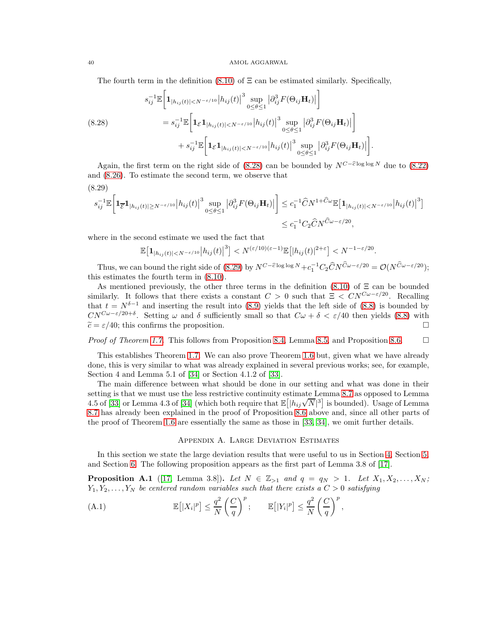The fourth term in the definition  $(8.10)$  of  $\Xi$  can be estimated similarly. Specifically,

<span id="page-39-1"></span>
$$
s_{ij}^{-1} \mathbb{E} \left[ \mathbf{1}_{|h_{ij}(t)| < N^{-\epsilon/10}} |h_{ij}(t)|^3 \sup_{0 \le \theta \le 1} \left| \partial_{ij}^3 F(\Theta_{ij} \mathbf{H}_t) \right| \right]
$$
  
\n
$$
= s_{ij}^{-1} \mathbb{E} \left[ \mathbf{1}_{\mathcal{E}} \mathbf{1}_{|h_{ij}(t)| < N^{-\epsilon/10}} |h_{ij}(t)|^3 \sup_{0 \le \theta \le 1} \left| \partial_{ij}^3 F(\Theta_{ij} \mathbf{H}_t) \right| \right]
$$
  
\n
$$
+ s_{ij}^{-1} \mathbb{E} \left[ \mathbf{1}_{\mathcal{E}} \mathbf{1}_{|h_{ij}(t)| < N^{-\epsilon/10}} |h_{ij}(t)|^3 \sup_{0 \le \theta \le 1} \left| \partial_{ij}^3 F(\Theta_{ij} \mathbf{H}_t) \right| \right].
$$

Again, the first term on the right side of [\(8.28\)](#page-39-1) can be bounded by  $N^{C-\hat{c}\log\log N}$  due to [\(8.22\)](#page-37-5) and [\(8.26\)](#page-38-1). To estimate the second term, we observe that

<span id="page-39-2"></span>
$$
(8.29)
$$

$$
s_{ij}^{-1} \mathbb{E} \Big[ \mathbf{1}_{\overline{\mathcal{E}}} \mathbf{1}_{|h_{ij}(t)| \ge N^{-\varepsilon/10}} |h_{ij}(t)|^3 \sup_{0 \le \theta \le 1} \left| \partial_{ij}^3 F(\Theta_{ij} \mathbf{H}_t) \right| \Big] \le c_1^{-1} \widehat{C} N^{1+\widehat{C}\omega} \mathbb{E} \big[ \mathbf{1}_{|h_{ij}(t)| \le N^{-\varepsilon/10}} |h_{ij}(t)|^3 \big] \le c_1^{-1} C_2 \widehat{C} N^{\widehat{C}\omega - \varepsilon/20},
$$

where in the second estimate we used the fact that

$$
\mathbb{E}\big[\mathbf{1}_{|h_{ij}(t)|
$$

Thus, we can bound the right side of [\(8.29\)](#page-39-2) by  $N^{C-\widehat{c}\log\log N} + c_1^{-1}C_2\widehat{C}N^{\widehat{C}\omega-\epsilon/20} = \mathcal{O}(N^{\widehat{C}\omega-\epsilon/20});$ this estimates the fourth term in [\(8.10\)](#page-35-4).

As mentioned previously, the other three terms in the definition [\(8.10\)](#page-35-4) of  $\Xi$  can be bounded similarly. It follows that there exists a constant  $C > 0$  such that  $\Xi < CN^{C\omega-\epsilon/20}$ . Recalling that  $t = N^{\delta-1}$  and inserting the result into [\(8.9\)](#page-35-1) yields that the left side of [\(8.8\)](#page-34-1) is bounded by  $CN^{C\omega-\epsilon/20+\delta}$ . Setting  $\omega$  and  $\delta$  sufficiently small so that  $C\omega+\delta<\epsilon/40$  then yields [\(8.8\)](#page-34-1) with  $\widetilde{c} = \varepsilon/40$ ; this confirms the proposition.

*Proof of Theorem [1.7.](#page-3-4)* This follows from Proposition [8.4,](#page-32-0) Lemma [8.5,](#page-34-0) and Proposition [8.6.](#page-34-2)  $\Box$ 

This establishes Theorem [1.7.](#page-3-4) We can also prove Theorem [1.6](#page-3-3) but, given what we have already done, this is very similar to what was already explained in several previous works; see, for example, Section 4 and Lemma 5.1 of [\[34\]](#page-44-6) or Section 4.1.2 of [\[33\]](#page-44-23).

The main difference between what should be done in our setting and what was done in their setting is that we must use the less restrictive continuity estimate Lemma [8.7](#page-35-0) as opposed to Lemma 4.5 of [\[33\]](#page-44-23) or Lemma 4.3 of [\[34\]](#page-44-6) (which both require that  $\mathbb{E}[|h_{ij}\sqrt{N}|^3]$  is bounded). Usage of Lemma [8.7](#page-35-0) has already been explained in the proof of Proposition [8.6](#page-34-2) above and, since all other parts of the proof of Theorem [1.6](#page-3-3) are essentially the same as those in [\[33,](#page-44-23) [34\]](#page-44-6), we omit further details.

# Appendix A. Large Deviation Estimates

<span id="page-39-0"></span>In this section we state the large deviation results that were useful to us in Section [4,](#page-16-0) Section [5,](#page-19-0) and Section [6.](#page-24-0) The following proposition appears as the first part of Lemma 3.8 of [\[17\]](#page-43-12).

<span id="page-39-4"></span>**Proposition A.1** ([\[17,](#page-43-12) Lemma 3.8]). Let  $N \in \mathbb{Z}_{>1}$  and  $q = q_N > 1$ . Let  $X_1, X_2, \ldots, X_N$ ;  $Y_1, Y_2, \ldots, Y_N$  be centered random variables such that there exists a  $C > 0$  satisfying

<span id="page-39-3"></span>(A.1) 
$$
\mathbb{E}\left[|X_i|^p\right] \leq \frac{q^2}{N} \left(\frac{C}{q}\right)^p; \qquad \mathbb{E}\left[|Y_i|^p\right] \leq \frac{q^2}{N} \left(\frac{C}{q}\right)^p,
$$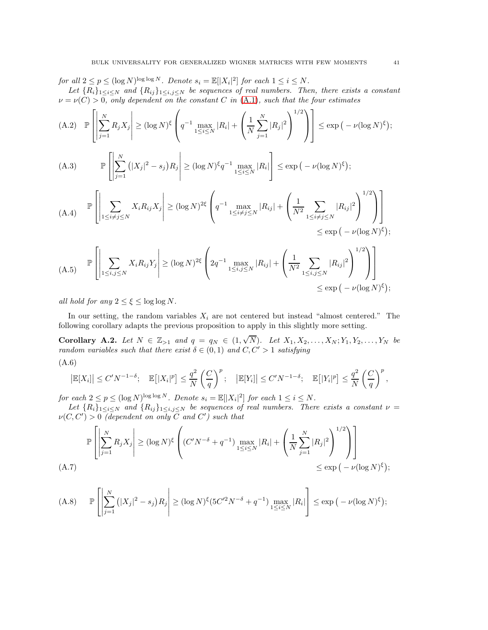for all  $2 \le p \le (\log N)^{\log \log N}$ . Denote  $s_i = \mathbb{E}[|X_i|^2]$  for each  $1 \le i \le N$ . Let  ${R_i}_{1\leq i\leq N}$  and  ${R_{ij}}_{1\leq i,j\leq N}$  be sequences of real numbers. Then, there exists a constant  $\nu = \nu(C) > 0$ , only dependent on the constant C in [\(A.1\)](#page-39-3), such that the four estimates

<span id="page-40-4"></span>
$$
(A.2) \quad \mathbb{P}\left[\left|\sum_{j=1}^{N} R_j X_j\right| \ge (\log N)^{\xi} \left(q^{-1} \max_{1 \le i \le N} |R_i| + \left(\frac{1}{N} \sum_{j=1}^{N} |R_j|^2\right)^{1/2}\right)\right] \le \exp\left(-\nu (\log N)^{\xi}\right);
$$

<span id="page-40-5"></span>(A.3) 
$$
\mathbb{P}\left[\left|\sum_{j=1}^N\left(|X_j|^2-s_j\right)R_j\right|\geq (\log N)^{\xi}q^{-1}\max_{1\leq i\leq N}|R_i|\right]\leq \exp\left(-\nu(\log N)^{\xi}\right);
$$

<span id="page-40-6"></span>
$$
(A.4) \quad \mathbb{P}\left[\left|\sum_{1\leq i\neq j\leq N} X_i R_{ij} X_j\right| \geq (\log N)^{2\xi} \left(q^{-1} \max_{1\leq i\neq j\leq N} |R_{ij}| + \left(\frac{1}{N^2} \sum_{1\leq i\neq j\leq N} |R_{ij}|^2\right)^{1/2}\right)\right] \leq \exp\left(-\nu(\log N)^{\xi}\right);
$$

<span id="page-40-7"></span>
$$
(A.5) \quad \mathbb{P}\left[\left|\sum_{1\leq i,j\leq N} X_i R_{ij} Y_j\right| \geq (\log N)^{2\xi} \left(2q^{-1} \max_{1\leq i,j\leq N} |R_{ij}| + \left(\frac{1}{N^2} \sum_{1\leq i,j\leq N} |R_{ij}|^2\right)^{1/2}\right)\right] \leq \exp\left(-\nu(\log N)^{\xi}\right);
$$

all hold for any  $2 \leq \xi \leq \log \log N$ .

In our setting, the random variables  $X_i$  are not centered but instead "almost centered." The following corollary adapts the previous proposition to apply in this slightly more setting.

<span id="page-40-1"></span>Corollary A.2. Let  $N \in \mathbb{Z}_{>1}$  and  $q = q_N \in (1, \sqrt{N})$ . Let  $X_1, X_2, ..., X_N; Y_1, Y_2, ..., Y_N$  be random variables such that there exist  $\delta \in (0,1)$  and  $C, C' > 1$  satisfying (A.6)

<span id="page-40-3"></span>
$$
\left|\mathbb{E}[X_i]\right| \le C' N^{-1-\delta}; \quad \mathbb{E}\left[|X_i|^p\right] \le \frac{q^2}{N} \left(\frac{C}{q}\right)^p; \quad \left|\mathbb{E}[Y_i]\right| \le C' N^{-1-\delta}; \quad \mathbb{E}\left[|Y_i|^p\right] \le \frac{q^2}{N} \left(\frac{C}{q}\right)^p,
$$

for each  $2 \le p \le (\log N)^{\log \log N}$ . Denote  $s_i = \mathbb{E}[|X_i|^2]$  for each  $1 \le i \le N$ .

Let  ${R_i}_{1\leq i\leq N}$  and  ${R_{ij}}_{1\leq i,j\leq N}$  be sequences of real numbers. There exists a constant  $\nu =$  $\nu(C, C') > 0$  (dependent on only C and C') such that

$$
\mathbb{P}\left[\left|\sum_{j=1}^{N} R_j X_j\right| \geq (\log N)^{\xi} \left( (C'N^{-\delta} + q^{-1}) \max_{1 \leq i \leq N} |R_i| + \left(\frac{1}{N} \sum_{j=1}^{N} |R_j|^2\right)^{1/2}\right)\right]
$$
  
(A.7)  

$$
\leq \exp\left(-\nu(\log N)^{\xi}\right);
$$

<span id="page-40-2"></span><span id="page-40-0"></span>
$$
(A.8) \qquad \mathbb{P}\left[\left|\sum_{j=1}^N\left(|X_j|^2-s_j\right)R_j\right|\geq (\log N)^{\xi}(5C'^2N^{-\delta}+q^{-1})\max_{1\leq i\leq N}|R_i|\right]\leq \exp\left(-\nu(\log N)^{\xi}\right);
$$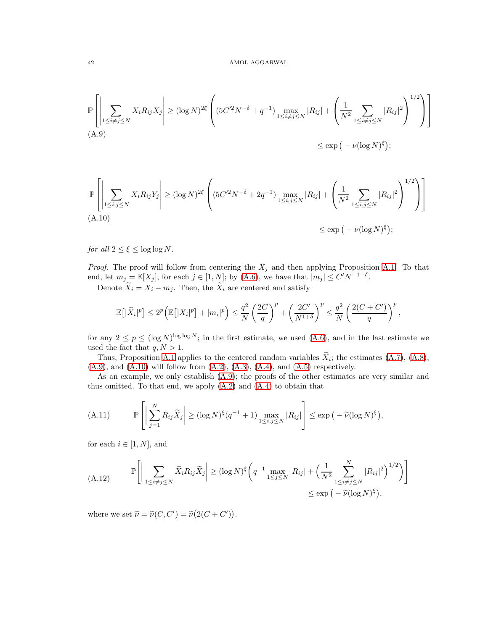<span id="page-41-0"></span>
$$
\mathbb{P}\left[\left|\sum_{1\leq i\neq j\leq N} X_i R_{ij} X_j\right| \geq (\log N)^{2\xi} \left( (5C'^2 N^{-\delta} + q^{-1}) \max_{1\leq i\neq j\leq N} |R_{ij}| + \left(\frac{1}{N^2} \sum_{1\leq i\neq j\leq N} |R_{ij}|^2\right)^{1/2}\right)\right]
$$
\n(A.9)\n
$$
\leq \exp\left(-\nu (\log N)^{\xi}\right);
$$

<span id="page-41-1"></span>
$$
\mathbb{P}\left[\left|\sum_{1\leq i,j\leq N} X_i R_{ij} Y_j\right| \geq (\log N)^{2\xi} \left( (5C'^2 N^{-\delta} + 2q^{-1}) \max_{1\leq i,j\leq N} |R_{ij}| + \left(\frac{1}{N^2} \sum_{1\leq i,j\leq N} |R_{ij}|^2\right)^{1/2}\right)\right]
$$
\n(A.10)\n
$$
\leq \exp\left(-\nu (\log N)^{\xi}\right);
$$

for all  $2 \leq \xi \leq \log \log N$ .

*Proof.* The proof will follow from centering the  $X_j$  and then applying Proposition [A.1.](#page-39-4) To that end, let  $m_j = \mathbb{E}[X_j]$ , for each  $j \in [1, N]$ ; by  $(A.6)$ , we have that  $|m_j| \le C' N^{-1-\delta}$ .

Denote  $\widetilde{X}_i = X_i - m_j$ . Then, the  $\widetilde{X}_i$  are centered and satisfy

$$
\mathbb{E}\left[|\widetilde{X}_i|^p\right] \leq 2^p \bigg(\mathbb{E}\left[|X_i|^p\right] + |m_i|^p\bigg) \leq \frac{q^2}{N} \left(\frac{2C}{q}\right)^p + \left(\frac{2C'}{N^{1+\delta}}\right)^p \leq \frac{q^2}{N} \left(\frac{2(C+C')}{q}\right)^p,
$$

for any  $2 \le p \le (\log N)^{\log \log N}$ ; in the first estimate, we used [\(A.6\)](#page-40-3), and in the last estimate we used the fact that  $q, N > 1$ .

Thus, Proposition [A.1](#page-39-4) applies to the centered random variables  $X_i$ ; the estimates  $(A.7)$ ,  $(A.8)$ ,  $(A.9)$ , and  $(A.10)$  will follow from  $(A.2)$ ,  $(A.3)$ ,  $(A.4)$ , and  $(A.5)$  respectively.

As an example, we only establish  $(A.9)$ ; the proofs of the other estimates are very similar and thus omitted. To that end, we apply [\(A.2\)](#page-40-4) and [\(A.4\)](#page-40-6) to obtain that

<span id="page-41-2"></span>(A.11) 
$$
\mathbb{P}\left[\left|\sum_{j=1}^N R_{ij}\widetilde{X}_j\right| \geq (\log N)^{\xi}(q^{-1}+1)\max_{1 \leq i,j \leq N} |R_{ij}|\right] \leq \exp\left(-\widetilde{\nu}(\log N)^{\xi}\right),
$$

for each  $i \in [1, N]$ , and

<span id="page-41-3"></span>(A.12) 
$$
\mathbb{P}\Bigg[\Big|\sum_{1\leq i\neq j\leq N} \widetilde{X}_i R_{ij} \widetilde{X}_j\Big| \geq (\log N)^{\xi} \Bigg(q^{-1} \max_{1\leq j\leq N} |R_{ij}| + \Big(\frac{1}{N^2} \sum_{1\leq i\neq j\leq N}^N |R_{ij}|^2\Big)^{1/2}\Bigg)\Bigg] \leq \exp\Big(-\widetilde{\nu} (\log N)^{\xi}\Big),
$$

where we set  $\tilde{\nu} = \tilde{\nu}(C, C') = \tilde{\nu}(2(C + C')).$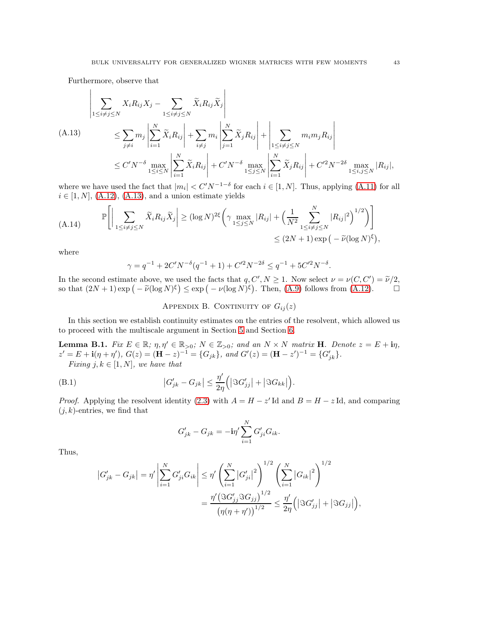$\overline{1}$ 

Furthermore, observe that

 $\overline{1}$ 

<span id="page-42-2"></span>
$$
\left| \sum_{1 \le i \neq j \le N} X_i R_{ij} X_j - \sum_{1 \le i \neq j \le N} \widetilde{X}_i R_{ij} \widetilde{X}_j \right|
$$
\n(A.13)  
\n
$$
\le \sum_{j \neq i} m_j \left| \sum_{i=1}^N \widetilde{X}_i R_{ij} \right| + \sum_{i \neq j} m_i \left| \sum_{j=1}^N \widetilde{X}_j R_{ij} \right| + \left| \sum_{1 \le i \neq j \le N} m_i m_j R_{ij} \right|
$$
\n
$$
\le C' N^{-\delta} \max_{1 \le i \le N} \left| \sum_{i=1}^N \widetilde{X}_i R_{ij} \right| + C' N^{-\delta} \max_{1 \le j \le N} \left| \sum_{i=1}^N \widetilde{X}_j R_{ij} \right| + C'^2 N^{-2\delta} \max_{1 \le i, j \le N} |R_{ij}|,
$$

where we have used the fact that  $|m_i| < C' N^{-1-\delta}$  for each  $i \in [1, N]$ . Thus, applying [\(A.11\)](#page-41-2) for all  $i \in [1, N]$ , [\(A.12\)](#page-41-3), [\(A.13\)](#page-42-2), and a union estimate yields

$$
(A.14) \qquad \mathbb{P}\Bigg[\Big|\sum_{1\leq i\neq j\leq N} \widetilde{X}_i R_{ij} \widetilde{X}_j\Big| \geq (\log N)^{2\xi} \Bigg(\gamma \max_{1\leq j\leq N} |R_{ij}| + \Big(\frac{1}{N^2} \sum_{1\leq i\neq j\leq N}^N |R_{ij}|^2\Big)^{1/2}\Bigg)\Bigg] \leq (2N+1) \exp\Big(-\widetilde{\nu} (\log N)^{\xi}\Big),
$$

where

$$
\gamma = q^{-1} + 2C'N^{-\delta}(q^{-1} + 1) + C'^2N^{-2\delta} \le q^{-1} + 5C'^2N^{-\delta}.
$$

<span id="page-42-0"></span>In the second estimate above, we used the facts that  $q, C', N \ge 1$ . Now select  $\nu = \nu(C, C') = \tilde{\nu}/2$ , so that  $(2N+1) \exp(-\tilde{\nu}(\log N)^{\xi}) \le \exp(-\nu(\log N)^{\xi})$ . Then, [\(A.9\)](#page-41-0) follows from [\(A.12\)](#page-41-3).

APPENDIX B. CONTINUITY OF  $G_{ij}(z)$ 

In this section we establish continuity estimates on the entries of the resolvent, which allowed us to proceed with the multiscale argument in Section [5](#page-19-0) and Section [6.](#page-24-0)

<span id="page-42-3"></span>**Lemma B.1.** Fix  $E \in \mathbb{R}$ ;  $\eta, \eta' \in \mathbb{R}_{>0}$ ;  $N \in \mathbb{Z}_{>0}$ ; and an  $N \times N$  matrix **H**. Denote  $z = E + i\eta$ ,  $z' = E + i(\eta + \eta'), G(z) = (\mathbf{H} - z)^{-1} = \{G_{jk}\}, \text{ and } G'(z) = (\mathbf{H} - z')^{-1} = \{G'_{jk}\}.$ Fixing j,  $k \in [1, N]$ , we have that

<span id="page-42-1"></span>(B.1) 
$$
\left|G'_{jk}-G_{jk}\right| \leq \frac{\eta'}{2\eta}\Big(\left|\Im G'_{jj}\right|+\left|\Im G_{kk}\right|\Big).
$$

*Proof.* Applying the resolvent identity [\(2.3\)](#page-8-4) with  $A = H - z'$  Id and  $B = H - z$  Id, and comparing  $(j, k)$ -entries, we find that

$$
G'_{jk} - G_{jk} = -\mathbf{i}\eta' \sum_{i=1}^N G'_{ji} G_{ik}.
$$

Thus,

$$
\begin{split} \left|G'_{jk} - G_{jk}\right| &= \eta' \left| \sum_{i=1}^N G'_{ji} G_{ik} \right| \le \eta' \left(\sum_{i=1}^N \left|G'_{ji}\right|^2\right)^{1/2} \left(\sum_{i=1}^N \left|G_{ik}\right|^2\right)^{1/2} \\ &= \frac{\eta' \left(\Im G'_{jj} \Im G_{jj}\right)^{1/2}}{\left(\eta(\eta + \eta')\right)^{1/2}} \le \frac{\eta'}{2\eta} \left(\left|\Im G'_{jj}\right| + \left|\Im G_{jj}\right|\right), \end{split}
$$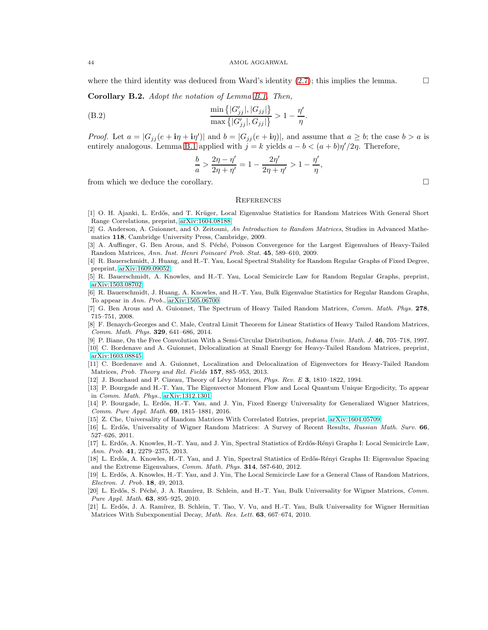where the third identity was deduced from Ward's identity  $(2.7)$ ; this implies the lemma.

Corollary B.2. Adopt the notation of Lemma [B.1.](#page-42-3) Then,

<span id="page-43-20"></span>(B.2) 
$$
\frac{\min\{|G'_{jj}|, |G_{jj}|\}}{\max\{|G'_{jj}|, G_{jj}|\}} > 1 - \frac{\eta'}{\eta}.
$$

*Proof.* Let  $a = |G_{jj}(e + i\eta + i\eta')|$  and  $b = |G_{jj}(e + i\eta)|$ , and assume that  $a \ge b$ ; the case  $b > a$  is entirely analogous. Lemma [B.1](#page-42-3) applied with  $j = k$  yields  $a - b < (a + b)\eta'/2\eta$ . Therefore,

$$
\frac{b}{a} > \frac{2\eta - \eta'}{2\eta + \eta'} = 1 - \frac{2\eta'}{2\eta + \eta'} > 1 - \frac{\eta'}{\eta},
$$

from which we deduce the corollary.

# <span id="page-43-0"></span>**REFERENCES**

- <span id="page-43-14"></span>[1] O. H. Ajanki, L. Erdős, and T. Krüger, Local Eigenvalue Statistics for Random Matrices With General Short Range Correlations, preprint, [arXiv:1604.08188.](http://arxiv.org/abs/1604.08188)
- <span id="page-43-9"></span>[2] G. Anderson, A. Guionnet, and O. Zeitouni, An Introduction to Random Matrices, Studies in Advanced Mathematics 118, Cambridge University Press, Cambridge, 2009.
- <span id="page-43-10"></span>[3] A. Auffinger, G. Ben Arous, and S. Péché, Poisson Convergence for the Largest Eigenvalues of Heavy-Tailed Random Matrices, Ann. Inst. Henri Poincaré Prob. Stat. 45, 589–610, 2009.
- <span id="page-43-18"></span>[4] R. Bauerschmidt, J. Huang, and H.-T. Yau, Local Spectral Stability for Random Regular Graphs of Fixed Degree, preprint, [arXiv:1609.09052.](http://arxiv.org/abs/1609.09052)
- <span id="page-43-16"></span><span id="page-43-15"></span>[5] R. Bauerschmidt, A. Knowles, and H.-T. Yau, Local Semicircle Law for Random Regular Graphs, preprint, [arXiv:1503.08702.](http://arxiv.org/abs/1503.08702)
- [6] R. Bauerschmidt, J. Huang, A. Knowles, and H.-T. Yau, Bulk Eigenvalue Statistics for Regular Random Graphs, To appear in Ann. Prob., [arXiv:1505.06700.](http://arxiv.org/abs/1505.06700)
- <span id="page-43-5"></span>[7] G. Ben Arous and A. Guionnet, The Spectrum of Heavy Tailed Random Matrices, Comm. Math. Phys. 278, 715–751, 2008.
- <span id="page-43-19"></span>[8] F. Benaych-Georges and C. Male, Central Limit Theorem for Linear Statistics of Heavy Tailed Random Matrices, Comm. Math. Phys. 329, 641–686, 2014.
- <span id="page-43-21"></span><span id="page-43-7"></span>[9] P. Biane, On the Free Convolution With a Semi-Circular Distribution, Indiana Univ. Math. J. 46, 705–718, 1997.
- <span id="page-43-8"></span>[10] C. Bordenave and A. Guionnet, Delocalization at Small Energy for Heavy-Tailed Random Matrices, preprint, [arXiv:1603.08845.](http://arxiv.org/abs/1603.08845)
- [11] C. Bordenave and A. Guionnet, Localization and Delocalization of Eigenvectors for Heavy-Tailed Random Matrices, Prob. Theory and Rel. Fields 157, 885–953, 2013.
- <span id="page-43-22"></span><span id="page-43-6"></span>[12] J. Bouchaud and P. Cizeau, Theory of Lévy Matrices, Phys. Rev. E 3, 1810–1822, 1994.
- [13] P. Bourgade and H.-T. Yau, The Eigenvector Moment Flow and Local Quantum Unique Ergodicity, To appear in Comm. Math. Phys., [arXiv:1312.1301.](http://arxiv.org/abs/1312.1301)
- <span id="page-43-1"></span>[14] P. Bourgade, L. Erdős, H.-T. Yau, and J. Yin, Fixed Energy Universality for Generalized Wigner Matrices, Comm. Pure Appl. Math. 69, 1815–1881, 2016.
- <span id="page-43-17"></span><span id="page-43-11"></span>[15] Z. Che, Universality of Random Matrices With Correlated Entries, preprint, [arXiv:1604.05709.](http://arxiv.org/abs/1604.05709)
- [16] L. Erdős, Universality of Wigner Random Matrices: A Survey of Recent Results, Russian Math. Surv. 66, 527–626, 2011.
- <span id="page-43-12"></span>[17] L. Erdős, A. Knowles, H.-T. Yau, and J. Yin, Spectral Statistics of Erdős-Rényi Graphs I: Local Semicircle Law, Ann. Prob. 41, 2279–2375, 2013.
- <span id="page-43-2"></span>[18] L. Erdős, A. Knowles, H.-T. Yau, and J. Yin, Spectral Statistics of Erdős-Rényi Graphs II: Eigenvalue Spacing and the Extreme Eigenvalues, Comm. Math. Phys. 314, 587-640, 2012.
- <span id="page-43-13"></span>[19] L. Erdős, A. Knowles, H.-T. Yau, and J. Yin, The Local Semicircle Law for a General Class of Random Matrices, Electron. J. Prob. 18, 49, 2013.
- <span id="page-43-3"></span>[20] L. Erdős, S. Péché, J. A. Ramírez, B. Schlein, and H.-T. Yau, Bulk Universality for Wigner Matrices, Comm. Pure Appl. Math. 63, 895–925, 2010.
- <span id="page-43-4"></span>[21] L. Erdős, J. A. Ramírez, B. Schlein, T. Tao, V. Vu, and H.-T. Yau, Bulk Universality for Wigner Hermitian Matrices With Subexponential Decay, Math. Res. Lett. 63, 667–674, 2010.